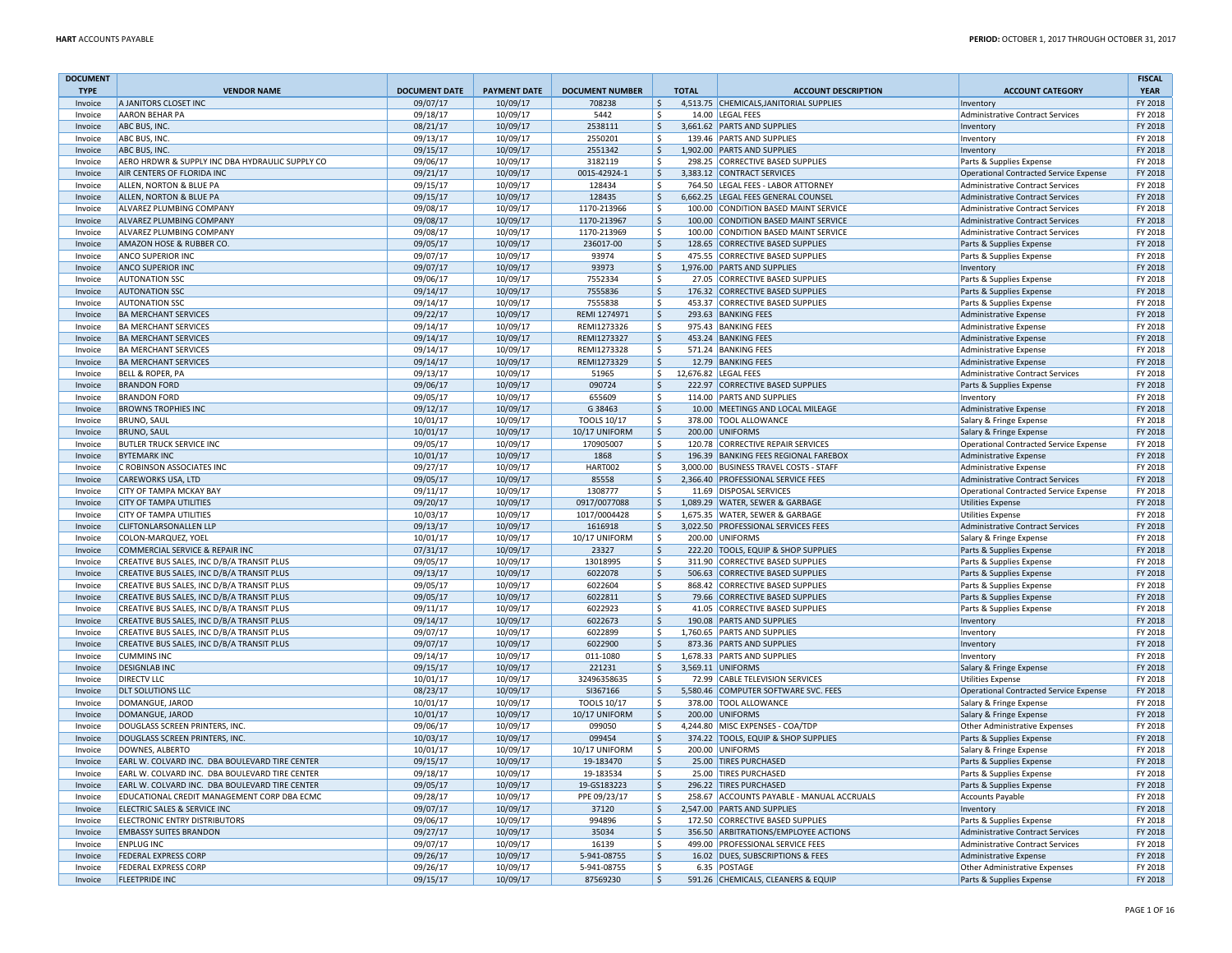| <b>DOCUMENT</b><br><b>TYPE</b> | <b>VENDOR NAME</b>                                         | <b>DOCUMENT DATE</b> | <b>PAYMENT DATE</b>  | <b>DOCUMENT NUMBER</b>     | <b>TOTAL</b>                   | <b>ACCOUNT DESCRIPTION</b>                                           | <b>ACCOUNT CATEGORY</b>                                            | <b>FISCAL</b><br><b>YEAR</b> |
|--------------------------------|------------------------------------------------------------|----------------------|----------------------|----------------------------|--------------------------------|----------------------------------------------------------------------|--------------------------------------------------------------------|------------------------------|
| Invoice                        | A JANITORS CLOSET INC                                      | 09/07/17             | 10/09/17             | 708238                     | $\zeta$                        | 4,513.75 CHEMICALS, JANITORIAL SUPPLIES                              | Inventory                                                          | FY 2018                      |
| Invoice                        | <b>AARON BEHAR PA</b>                                      | 09/18/17             | 10/09/17             | 5442                       | \$                             | 14.00 LEGAL FEES                                                     | <b>Administrative Contract Services</b>                            | FY 2018                      |
| Invoice                        | ABC BUS, INC.                                              | 08/21/17             | 10/09/17             | 2538111                    | S.                             | 3,661.62 PARTS AND SUPPLIES                                          | Inventory                                                          | FY 2018                      |
| Invoice                        | ABC BUS, INC.                                              | 09/13/17             | 10/09/17             | 2550201                    | Ŝ.                             | 139.46 PARTS AND SUPPLIES                                            | Inventory                                                          | FY 2018                      |
| Invoice                        | ABC BUS, INC.                                              | 09/15/17             | 10/09/17             | 2551342                    | \$                             | 1,902.00 PARTS AND SUPPLIES                                          | Inventory                                                          | FY 2018                      |
| Invoice                        | AERO HRDWR & SUPPLY INC DBA HYDRAULIC SUPPLY CO            | 09/06/17             | 10/09/17             | 3182119                    | \$                             | 298.25 CORRECTIVE BASED SUPPLIES                                     | Parts & Supplies Expense                                           | FY 2018                      |
| Invoice                        | AIR CENTERS OF FLORIDA INC                                 | 09/21/17             | 10/09/17             | 001S-42924-1               | \$                             | 3,383.12 CONTRACT SERVICES                                           | <b>Operational Contracted Service Expense</b>                      | FY 2018                      |
| Invoice                        | ALLEN, NORTON & BLUE PA                                    | 09/15/17             | 10/09/17             | 128434                     | Ŝ.                             | 764.50 LEGAL FEES - LABOR ATTORNEY                                   | <b>Administrative Contract Services</b>                            | FY 2018                      |
| Invoice                        | ALLEN, NORTON & BLUE PA                                    | 09/15/17             | 10/09/17             | 128435                     | Ŝ.                             | 6,662.25 LEGAL FEES GENERAL COUNSEL                                  | <b>Administrative Contract Services</b>                            | FY 2018                      |
| Invoice                        | ALVAREZ PLUMBING COMPANY                                   | 09/08/17             | 10/09/17             | 1170-213966                | Ŝ.                             | 100.00 CONDITION BASED MAINT SERVICE                                 | Administrative Contract Services                                   | FY 2018                      |
| Invoice                        | ALVAREZ PLUMBING COMPANY                                   | 09/08/17             | 10/09/17             | 1170-213967                | \$                             | 100.00 CONDITION BASED MAINT SERVICE                                 | Administrative Contract Services                                   | FY 2018                      |
| Invoice                        | <b>ALVAREZ PLUMBING COMPANY</b>                            | 09/08/17             | 10/09/17             | 1170-213969                | \$                             | 100.00 CONDITION BASED MAINT SERVICE                                 | <b>Administrative Contract Services</b>                            | FY 2018                      |
| Invoice                        | AMAZON HOSE & RUBBER CO.                                   | 09/05/17             | 10/09/17             | 236017-00                  | l \$                           | 128.65 CORRECTIVE BASED SUPPLIES                                     | Parts & Supplies Expense                                           | FY 2018                      |
| Invoice                        | <b>ANCO SUPERIOR INC</b>                                   | 09/07/17             | 10/09/17             | 93974                      | Ŝ.                             | 475.55 CORRECTIVE BASED SUPPLIES                                     | Parts & Supplies Expense                                           | FY 2018                      |
| Invoice                        | <b>ANCO SUPERIOR INC</b>                                   | 09/07/17             | 10/09/17             | 93973                      | $\zeta$                        | 1,976.00 PARTS AND SUPPLIES                                          | Inventory                                                          | FY 2018                      |
| Invoice                        | <b>AUTONATION SSC</b>                                      | 09/06/17             | 10/09/17             | 7552334                    | -\$                            | 27.05 CORRECTIVE BASED SUPPLIES                                      | Parts & Supplies Expense                                           | FY 2018                      |
| Invoice                        | <b>AUTONATION SSC</b>                                      | 09/14/17             | 10/09/17             | 7555836                    | $\ddot{\varsigma}$             | 176.32 CORRECTIVE BASED SUPPLIES                                     | Parts & Supplies Expense                                           | FY 2018                      |
| Invoice                        | <b>AUTONATION SSC</b>                                      | 09/14/17             | 10/09/17             | 7555838                    | \$                             | 453.37 CORRECTIVE BASED SUPPLIES                                     | Parts & Supplies Expense                                           | FY 2018                      |
| Invoice                        | <b>BA MERCHANT SERVICES</b>                                | 09/22/17             | 10/09/17             | REMI 1274971               | $\ddot{\mathsf{S}}$            | 293.63 BANKING FEES                                                  | <b>Administrative Expense</b>                                      | FY 2018                      |
| Invoice                        | <b>BA MERCHANT SERVICES</b>                                | 09/14/17             | 10/09/17             | REMI1273326                | \$                             | 975.43 BANKING FEES                                                  | <b>Administrative Expense</b>                                      | FY 2018                      |
| Invoice                        | <b>BA MERCHANT SERVICES</b>                                | 09/14/17             | 10/09/17             | REMI1273327                | $\mathsf{\hat{S}}$             | 453.24 BANKING FEES                                                  | Administrative Expense                                             | FY 2018                      |
| Invoice                        | <b>BA MERCHANT SERVICES</b>                                | 09/14/17             | 10/09/17             | REMI1273328                | \$                             | 571.24 BANKING FEES                                                  | <b>Administrative Expense</b>                                      | FY 2018                      |
| Invoice                        | <b>BA MERCHANT SERVICES</b>                                | 09/14/17             | 10/09/17             | REMI1273329                | S.                             | 12.79 BANKING FEES                                                   | Administrative Expense                                             | FY 2018                      |
| Invoice                        | <b>BELL &amp; ROPER, PA</b>                                | 09/13/17             | 10/09/17             | 51965                      | \$                             | 12,676.82 LEGAL FEES                                                 | Administrative Contract Services                                   | FY 2018                      |
| Invoice                        | <b>BRANDON FORD</b>                                        | 09/06/17             | 10/09/17             | 090724                     | $\ddot{\varsigma}$             | 222.97 CORRECTIVE BASED SUPPLIES                                     | Parts & Supplies Expense                                           | FY 2018                      |
| Invoice                        | <b>BRANDON FORD</b>                                        | 09/05/17             | 10/09/17             | 655609                     | \$                             | 114.00 PARTS AND SUPPLIES                                            | Inventory                                                          | FY 2018                      |
| Invoice                        | <b>BROWNS TROPHIES INC</b>                                 | 09/12/17             | 10/09/17             | G 38463                    | $\zeta$                        | 10.00 MEETINGS AND LOCAL MILEAGE                                     | Administrative Expense                                             | FY 2018                      |
| Invoice                        | <b>BRUNO, SAUL</b>                                         | 10/01/17             | 10/09/17             | <b>TOOLS 10/17</b>         | \$                             | 378.00 TOOL ALLOWANCE                                                | Salary & Fringe Expense                                            | FY 2018                      |
| Invoice                        | <b>BRUNO, SAUL</b>                                         | 10/01/17             | 10/09/17             | 10/17 UNIFORM              | ۱\$.                           | 200.00 UNIFORMS                                                      | Salary & Fringe Expense                                            | FY 2018                      |
| Invoice                        | <b>BUTLER TRUCK SERVICE INC</b>                            | 09/05/17             | 10/09/17             | 170905007                  | \$                             | 120.78 CORRECTIVE REPAIR SERVICES                                    | <b>Operational Contracted Service Expense</b>                      | FY 2018                      |
| Invoice                        | <b>BYTEMARK INC</b>                                        | 10/01/17             | 10/09/17             | 1868                       | $\mathsf{\hat{S}}$<br>3.000.00 | 196.39 BANKING FEES REGIONAL FAREBOX                                 | <b>Administrative Expense</b>                                      | FY 2018                      |
| Invoice                        | C ROBINSON ASSOCIATES INC                                  | 09/27/17             | 10/09/17             | HART002                    | \$                             | <b>BUSINESS TRAVEL COSTS - STAFF</b>                                 | Administrative Expense                                             | FY 2018                      |
| Invoice<br>Invoice             | CAREWORKS USA, LTD<br>CITY OF TAMPA MCKAY BAY              | 09/05/17<br>09/11/17 | 10/09/17             | 85558                      | \$<br>-Ŝ                       | 2,366.40 PROFESSIONAL SERVICE FEES<br>11.69 DISPOSAL SERVICES        | <b>Administrative Contract Services</b>                            | FY 2018<br>FY 2018           |
| Invoice                        | <b>CITY OF TAMPA UTILITIES</b>                             | 09/20/17             | 10/09/17<br>10/09/17 | 1308777<br>0917/0077088    | \$                             | 1,089.29 WATER, SEWER & GARBAGE                                      | Operational Contracted Service Expense<br><b>Utilities Expense</b> | FY 2018                      |
| Invoice                        | CITY OF TAMPA UTILITIES                                    | 10/03/17             | 10/09/17             | 1017/0004428               | Ŝ.                             | 1,675.35 WATER, SEWER & GARBAGE                                      | <b>Utilities Expense</b>                                           | FY 2018                      |
| Invoice                        | <b>CLIFTONLARSONALLEN LLP</b>                              | 09/13/17             | 10/09/17             | 1616918                    | $\zeta$                        | 3,022.50 PROFESSIONAL SERVICES FEES                                  | <b>Administrative Contract Services</b>                            | FY 2018                      |
| Invoice                        | COLON-MARQUEZ, YOEL                                        | 10/01/17             | 10/09/17             | 10/17 UNIFORM              | Ŝ.                             | 200.00 UNIFORMS                                                      | Salary & Fringe Expense                                            | FY 2018                      |
| Invoice                        | COMMERCIAL SERVICE & REPAIR INC                            | 07/31/17             | 10/09/17             | 23327                      | \$                             | 222.20 TOOLS, EQUIP & SHOP SUPPLIES                                  | Parts & Supplies Expense                                           | FY 2018                      |
| Invoice                        | CREATIVE BUS SALES, INC D/B/A TRANSIT PLUS                 | 09/05/17             | 10/09/17             | 13018995                   | -\$                            | 311.90 CORRECTIVE BASED SUPPLIES                                     | Parts & Supplies Expense                                           | FY 2018                      |
| Invoice                        | CREATIVE BUS SALES, INC D/B/A TRANSIT PLUS                 | 09/13/17             | 10/09/17             | 6022078                    | $\ddot{\varsigma}$             | 506.63 CORRECTIVE BASED SUPPLIES                                     | Parts & Supplies Expense                                           | FY 2018                      |
| Invoice                        | CREATIVE BUS SALES, INC D/B/A TRANSIT PLUS                 | 09/05/17             | 10/09/17             | 6022604                    | \$                             | 868.42 CORRECTIVE BASED SUPPLIES                                     | Parts & Supplies Expense                                           | FY 2018                      |
| Invoice                        | CREATIVE BUS SALES, INC D/B/A TRANSIT PLUS                 | 09/05/17             | 10/09/17             | 6022811                    | $\zeta$                        | 79.66 CORRECTIVE BASED SUPPLIES                                      | Parts & Supplies Expense                                           | FY 2018                      |
| Invoice                        | CREATIVE BUS SALES, INC D/B/A TRANSIT PLUS                 | 09/11/17             | 10/09/17             | 6022923                    | $\mathsf{\hat{S}}$             | 41.05 CORRECTIVE BASED SUPPLIES                                      | Parts & Supplies Expense                                           | FY 2018                      |
| Invoice                        | CREATIVE BUS SALES, INC D/B/A TRANSIT PLUS                 | 09/14/17             | 10/09/17             | 6022673                    | ۱\$                            | 190.08 PARTS AND SUPPLIES                                            | Inventory                                                          | FY 2018                      |
| Invoice                        | CREATIVE BUS SALES, INC D/B/A TRANSIT PLUS                 | 09/07/17             | 10/09/17             | 6022899                    | \$                             | 1,760.65 PARTS AND SUPPLIES                                          | Inventory                                                          | FY 2018                      |
| Invoice                        | CREATIVE BUS SALES, INC D/B/A TRANSIT PLUS                 | 09/07/17             | 10/09/17             | 6022900                    | $\ddot{\varsigma}$             | 873.36 PARTS AND SUPPLIES                                            | Inventory                                                          | FY 2018                      |
| Invoice                        | <b>CUMMINS INC</b>                                         | 09/14/17             | 10/09/17             | 011-1080                   | -\$                            | 1,678.33 PARTS AND SUPPLIES                                          | Inventory                                                          | FY 2018                      |
| Invoice                        | <b>DESIGNLAB INC</b>                                       | 09/15/17             | 10/09/17             | 221231                     | $\zeta$                        | 3,569.11 UNIFORMS                                                    | Salary & Fringe Expense                                            | FY 2018                      |
| Invoice                        | <b>DIRECTV LLC</b>                                         | 10/01/17             | 10/09/17             | 32496358635                | Ŝ.                             | 72.99 CABLE TELEVISION SERVICES                                      | <b>Utilities Expense</b>                                           | FY 2018                      |
| Invoice                        | <b>DLT SOLUTIONS LLC</b>                                   | 08/23/17             | 10/09/17             | SI367166                   | \$                             | 5,580.46 COMPUTER SOFTWARE SVC. FEES                                 | Operational Contracted Service Expense                             | FY 2018                      |
| Invoice                        | DOMANGUE, JAROD                                            | 10/01/17             | 10/09/17             | <b>TOOLS 10/17</b>         | \$                             | 378.00 TOOL ALLOWANCE                                                | Salary & Fringe Expense                                            | FY 2018                      |
| Invoice                        | DOMANGUE, JAROD                                            | 10/01/17             | 10/09/17             | 10/17 UNIFORM              | ١s                             | 200.00 UNIFORMS                                                      | Salary & Fringe Expense                                            | FY 2018                      |
| Invoice                        | DOUGLASS SCREEN PRINTERS, INC.                             | 09/06/17             | 10/09/17             | 099050                     | \$                             | 4,244.80 MISC EXPENSES - COA/TDP                                     | <b>Other Administrative Expenses</b>                               | FY 2018                      |
| Invoice                        | DOUGLASS SCREEN PRINTERS, INC.                             | 10/03/17             | 10/09/17             | 099454                     | $\zeta$                        | 374.22 TOOLS, EQUIP & SHOP SUPPLIES                                  | Parts & Supplies Expense                                           | FY 2018                      |
| Invoice                        | DOWNES, ALBERTO                                            | 10/01/17             | 10/09/17             | 10/17 UNIFORM              | \$                             | 200.00 UNIFORMS                                                      | Salary & Fringe Expense                                            | FY 2018                      |
| Invoice                        | EARL W. COLVARD INC. DBA BOULEVARD TIRE CENTER             | 09/15/17             | 10/09/17             | 19-183470                  | \$                             | 25.00 TIRES PURCHASED                                                | Parts & Supplies Expense                                           | FY 2018                      |
| Invoice                        | EARL W. COLVARD INC. DBA BOULEVARD TIRE CENTER             | 09/18/17             | 10/09/17             | 19-183534                  | \$                             | 25.00 TIRES PURCHASED                                                | Parts & Supplies Expense                                           | FY 2018                      |
| Invoice                        | EARL W. COLVARD INC. DBA BOULEVARD TIRE CENTER             | 09/05/17             | 10/09/17             | 19-GS183223                | ۱\$                            | 296.22 TIRES PURCHASED                                               | Parts & Supplies Expense                                           | FY 2018                      |
| Invoice                        | EDUCATIONAL CREDIT MANAGEMENT CORP DBA ECMC                | 09/28/17             | 10/09/17             | PPE 09/23/17               | l \$                           | 258.67 ACCOUNTS PAYABLE - MANUAL ACCRUALS                            | <b>Accounts Payable</b>                                            | FY 2018                      |
| Invoice                        | ELECTRIC SALES & SERVICE INC                               | 09/07/17             | 10/09/17             | 37120                      | $\ddot{\varsigma}$             | 2,547.00 PARTS AND SUPPLIES                                          | Inventory                                                          | FY 2018                      |
| Invoice                        | <b>ELECTRONIC ENTRY DISTRIBUTORS</b>                       | 09/06/17             | 10/09/17             | 994896                     | Ŝ.                             | 172.50 CORRECTIVE BASED SUPPLIES                                     | Parts & Supplies Expense                                           | FY 2018                      |
| Invoice                        | <b>EMBASSY SUITES BRANDON</b>                              | 09/27/17             | 10/09/17             | 35034                      | l \$                           | 356.50 ARBITRATIONS/EMPLOYEE ACTIONS                                 | Administrative Contract Services                                   | FY 2018                      |
| Invoice                        | <b>ENPLUG INC</b>                                          | 09/07/17             | 10/09/17             | 16139                      | Ŝ.                             | 499.00 PROFESSIONAL SERVICE FEES<br>16.02 DUES, SUBSCRIPTIONS & FEES | <b>Administrative Contract Services</b>                            | FY 2018<br>FY 2018           |
| Invoice<br>Invoice             | <b>FEDERAL EXPRESS CORP</b><br><b>FEDERAL EXPRESS CORP</b> | 09/26/17<br>09/26/17 | 10/09/17<br>10/09/17 | 5-941-08755<br>5-941-08755 | $\ddot{\varsigma}$<br>-\$      | 6.35 POSTAGE                                                         | Administrative Expense<br><b>Other Administrative Expenses</b>     | FY 2018                      |
| Invoice                        | <b>FLEETPRIDE INC</b>                                      | 09/15/17             | 10/09/17             | 87569230                   | $\zeta$                        | 591.26 CHEMICALS, CLEANERS & EQUIP                                   | Parts & Supplies Expense                                           | FY 2018                      |
|                                |                                                            |                      |                      |                            |                                |                                                                      |                                                                    |                              |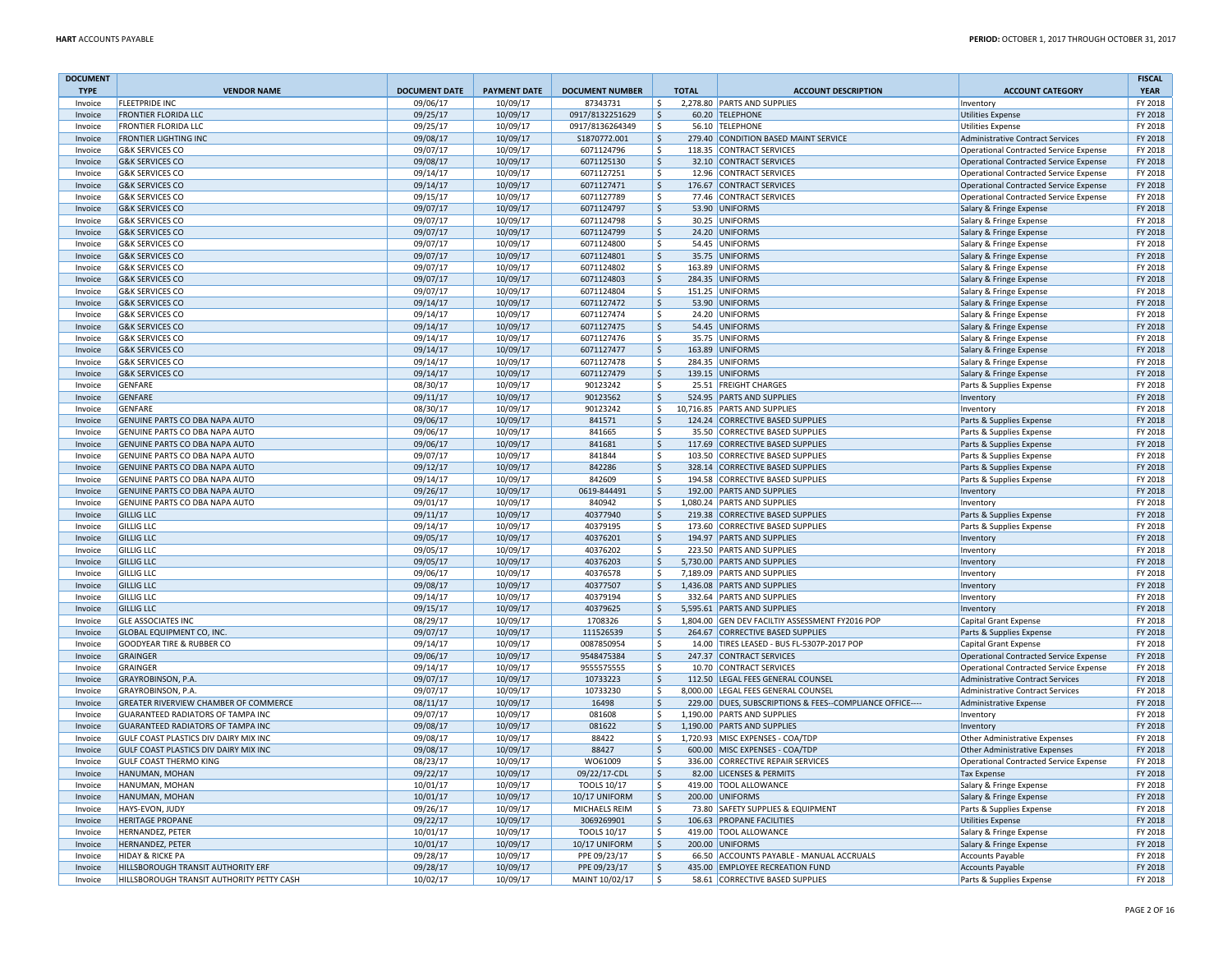| <b>DOCUMENT</b>    |                                                                  |                      |                      |                                    |                             |                                                                      |                                                          | <b>FISCAL</b>      |
|--------------------|------------------------------------------------------------------|----------------------|----------------------|------------------------------------|-----------------------------|----------------------------------------------------------------------|----------------------------------------------------------|--------------------|
| <b>TYPE</b>        | <b>VENDOR NAME</b>                                               | <b>DOCUMENT DATE</b> | <b>PAYMENT DATE</b>  | <b>DOCUMENT NUMBER</b>             | <b>TOTAL</b>                | <b>ACCOUNT DESCRIPTION</b>                                           | <b>ACCOUNT CATEGORY</b>                                  | <b>YEAR</b>        |
| Invoice            | <b>FLEETPRIDE INC</b>                                            | 09/06/17<br>09/25/17 | 10/09/17             | 87343731<br>0917/8132251629        | \$                          | 2,278.80 PARTS AND SUPPLIES                                          | Inventory                                                | FY 2018<br>FY 2018 |
| Invoice<br>Invoice | <b>FRONTIER FLORIDA LLC</b><br>FRONTIER FLORIDA LLC              | 09/25/17             | 10/09/17<br>10/09/17 | 0917/8136264349                    | \$<br>S.                    | 60.20 TELEPHONE<br>56.10 TELEPHONE                                   | <b>Utilities Expense</b><br><b>Utilities Expense</b>     | FY 2018            |
| Invoice            | <b>FRONTIER LIGHTING INC</b>                                     | 09/08/17             | 10/09/17             | S1870772.001                       | $\zeta$                     | 279.40 CONDITION BASED MAINT SERVICE                                 | Administrative Contract Services                         | FY 2018            |
| Invoice            | <b>G&amp;K SERVICES CO</b>                                       | 09/07/17             | 10/09/17             | 6071124796                         | \$                          | 118.35 CONTRACT SERVICES                                             | <b>Operational Contracted Service Expense</b>            | FY 2018            |
| Invoice            | <b>G&amp;K SERVICES CO</b>                                       | 09/08/17             | 10/09/17             | 6071125130                         | $\ddot{\varsigma}$          | 32.10 CONTRACT SERVICES                                              | <b>Operational Contracted Service Expense</b>            | FY 2018            |
| Invoice            | <b>G&amp;K SERVICES CO</b>                                       | 09/14/17             | 10/09/17             | 6071127251                         | \$                          | 12.96 CONTRACT SERVICES                                              | Operational Contracted Service Expense                   | FY 2018            |
| Invoice            | <b>G&amp;K SERVICES CO</b>                                       | 09/14/17             | 10/09/17             | 6071127471                         | l \$                        | 176.67 CONTRACT SERVICES                                             | <b>Operational Contracted Service Expense</b>            | FY 2018            |
| Invoice            | <b>G&amp;K SERVICES CO</b>                                       | 09/15/17             | 10/09/17             | 6071127789                         | Ŝ.                          | 77.46 CONTRACT SERVICES                                              | <b>Operational Contracted Service Expense</b>            | FY 2018            |
| Invoice            | <b>G&amp;K SERVICES CO</b>                                       | 09/07/17             | 10/09/17             | 6071124797                         | \$                          | 53.90 UNIFORMS                                                       | Salary & Fringe Expense                                  | FY 2018            |
| Invoice            | <b>G&amp;K SERVICES CO</b>                                       | 09/07/17             | 10/09/17             | 6071124798                         | \$                          | 30.25 UNIFORMS                                                       | Salary & Fringe Expense                                  | FY 2018            |
| Invoice            | <b>G&amp;K SERVICES CO</b>                                       | 09/07/17             | 10/09/17             | 6071124799                         | $\mathsf{\hat{S}}$          | 24.20 UNIFORMS                                                       | Salary & Fringe Expense                                  | FY 2018            |
| Invoice            | <b>G&amp;K SERVICES CO</b>                                       | 09/07/17             | 10/09/17             | 6071124800                         | \$                          | 54.45 UNIFORMS                                                       | Salary & Fringe Expense                                  | FY 2018            |
| Invoice            | <b>G&amp;K SERVICES CO</b>                                       | 09/07/17             | 10/09/17             | 6071124801                         | $\mathsf{\hat{S}}$<br>35.75 | UNIFORMS                                                             | Salary & Fringe Expense                                  | FY 2018            |
| Invoice            | <b>G&amp;K SERVICES CO</b>                                       | 09/07/17             | 10/09/17             | 6071124802                         | Ŝ.                          | 163.89 UNIFORMS                                                      | Salary & Fringe Expense                                  | FY 2018            |
| Invoice            | <b>G&amp;K SERVICES CO</b>                                       | 09/07/17             | 10/09/17             | 6071124803                         | \$                          | 284.35 UNIFORMS                                                      | Salary & Fringe Expense                                  | FY 2018<br>FY 2018 |
| Invoice<br>Invoice | <b>G&amp;K SERVICES CO</b><br><b>G&amp;K SERVICES CO</b>         | 09/07/17<br>09/14/17 | 10/09/17<br>10/09/17 | 6071124804<br>6071127472           | \$<br>$\zeta$               | 151.25 UNIFORMS<br>53.90 UNIFORMS                                    | Salary & Fringe Expense<br>Salary & Fringe Expense       | FY 2018            |
| Invoice            | <b>G&amp;K SERVICES CO</b>                                       | 09/14/17             | 10/09/17             | 6071127474                         | \$                          | 24.20 UNIFORMS                                                       | Salary & Fringe Expense                                  | FY 2018            |
| Invoice            | <b>G&amp;K SERVICES CO</b>                                       | 09/14/17             | 10/09/17             | 6071127475                         | $\zeta$                     | 54.45 UNIFORMS                                                       | Salary & Fringe Expense                                  | FY 2018            |
| Invoice            | <b>G&amp;K SERVICES CO</b>                                       | 09/14/17             | 10/09/17             | 6071127476                         | \$                          | 35.75 UNIFORMS                                                       | Salary & Fringe Expense                                  | FY 2018            |
| Invoice            | <b>G&amp;K SERVICES CO</b>                                       | 09/14/17             | 10/09/17             | 6071127477                         | \$                          | 163.89 UNIFORMS                                                      | Salary & Fringe Expense                                  | FY 2018            |
| Invoice            | <b>G&amp;K SERVICES CO</b>                                       | 09/14/17             | 10/09/17             | 6071127478                         | \$                          | 284.35 UNIFORMS                                                      | Salary & Fringe Expense                                  | FY 2018            |
| Invoice            | <b>G&amp;K SERVICES CO</b>                                       | 09/14/17             | 10/09/17             | 6071127479                         | $\ddot{\varsigma}$          | 139.15 UNIFORMS                                                      | Salary & Fringe Expense                                  | FY 2018            |
| Invoice            | <b>GENFARE</b>                                                   | 08/30/17             | 10/09/17             | 90123242                           | \$                          | 25.51 FREIGHT CHARGES                                                | Parts & Supplies Expense                                 | FY 2018            |
| Invoice            | <b>GENFARE</b>                                                   | 09/11/17             | 10/09/17             | 90123562                           | $\mathsf{\hat{S}}$          | 524.95 PARTS AND SUPPLIES                                            | Inventory                                                | FY 2018            |
| Invoice            | <b>GFNFARF</b>                                                   | 08/30/17             | 10/09/17             | 90123242                           | \$                          | 10,716.85 PARTS AND SUPPLIES                                         | Inventory                                                | FY 2018            |
| Invoice            | GENUINE PARTS CO DBA NAPA AUTO                                   | 09/06/17             | 10/09/17             | 841571                             | \$                          | 124.24 CORRECTIVE BASED SUPPLIES                                     | Parts & Supplies Expense                                 | FY 2018            |
| Invoice            | GENUINE PARTS CO DBA NAPA AUTO                                   | 09/06/17             | 10/09/17             | 841665                             | \$                          | 35.50 CORRECTIVE BASED SUPPLIES                                      | Parts & Supplies Expense                                 | FY 2018            |
| Invoice            | <b>GENUINE PARTS CO DBA NAPA AUTO</b>                            | 09/06/17             | 10/09/17             | 841681                             | l \$                        | 117.69 CORRECTIVE BASED SUPPLIES                                     | Parts & Supplies Expense                                 | FY 2018            |
| Invoice<br>Invoice | GENUINE PARTS CO DBA NAPA AUTO<br>GENUINE PARTS CO DBA NAPA AUTO | 09/07/17             | 10/09/17<br>10/09/17 | 841844<br>842286                   | \$                          | 103.50 CORRECTIVE BASED SUPPLIES<br>328.14 CORRECTIVE BASED SUPPLIES | Parts & Supplies Expense                                 | FY 2018<br>FY 2018 |
| Invoice            | GENUINE PARTS CO DBA NAPA AUTO                                   | 09/12/17<br>09/14/17 | 10/09/17             | 842609                             | $\ddot{\varsigma}$<br>\$    | 194.58 CORRECTIVE BASED SUPPLIES                                     | Parts & Supplies Expense<br>Parts & Supplies Expense     | FY 2018            |
| Invoice            | GENUINE PARTS CO DBA NAPA AUTO                                   | 09/26/17             | 10/09/17             | 0619-844491                        | ۱\$                         | 192.00 PARTS AND SUPPLIES                                            | Inventory                                                | FY 2018            |
| Invoice            | GENUINE PARTS CO DBA NAPA AUTO                                   | 09/01/17             | 10/09/17             | 840942                             | \$                          | 1,080.24 PARTS AND SUPPLIES                                          | Inventory                                                | FY 2018            |
| Invoice            | <b>GILLIG LLC</b>                                                | 09/11/17             | 10/09/17             | 40377940                           | ۱\$                         | 219.38 CORRECTIVE BASED SUPPLIES                                     | Parts & Supplies Expense                                 | FY 2018            |
| Invoice            | <b>GILLIG LLC</b>                                                | 09/14/17             | 10/09/17             | 40379195                           | Ŝ.<br>173.60                | <b>CORRECTIVE BASED SUPPLIES</b>                                     | Parts & Supplies Expense                                 | FY 2018            |
| Invoice            | <b>GILLIG LLC</b>                                                | 09/05/17             | 10/09/17             | 40376201                           | $\ddot{\varsigma}$          | 194.97 PARTS AND SUPPLIES                                            | Inventory                                                | FY 2018            |
| Invoice            | <b>GILLIG LLC</b>                                                | 09/05/17             | 10/09/17             | 40376202                           | -\$                         | 223.50 PARTS AND SUPPLIES                                            | Inventory                                                | FY 2018            |
| Invoice            | <b>GILLIG LLC</b>                                                | 09/05/17             | 10/09/17             | 40376203                           | ۱\$                         | 5,730.00 PARTS AND SUPPLIES                                          | Inventory                                                | FY 2018            |
| Invoice            | <b>GILLIG LLC</b>                                                | 09/06/17             | 10/09/17             | 40376578                           | \$                          | 7,189.09 PARTS AND SUPPLIES                                          | Inventory                                                | FY 2018            |
| Invoice            | <b>GILLIG LLC</b>                                                | 09/08/17             | 10/09/17             | 40377507                           | $\ddot{\varsigma}$          | 1,436.08 PARTS AND SUPPLIES                                          | Inventory                                                | FY 2018            |
| Invoice            | <b>GILLIG LLC</b><br><b>GILLIG LLC</b>                           | 09/14/17             | 10/09/17             | 40379194                           | Ŝ.<br>$\mathsf{\hat{S}}$    | 332.64 PARTS AND SUPPLIES<br>5.595.61 PARTS AND SUPPLIES             | Inventory                                                | FY 2018            |
| Invoice            | <b>GLE ASSOCIATES INC</b>                                        | 09/15/17<br>08/29/17 | 10/09/17<br>10/09/17 | 40379625<br>1708326                | Ŝ.                          | 1,804.00 GEN DEV FACILTIY ASSESSMENT FY2016 POP                      | Inventory                                                | FY 2018<br>FY 2018 |
| Invoice<br>Invoice | <b>GLOBAL EQUIPMENT CO, INC.</b>                                 | 09/07/17             | 10/09/17             | 111526539                          | \$                          | 264.67 CORRECTIVE BASED SUPPLIES                                     | <b>Capital Grant Expense</b><br>Parts & Supplies Expense | FY 2018            |
| Invoice            | <b>GOODYEAR TIRE &amp; RUBBER CO</b>                             | 09/14/17             | 10/09/17             | 0087850954                         | \$                          | 14.00 TIRES LEASED - BUS FL-5307P-2017 POP                           | Capital Grant Expense                                    | FY 2018            |
| Invoice            | GRAINGER                                                         | 09/06/17             | 10/09/17             | 9548475384                         | $\mathsf{\hat{S}}$          | 247.37 CONTRACT SERVICES                                             | <b>Operational Contracted Service Expense</b>            | FY 2018            |
| Invoice            | <b>GRAINGER</b>                                                  | 09/14/17             | 10/09/17             | 9555575555                         | Ŝ.                          | 10.70 CONTRACT SERVICES                                              | <b>Operational Contracted Service Expense</b>            | FY 2018            |
| Invoice            | GRAYROBINSON, P.A.                                               | 09/07/17             | 10/09/17             | 10733223                           | $\mathsf{\hat{S}}$          | 112.50 LEGAL FEES GENERAL COUNSEL                                    | <b>Administrative Contract Services</b>                  | FY 2018            |
| Invoice            | <b>GRAYROBINSON, P.A</b>                                         | 09/07/17             | 10/09/17             | 10733230                           | \$                          | 8,000.00 LEGAL FEES GENERAL COUNSEL                                  | Administrative Contract Services                         | FY 2018            |
| Invoice            | GREATER RIVERVIEW CHAMBER OF COMMERCE                            | 08/11/17             | 10/09/17             | 16498                              | \$                          | 229.00 DUES, SUBSCRIPTIONS & FEES--COMPLIANCE OFFICE----             | Administrative Expense                                   | FY 2018            |
| Invoice            | <b>GUARANTEED RADIATORS OF TAMPA INC</b>                         | 09/07/17             | 10/09/17             | 081608                             | \$                          | 1.190.00 PARTS AND SUPPLIES                                          | Inventory                                                | FY 2018            |
| Invoice            | <b>GUARANTEED RADIATORS OF TAMPA INC</b>                         | 09/08/17             | 10/09/17             | 081622                             | $\ddot{\varsigma}$          | 1,190.00 PARTS AND SUPPLIES                                          | Inventory                                                | FY 2018            |
| Invoice            | GULF COAST PLASTICS DIV DAIRY MIX INC                            | 09/08/17             | 10/09/17             | 88422                              | \$                          | 1,720.93 MISC EXPENSES - COA/TDP                                     | Other Administrative Expenses                            | FY 2018            |
| Invoice            | GULF COAST PLASTICS DIV DAIRY MIX INC                            | 09/08/17             | 10/09/17             | 88427                              | $\ddot{\varsigma}$          | 600.00 MISC EXPENSES - COA/TDP                                       | Other Administrative Expenses                            | FY 2018            |
| Invoice            | <b>GULF COAST THERMO KING</b>                                    | 08/23/17             | 10/09/17             | WO61009                            | -Ŝ                          | 336.00 CORRECTIVE REPAIR SERVICES                                    | Operational Contracted Service Expense                   | FY 2018            |
| Invoice<br>Invoice | HANUMAN, MOHAN<br>HANUMAN, MOHAN                                 | 09/22/17<br>10/01/17 | 10/09/17<br>10/09/17 | 09/22/17-CDI<br><b>TOOLS 10/17</b> | ۱\$<br>Ŝ.                   | 82.00 LICENSES & PERMITS<br>419.00 TOOL ALLOWANCE                    | <b>Tax Expense</b>                                       | FY 2018<br>FY 2018 |
| Invoice            | HANUMAN, MOHAN                                                   | 10/01/17             | 10/09/17             | 10/17 UNIFORM                      | \$ ا                        | 200.00 UNIFORMS                                                      | Salary & Fringe Expense<br>Salary & Fringe Expense       | FY 2018            |
| Invoice            | HAYS-EVON, JUDY                                                  | 09/26/17             | 10/09/17             | MICHAELS REIM                      | \$                          | 73.80 SAFETY SUPPLIES & EQUIPMENT                                    | Parts & Supplies Expense                                 | FY 2018            |
| Invoice            | <b>HERITAGE PROPANE</b>                                          | 09/22/17             | 10/09/17             | 3069269901                         | \$                          | 106.63 PROPANE FACILITIES                                            | <b>Utilities Expense</b>                                 | FY 2018            |
| Invoice            | <b>HERNANDEZ, PETER</b>                                          | 10/01/17             | 10/09/17             | TOOLS 10/17                        | -Ŝ                          | 419.00 TOOL ALLOWANCE                                                | Salary & Fringe Expense                                  | FY 2018            |
| Invoice            | <b>HERNANDEZ, PETER</b>                                          | 10/01/17             | 10/09/17             | 10/17 UNIFORM                      | ۱\$                         | 200.00 UNIFORMS                                                      | Salary & Fringe Expense                                  | FY 2018            |
| Invoice            | HIDAY & RICKE PA                                                 | 09/28/17             | 10/09/17             | PPE 09/23/17                       | \$                          | 66.50 ACCOUNTS PAYABLE - MANUAL ACCRUALS                             | <b>Accounts Payable</b>                                  | FY 2018            |
| Invoice            | <b>HILLSBOROUGH TRANSIT AUTHORITY ERF</b>                        | 09/28/17             | 10/09/17             | PPE 09/23/17                       | S.                          | 435.00 EMPLOYEE RECREATION FUND                                      | <b>Accounts Payable</b>                                  | FY 2018            |
| Invoice            | HILLSBOROUGH TRANSIT AUTHORITY PETTY CASH                        | 10/02/17             | 10/09/17             | MAINT 10/02/17                     | ١s                          | 58.61 CORRECTIVE BASED SUPPLIES                                      | Parts & Supplies Expense                                 | FY 2018            |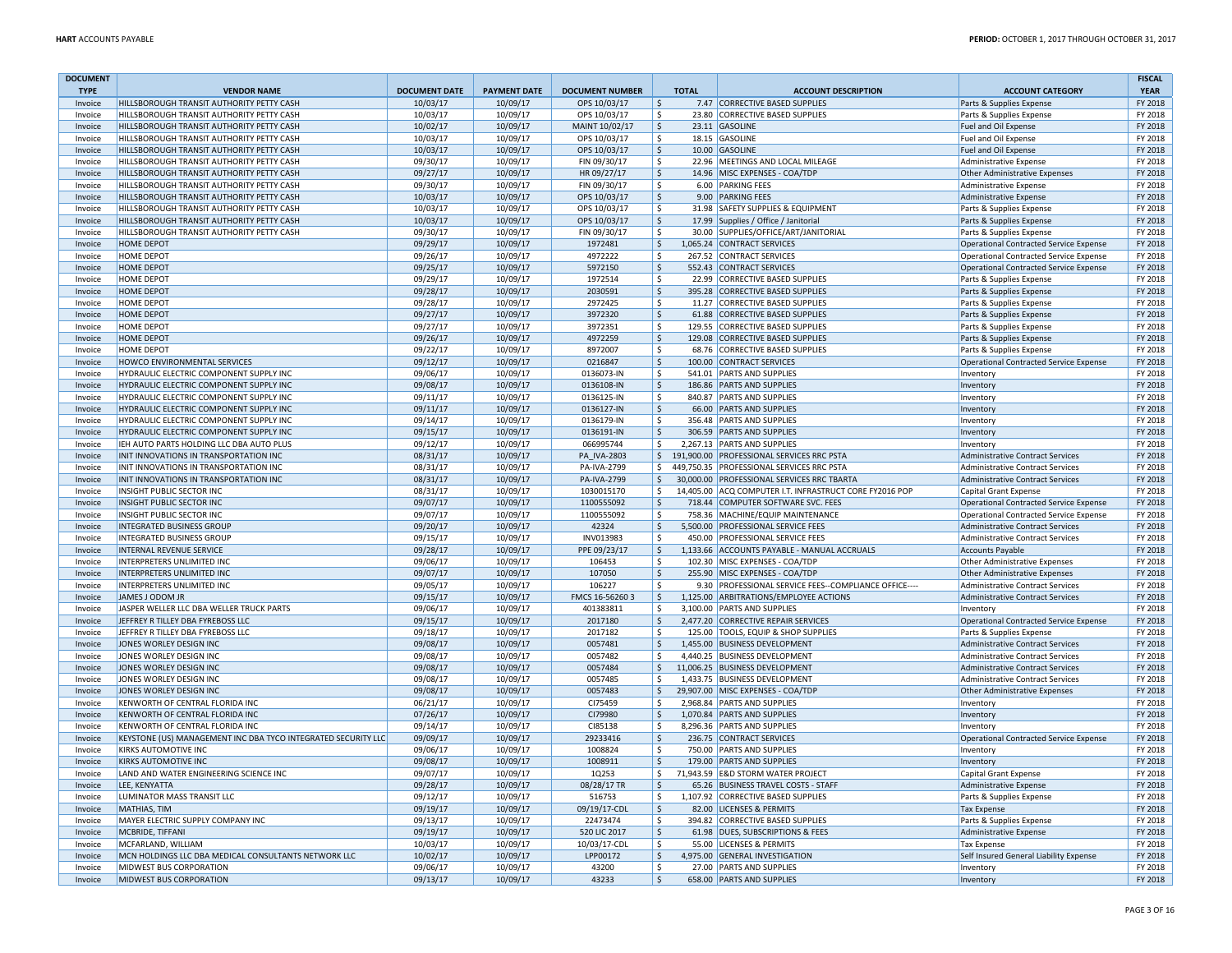| <b>DOCUMENT</b><br><b>TYPE</b> | <b>VENDOR NAME</b>                                                               | <b>DOCUMENT DATE</b> | <b>PAYMENT DATE</b>  | <b>DOCUMENT NUMBER</b>     | <b>TOTAL</b>       | <b>ACCOUNT DESCRIPTION</b>                                                              | <b>ACCOUNT CATEGORY</b>                                         | <b>FISCAL</b><br><b>YEAR</b> |
|--------------------------------|----------------------------------------------------------------------------------|----------------------|----------------------|----------------------------|--------------------|-----------------------------------------------------------------------------------------|-----------------------------------------------------------------|------------------------------|
| Invoice                        | HILLSBOROUGH TRANSIT AUTHORITY PETTY CASH                                        | 10/03/17             | 10/09/17             | OPS 10/03/17               | \$                 | 7.47 CORRECTIVE BASED SUPPLIES                                                          | Parts & Supplies Expense                                        | FY 2018                      |
| Invoice                        | HILLSBOROUGH TRANSIT AUTHORITY PETTY CASH                                        | 10/03/17             | 10/09/17             | OPS 10/03/17               | Ŝ.                 | 23.80 CORRECTIVE BASED SUPPLIES                                                         | Parts & Supplies Expense                                        | FY 2018                      |
| Invoice                        | HILLSBOROUGH TRANSIT AUTHORITY PETTY CASH                                        | 10/02/17             | 10/09/17             | MAINT 10/02/17             | \$                 | 23.11 GASOLINE                                                                          | Fuel and Oil Expense                                            | FY 2018                      |
| Invoice                        | HILLSBOROUGH TRANSIT AUTHORITY PETTY CASH                                        | 10/03/17             | 10/09/17             | OPS 10/03/17               | \$                 | 18.15 GASOLINE                                                                          | <b>Fuel and Oil Expense</b>                                     | FY 2018                      |
| Invoice                        | HILLSBOROUGH TRANSIT AUTHORITY PETTY CASH                                        | 10/03/17             | 10/09/17             | OPS 10/03/17               | \$                 | 10.00 GASOLINE                                                                          | Fuel and Oil Expense                                            | FY 2018                      |
| Invoice                        | HILLSBOROUGH TRANSIT AUTHORITY PETTY CASH                                        | 09/30/17             | 10/09/17             | FIN 09/30/17               | Ŝ.                 | 22.96 MEETINGS AND LOCAL MILEAGE                                                        | <b>Administrative Expense</b>                                   | FY 2018                      |
| Invoice                        | HILLSBOROUGH TRANSIT AUTHORITY PETTY CASH                                        | 09/27/17             | 10/09/17             | HR 09/27/17                | $\mathsf{\$}$      | 14.96 MISC EXPENSES - COA/TDP                                                           | <b>Other Administrative Expenses</b>                            | FY 2018                      |
| Invoice                        | HILLSBOROUGH TRANSIT AUTHORITY PETTY CASH                                        | 09/30/17             | 10/09/17             | FIN 09/30/17               | \$                 | 6.00 PARKING FEES                                                                       | <b>Administrative Expense</b>                                   | FY 2018                      |
| Invoice                        | HILLSBOROUGH TRANSIT AUTHORITY PETTY CASH                                        | 10/03/17             | 10/09/17             | OPS 10/03/17               | \$                 | 9.00 PARKING FEES                                                                       | Administrative Expense                                          | FY 2018                      |
| Invoice                        | HILLSBOROUGH TRANSIT AUTHORITY PETTY CASH                                        | 10/03/17             | 10/09/17             | OPS 10/03/17               | Ŝ.                 | 31.98 SAFETY SUPPLIES & EQUIPMENT                                                       | Parts & Supplies Expense                                        | FY 2018                      |
| Invoice                        | HILLSBOROUGH TRANSIT AUTHORITY PETTY CASH                                        | 10/03/17             | 10/09/17             | OPS 10/03/17               | \$                 | 17.99 Supplies / Office / Janitorial                                                    | Parts & Supplies Expense                                        | FY 2018                      |
| Invoice                        | HILLSBOROUGH TRANSIT AUTHORITY PETTY CASH                                        | 09/30/17             | 10/09/17             | FIN 09/30/17               | \$                 | 30.00 SUPPLIES/OFFICE/ART/JANITORIAL                                                    | Parts & Supplies Expense                                        | FY 2018                      |
| Invoice                        | <b>HOME DEPOT</b>                                                                | 09/29/17             | 10/09/17             | 1972481                    | \$                 | 1,065.24 CONTRACT SERVICES                                                              | <b>Operational Contracted Service Expense</b>                   | FY 2018                      |
| Invoice                        | <b>HOME DEPOT</b>                                                                | 09/26/17             | 10/09/17             | 4972222                    | \$                 | 267.52 CONTRACT SERVICES                                                                | Operational Contracted Service Expense                          | FY 2018                      |
| Invoice                        | <b>HOME DEPOT</b>                                                                | 09/25/17             | 10/09/17             | 5972150                    | Ŝ.                 | 552.43 CONTRACT SERVICES                                                                | <b>Operational Contracted Service Expense</b>                   | FY 2018                      |
| Invoice                        | <b>HOME DEPOT</b>                                                                | 09/29/17             | 10/09/17             | 1972514                    | Ŝ.                 | 22.99 CORRECTIVE BASED SUPPLIES                                                         | Parts & Supplies Expense                                        | FY 2018                      |
| Invoice                        | <b>HOME DEPOT</b>                                                                | 09/28/17             | 10/09/17             | 2030591                    | \$                 | 395.28 CORRECTIVE BASED SUPPLIES                                                        | Parts & Supplies Expense                                        | FY 2018                      |
| Invoice                        | <b>HOME DEPOT</b>                                                                | 09/28/17             | 10/09/17             | 2972425                    | \$                 | 11.27 CORRECTIVE BASED SUPPLIES                                                         | Parts & Supplies Expense                                        | FY 2018                      |
| Invoice                        | <b>HOME DEPOT</b>                                                                | 09/27/17             | 10/09/17             | 3972320                    | $\mathsf{\hat{S}}$ | 61.88 CORRECTIVE BASED SUPPLIES                                                         | Parts & Supplies Expense                                        | FY 2018                      |
| Invoice                        | <b>HOME DEPOT</b>                                                                | 09/27/17             | 10/09/17             | 3972351                    | \$                 | 129.55 CORRECTIVE BASED SUPPLIES                                                        | Parts & Supplies Expense                                        | FY 2018                      |
| Invoice                        | <b>HOME DEPOT</b>                                                                | 09/26/17             | 10/09/17             | 4972259                    | \$                 | 129.08 CORRECTIVE BASED SUPPLIES                                                        | Parts & Supplies Expense                                        | FY 2018                      |
| Invoice                        | <b>HOME DEPOT</b>                                                                | 09/22/17             | 10/09/17             | 8972007                    | \$                 | 68.76 CORRECTIVE BASED SUPPLIES                                                         | Parts & Supplies Expense                                        | FY 2018                      |
| Invoice                        | HOWCO ENVIRONMENTAL SERVICES                                                     | 09/12/17             | 10/09/17             | 0216847                    | \$                 | 100.00 CONTRACT SERVICES                                                                | Operational Contracted Service Expense                          | FY 2018                      |
| Invoice                        | HYDRAULIC ELECTRIC COMPONENT SUPPLY INC                                          | 09/06/17             | 10/09/17             | 0136073-IN                 | \$                 | 541.01 PARTS AND SUPPLIES                                                               | Inventory                                                       | FY 2018                      |
| Invoice                        | HYDRAULIC ELECTRIC COMPONENT SUPPLY INC                                          | 09/08/17             | 10/09/17             | 0136108-IN                 | $\mathsf{\hat{S}}$ | 186.86 PARTS AND SUPPLIES                                                               | Inventory                                                       | FY 2018                      |
| Invoice                        | HYDRAULIC ELECTRIC COMPONENT SUPPLY INC                                          | 09/11/17             | 10/09/17             | 0136125-IN                 | \$                 | 840.87 PARTS AND SUPPLIES                                                               | Inventory                                                       | FY 2018                      |
| Invoice                        | HYDRAULIC ELECTRIC COMPONENT SUPPLY INC                                          | 09/11/17             | 10/09/17             | 0136127-IN                 | Ŝ.                 | 66.00 PARTS AND SUPPLIES                                                                | Inventory                                                       | FY 2018                      |
| Invoice                        | HYDRAULIC ELECTRIC COMPONENT SUPPLY INC                                          | 09/14/17             | 10/09/17             | 0136179-IN                 | \$.                | 356.48 PARTS AND SUPPLIES                                                               | Inventory                                                       | FY 2018                      |
| Invoice                        | HYDRAULIC ELECTRIC COMPONENT SUPPLY INC                                          | 09/15/17             | 10/09/17             | 0136191-IN                 | \$                 | 306.59 PARTS AND SUPPLIES                                                               | Inventory                                                       | FY 2018                      |
| Invoice                        | IEH AUTO PARTS HOLDING LLC DBA AUTO PLUS                                         | 09/12/17             | 10/09/17             | 066995744                  | \$                 | 2,267.13 PARTS AND SUPPLIES                                                             | Inventory                                                       | FY 2018                      |
| Invoice                        | INIT INNOVATIONS IN TRANSPORTATION INC                                           | 08/31/17             | 10/09/17             | PA IVA-2803                | $\mathsf{S}$       | 191,900.00 PROFESSIONAL SERVICES RRC PSTA                                               | <b>Administrative Contract Services</b>                         | FY 2018                      |
| Invoice                        | INIT INNOVATIONS IN TRANSPORTATION INC<br>INIT INNOVATIONS IN TRANSPORTATION INC | 08/31/17             | 10/09/17             | PA-IVA-2799<br>PA-IVA-2799 | Ŝ.                 | 449,750.35 PROFESSIONAL SERVICES RRC PSTA<br>30,000.00 PROFESSIONAL SERVICES RRC TBARTA | <b>Administrative Contract Services</b>                         | FY 2018                      |
| Invoice                        | <b>INSIGHT PUBLIC SECTOR INC</b>                                                 | 08/31/17<br>08/31/17 | 10/09/17<br>10/09/17 | 1030015170                 | $\mathsf{S}$       | 14,405.00 ACQ COMPUTER I.T. INFRASTRUCT CORE FY2016 POP                                 | <b>Administrative Contract Services</b>                         | FY 2018<br>FY 2018           |
| Invoice<br>Invoice             | INSIGHT PUBLIC SECTOR INC                                                        | 09/07/17             | 10/09/17             | 1100555092                 | \$<br>$\mathsf{S}$ | 718.44 COMPUTER SOFTWARE SVC. FEES                                                      | Capital Grant Expense<br>Operational Contracted Service Expense | FY 2018                      |
| Invoice                        | <b>INSIGHT PUBLIC SECTOR INC</b>                                                 | 09/07/17             | 10/09/17             | 1100555092                 | Ŝ.                 | 758.36 MACHINE/EQUIP MAINTENANCE                                                        | Operational Contracted Service Expense                          | FY 2018                      |
| Invoice                        | <b>INTEGRATED BUSINESS GROUF</b>                                                 | 09/20/17             | 10/09/17             | 42324                      | $\mathsf{\hat{S}}$ | 5,500.00 PROFESSIONAL SERVICE FEES                                                      | <b>Administrative Contract Services</b>                         | FY 2018                      |
| Invoice                        | INTEGRATED BUSINESS GROUP                                                        | 09/15/17             | 10/09/17             | INV013983                  | \$                 | 450.00 PROFESSIONAL SERVICE FEES                                                        | <b>Administrative Contract Services</b>                         | FY 2018                      |
| Invoice                        | <b>INTERNAL REVENUE SERVICE</b>                                                  | 09/28/17             | 10/09/17             | PPE 09/23/17               | $\frac{1}{2}$      | 1,133.66 ACCOUNTS PAYABLE - MANUAL ACCRUALS                                             | <b>Accounts Payable</b>                                         | FY 2018                      |
| Invoice                        | INTERPRETERS UNLIMITED INC                                                       | 09/06/17             | 10/09/17             | 106453                     | \$                 | 102.30 MISC EXPENSES - COA/TDP                                                          | <b>Other Administrative Expenses</b>                            | FY 2018                      |
| Invoice                        | INTERPRETERS UNLIMITED INC                                                       | 09/07/17             | 10/09/17             | 107050                     | \$                 | 255.90 MISC EXPENSES - COA/TDP                                                          | <b>Other Administrative Expenses</b>                            | FY 2018                      |
| Invoice                        | INTERPRETERS UNLIMITED INC                                                       | 09/05/17             | 10/09/17             | 106227                     | \$                 | 9.30 PROFESSIONAL SERVICE FEES--COMPLIANCE OFFICE--                                     | <b>Administrative Contract Services</b>                         | FY 2018                      |
| Invoice                        | JAMES J ODOM JR                                                                  | 09/15/17             | 10/09/17             | FMCS 16-56260 3            | $\frac{1}{2}$      | 1,125.00 ARBITRATIONS/EMPLOYEE ACTIONS                                                  | <b>Administrative Contract Services</b>                         | FY 2018                      |
| Invoice                        | JASPER WELLER LLC DBA WELLER TRUCK PARTS                                         | 09/06/17             | 10/09/17             | 401383811                  | Ŝ.                 | 3,100.00 PARTS AND SUPPLIES                                                             | Inventory                                                       | FY 2018                      |
| Invoice                        | JEFFREY R TILLEY DBA FYREBOSS LLC                                                | 09/15/17             | 10/09/17             | 2017180                    | $\zeta$            | 2,477.20 CORRECTIVE REPAIR SERVICES                                                     | Operational Contracted Service Expense                          | FY 2018                      |
| Invoice                        | JEFFREY R TILLEY DBA FYREBOSS LLC                                                | 09/18/17             | 10/09/17             | 2017182                    | Ŝ.                 | 125.00 TOOLS, EQUIP & SHOP SUPPLIES                                                     | Parts & Supplies Expense                                        | FY 2018                      |
| Invoice                        | JONES WORLEY DESIGN INC                                                          | 09/08/17             | 10/09/17             | 0057481                    | \$                 | 1,455.00 BUSINESS DEVELOPMENT                                                           | <b>Administrative Contract Services</b>                         | FY 2018                      |
| Invoice                        | JONES WORLEY DESIGN INC                                                          | 09/08/17             | 10/09/17             | 0057482                    | Ŝ.                 | 4,440.25 BUSINESS DEVELOPMENT                                                           | Administrative Contract Services                                | FY 2018                      |
| Invoice                        | JONES WORLEY DESIGN INC                                                          | 09/08/17             | 10/09/17             | 0057484                    | \$                 | 11,006.25 BUSINESS DEVELOPMENT                                                          | <b>Administrative Contract Services</b>                         | FY 2018                      |
| Invoice                        | JONES WORLEY DESIGN INC                                                          | 09/08/17             | 10/09/17             | 0057485                    | $\mathsf{S}$       | 1.433.75 BUSINESS DEVELOPMENT                                                           | <b>Administrative Contract Services</b>                         | FY 2018                      |
| Invoice                        | JONES WORLEY DESIGN INC                                                          | 09/08/17             | 10/09/17             | 0057483                    | \$                 | 29,907.00 MISC EXPENSES - COA/TDP                                                       | Other Administrative Expenses                                   | FY 2018                      |
| Invoice                        | KENWORTH OF CENTRAL FLORIDA INC                                                  | 06/21/17             | 10/09/17             | CI75459                    | Ŝ.                 | 2,968.84 PARTS AND SUPPLIES                                                             | Inventory                                                       | FY 2018                      |
| Invoice                        | KENWORTH OF CENTRAL FLORIDA INC                                                  | 07/26/17             | 10/09/17             | CI79980                    | Ŝ.                 | 1.070.84 PARTS AND SUPPLIES                                                             | Inventory                                                       | FY 2018                      |
| Invoice                        | KENWORTH OF CENTRAL FLORIDA INC                                                  | 09/14/17             | 10/09/17             | CI85138                    | \$                 | 8,296.36 PARTS AND SUPPLIES                                                             | Inventory                                                       | FY 2018                      |
| Invoice                        | KEYSTONE (US) MANAGEMENT INC DBA TYCO INTEGRATED SECURITY LLC                    | 09/09/17             | 10/09/17             | 29233416                   | \$                 | 236.75 CONTRACT SERVICES                                                                | Operational Contracted Service Expense                          | FY 2018                      |
| Invoice                        | KIRKS AUTOMOTIVE INC                                                             | 09/06/17             | 10/09/17             | 1008824                    | \$                 | 750.00 PARTS AND SUPPLIES                                                               | Inventory                                                       | FY 2018                      |
| Invoice                        | KIRKS AUTOMOTIVE INC                                                             | 09/08/17             | 10/09/17             | 1008911                    | \$                 | 179.00 PARTS AND SUPPLIES                                                               | Inventory                                                       | FY 2018                      |
| Invoice                        | LAND AND WATER ENGINEERING SCIENCE INC                                           | 09/07/17             | 10/09/17             | 1Q253                      | S.                 | 71,943.59 E&D STORM WATER PROJECT                                                       | Capital Grant Expense                                           | FY 2018                      |
| Invoice                        | LEE, KENYATTA                                                                    | 09/28/17             | 10/09/17             | 08/28/17 TR                | $\mathsf{\hat{S}}$ | 65.26 BUSINESS TRAVEL COSTS - STAFF                                                     | <b>Administrative Expense</b>                                   | FY 2018                      |
| Invoice                        | LUMINATOR MASS TRANSIT LLC                                                       | 09/12/17             | 10/09/17             | 516753                     | \$                 | 1,107.92 CORRECTIVE BASED SUPPLIES                                                      | Parts & Supplies Expense                                        | FY 2018                      |
| Invoice                        | <b>MATHIAS, TIM</b>                                                              | 09/19/17             | 10/09/17             | 09/19/17-CDL               | \$                 | 82.00 LICENSES & PERMITS                                                                | <b>Tax Expense</b>                                              | FY 2018                      |
| Invoice                        | MAYER ELECTRIC SUPPLY COMPANY INC                                                | 09/13/17             | 10/09/17             | 22473474                   | Ŝ.                 | 394.82 CORRECTIVE BASED SUPPLIES                                                        | Parts & Supplies Expense                                        | FY 2018                      |
| Invoice                        | MCBRIDE, TIFFANI                                                                 | 09/19/17             | 10/09/17             | 520 LIC 2017               | \$                 | 61.98 DUES, SUBSCRIPTIONS & FEES                                                        | Administrative Expense                                          | FY 2018                      |
| Invoice                        | MCFARLAND, WILLIAM                                                               | 10/03/17             | 10/09/17             | 10/03/17-CDL               | \$                 | 55.00 LICENSES & PERMITS                                                                | <b>Tax Expense</b>                                              | FY 2018                      |
| Invoice                        | MCN HOLDINGS LLC DBA MEDICAL CONSULTANTS NETWORK LLC                             | 10/02/17             | 10/09/17             | LPP00172                   | \$                 | 4,975.00 GENERAL INVESTIGATION                                                          | Self Insured General Liability Expense                          | FY 2018                      |
| Invoice                        | <b>MIDWEST BUS CORPORATION</b>                                                   | 09/06/17             | 10/09/17             | 43200                      | \$                 | 27.00 PARTS AND SUPPLIES                                                                | Inventory                                                       | FY 2018                      |
| Invoice                        | <b>MIDWEST BUS CORPORATION</b>                                                   | 09/13/17             | 10/09/17             | 43233                      | $\mathsf{\hat{S}}$ | 658.00 PARTS AND SUPPLIES                                                               | Inventory                                                       | FY 2018                      |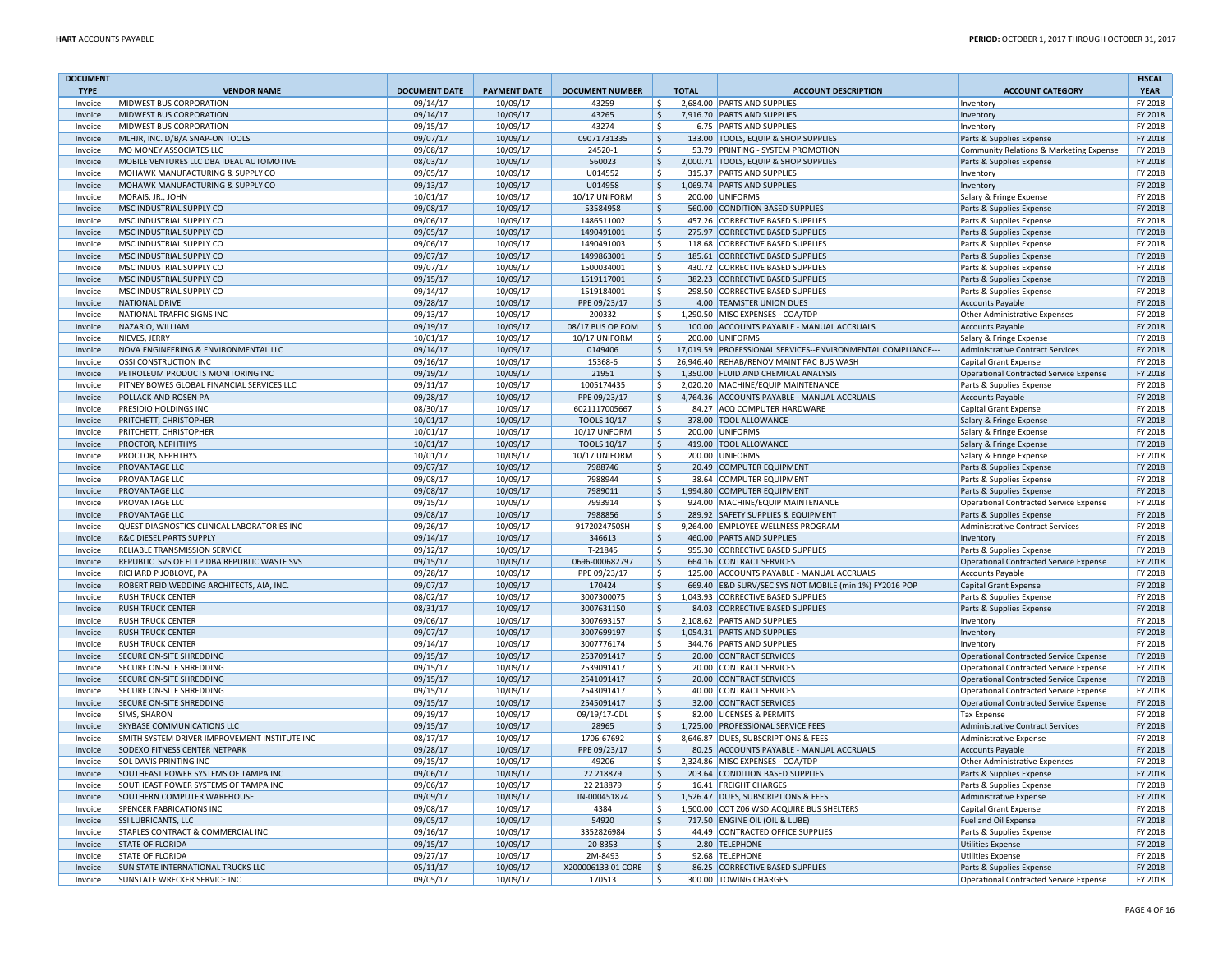| <b>DOCUMENT</b><br><b>TYPE</b> | <b>VENDOR NAME</b>                            | <b>DOCUMENT DATE</b> | <b>PAYMENT DATE</b> | <b>DOCUMENT NUMBER</b> | <b>TOTAL</b>       | <b>ACCOUNT DESCRIPTION</b>                                   | <b>ACCOUNT CATEGORY</b>                       | <b>FISCAL</b><br><b>YEAR</b> |
|--------------------------------|-----------------------------------------------|----------------------|---------------------|------------------------|--------------------|--------------------------------------------------------------|-----------------------------------------------|------------------------------|
| Invoice                        | <b>MIDWEST BUS CORPORATION</b>                | 09/14/17             | 10/09/17            | 43259                  | Ŝ.                 | 2.684.00 PARTS AND SUPPLIES                                  | Inventory                                     | FY 2018                      |
| Invoice                        | <b>MIDWEST BUS CORPORATION</b>                | 09/14/17             | 10/09/17            | 43265                  | Ŝ.                 | 7,916.70 PARTS AND SUPPLIES                                  | Inventory                                     | FY 2018                      |
| Invoice                        | <b>MIDWEST BUS CORPORATION</b>                | 09/15/17             | 10/09/17            | 43274                  | \$                 | 6.75 PARTS AND SUPPLIES                                      | Inventory                                     | FY 2018                      |
| Invoice                        | MLHJR, INC. D/B/A SNAP-ON TOOLS               | 09/07/17             | 10/09/17            | 09071731335            | \$                 | 133.00 TOOLS, EQUIP & SHOP SUPPLIES                          | Parts & Supplies Expense                      | FY 2018                      |
| Invoice                        | MO MONEY ASSOCIATES LLC                       | 09/08/17             | 10/09/17            | 24520-1                | \$                 | 53.79 PRINTING - SYSTEM PROMOTION                            | Community Relations & Marketing Expense       | FY 2018                      |
| Invoice                        | MOBILE VENTURES LLC DBA IDEAL AUTOMOTIVE      | 08/03/17             | 10/09/17            | 560023                 | \$                 | 2,000.71 TOOLS, EQUIP & SHOP SUPPLIES                        | Parts & Supplies Expense                      | FY 2018                      |
| Invoice                        | MOHAWK MANUFACTURING & SUPPLY CO              | 09/05/17             | 10/09/17            | U014552                | \$                 | 315.37 PARTS AND SUPPLIES                                    | Inventory                                     | FY 2018                      |
| Invoice                        | MOHAWK MANUFACTURING & SUPPLY CO              | 09/13/17             | 10/09/17            | U014958                | $\frac{1}{2}$      | 1,069.74 PARTS AND SUPPLIES                                  | Inventory                                     | FY 2018                      |
| Invoice                        | MORAIS, JR., JOHN                             | 10/01/17             | 10/09/17            | 10/17 UNIFORM          | \$                 | 200.00 UNIFORMS                                              | Salary & Fringe Expense                       | FY 2018                      |
| Invoice                        | MSC INDUSTRIAL SUPPLY CO                      | 09/08/17             | 10/09/17            | 53584958               | \$                 | 560.00 CONDITION BASED SUPPLIES                              | Parts & Supplies Expense                      | FY 2018                      |
| Invoice                        | MSC INDUSTRIAL SUPPLY CO                      | 09/06/17             | 10/09/17            | 1486511002             | \$.                | 457.26 CORRECTIVE BASED SUPPLIES                             | Parts & Supplies Expense                      | FY 2018                      |
| Invoice                        | MSC INDUSTRIAL SUPPLY CO                      | 09/05/17             | 10/09/17            | 1490491001             | \$                 | 275.97 CORRECTIVE BASED SUPPLIES                             | Parts & Supplies Expense                      | FY 2018                      |
| Invoice                        | MSC INDUSTRIAL SUPPLY CO                      | 09/06/17             | 10/09/17            | 1490491003             | \$                 | 118.68 CORRECTIVE BASED SUPPLIES                             | Parts & Supplies Expense                      | FY 2018                      |
| Invoice                        | MSC INDUSTRIAL SUPPLY CO                      | 09/07/17             | 10/09/17            | 1499863001             | $\frac{1}{2}$      | 185.61 CORRECTIVE BASED SUPPLIES                             | Parts & Supplies Expense                      | FY 2018                      |
| Invoice                        | MSC INDUSTRIAL SUPPLY CO                      | 09/07/17             | 10/09/17            | 1500034001             | \$                 | 430.72 CORRECTIVE BASED SUPPLIES                             | Parts & Supplies Expense                      | FY 2018                      |
| Invoice                        | MSC INDUSTRIAL SUPPLY CO                      | 09/15/17             | 10/09/17            | 1519117001             | $\zeta$            | 382.23 CORRECTIVE BASED SUPPLIES                             | Parts & Supplies Expense                      | FY 2018                      |
| Invoice                        | MSC INDUSTRIAL SUPPLY CO                      | 09/14/17             | 10/09/17            | 1519184001             | \$                 | 298.50 CORRECTIVE BASED SUPPLIES                             | Parts & Supplies Expense                      | FY 2018                      |
| Invoice                        | NATIONAL DRIVE                                | 09/28/17             | 10/09/17            | PPE 09/23/17           | \$                 | 4.00 TEAMSTER UNION DUES                                     | <b>Accounts Payable</b>                       | FY 2018                      |
| Invoice                        | NATIONAL TRAFFIC SIGNS INC                    | 09/13/17             | 10/09/17            | 200332                 | $\mathsf{S}$       | 1,290.50 MISC EXPENSES - COA/TDP                             | <b>Other Administrative Expenses</b>          | FY 2018                      |
| Invoice                        | NAZARIO, WILLIAM                              | 09/19/17             | 10/09/17            | 08/17 BUS OP EOM       | $\mathsf{\hat{S}}$ | 100.00 ACCOUNTS PAYABLE - MANUAL ACCRUALS                    | <b>Accounts Payable</b>                       | FY 2018                      |
| Invoice                        | NIEVES, JERRY                                 | 10/01/17             | 10/09/17            | 10/17 UNIFORM          | \$                 | 200.00 UNIFORMS                                              | Salary & Fringe Expense                       | FY 2018                      |
| Invoice                        | NOVA ENGINEERING & ENVIRONMENTAL LLC          | 09/14/17             | 10/09/17            | 0149406                | \$                 | 17,019.59 PROFESSIONAL SERVICES--ENVIRONMENTAL COMPLIANCE--- | Administrative Contract Services              | FY 2018                      |
| Invoice                        | <b>OSSI CONSTRUCTION INC</b>                  | 09/16/17             | 10/09/17            | 15368-6                | Ŝ.                 | 26,946.40 REHAB/RENOV MAINT FAC BUS WASH                     | <b>Capital Grant Expense</b>                  | FY 2018                      |
| Invoice                        | PETROLEUM PRODUCTS MONITORING INC             | 09/19/17             | 10/09/17            | 21951                  | Ŝ.                 | 1,350.00 FLUID AND CHEMICAL ANALYSIS                         | <b>Operational Contracted Service Expense</b> | FY 2018                      |
| Invoice                        | PITNEY BOWES GLOBAL FINANCIAL SERVICES LLC    | 09/11/17             | 10/09/17            | 1005174435             | Ŝ.                 | 2,020.20 MACHINE/EQUIP MAINTENANCE                           | Parts & Supplies Expense                      | FY 2018                      |
| Invoice                        | POLLACK AND ROSEN PA                          | 09/28/17             | 10/09/17            | PPE 09/23/17           | \$                 | 4,764.36 ACCOUNTS PAYABLE - MANUAL ACCRUALS                  | <b>Accounts Payable</b>                       | FY 2018                      |
| Invoice                        | PRESIDIO HOLDINGS INC                         | 08/30/17             | 10/09/17            | 6021117005667          | Ŝ.                 | 84.27 ACQ COMPUTER HARDWARE                                  | Capital Grant Expense                         | FY 2018                      |
| Invoice                        | PRITCHETT, CHRISTOPHER                        | 10/01/17             | 10/09/17            | <b>TOOLS 10/17</b>     | \$                 | 378.00 TOOL ALLOWANCE                                        | Salary & Fringe Expense                       | FY 2018                      |
| Invoice                        | PRITCHETT, CHRISTOPHER                        | 10/01/17             | 10/09/17            | <b>10/17 UNFORM</b>    | \$                 | 200.00 UNIFORMS                                              | Salary & Fringe Expense                       | FY 2018                      |
| Invoice                        | <b>PROCTOR, NEPHTHYS</b>                      | 10/01/17             | 10/09/17            | <b>TOOLS 10/17</b>     | \$                 | 419.00 TOOL ALLOWANCE                                        | Salary & Fringe Expense                       | FY 2018                      |
| Invoice                        | <b>PROCTOR, NEPHTHYS</b>                      | 10/01/17             | 10/09/17            | 10/17 UNIFORM          | \$                 | 200.00 UNIFORMS                                              | Salary & Fringe Expense                       | FY 2018                      |
| Invoice                        | <b>PROVANTAGE LLC</b>                         | 09/07/17             | 10/09/17            | 7988746                | $\zeta$            | 20.49 COMPUTER EQUIPMENT                                     | Parts & Supplies Expense                      | FY 2018                      |
| Invoice                        | PROVANTAGE LLC                                | 09/08/17             | 10/09/17            | 7988944                | Ś.                 | 38.64 COMPUTER EQUIPMENT                                     | Parts & Supplies Expense                      | FY 2018                      |
| Invoice                        | <b>PROVANTAGE LLC</b>                         | 09/08/17             | 10/09/17            | 7989011                | \$                 | 1,994.80 COMPUTER EQUIPMENT                                  | Parts & Supplies Expense                      | FY 2018                      |
| Invoice                        | <b>PROVANTAGE LLC</b>                         | 09/15/17             | 10/09/17            | 7993914                | \$                 | 924.00 MACHINE/EQUIP MAINTENANCE                             | Operational Contracted Service Expense        | FY 2018                      |
| Invoice                        | <b>PROVANTAGE LLC</b>                         | 09/08/17             | 10/09/17            | 7988856                | $\mathsf{\hat{S}}$ | 289.92 SAFETY SUPPLIES & EQUIPMENT                           | Parts & Supplies Expense                      | FY 2018                      |
| Invoice                        | QUEST DIAGNOSTICS CLINICAL LABORATORIES INC   | 09/26/17             | 10/09/17            | 9172024750SH           | \$                 | 9,264.00 EMPLOYEE WELLNESS PROGRAM                           | <b>Administrative Contract Services</b>       | FY 2018                      |
| Invoice                        | <b>R&amp;C DIESEL PARTS SUPPLY</b>            | 09/14/17             | 10/09/17            | 346613                 | $\mathsf{\hat{S}}$ | 460.00 PARTS AND SUPPLIES                                    | Inventory                                     | FY 2018                      |
| Invoice                        | RELIABLE TRANSMISSION SERVICE                 | 09/12/17             | 10/09/17            | T-21845                | Ŝ.                 | 955.30 CORRECTIVE BASED SUPPLIES                             | Parts & Supplies Expense                      | FY 2018                      |
| Invoice                        | REPUBLIC SVS OF FL LP DBA REPUBLIC WASTE SVS  | 09/15/17             | 10/09/17            | 0696-000682797         | \$                 | 664.16 CONTRACT SERVICES                                     | Operational Contracted Service Expense        | FY 2018                      |
| Invoice                        | RICHARD P JOBLOVE, PA                         | 09/28/17             | 10/09/17            | PPE 09/23/17           | \$                 | 125.00 ACCOUNTS PAYABLE - MANUAL ACCRUALS                    | <b>Accounts Payable</b>                       | FY 2018                      |
| Invoice                        | ROBERT REID WEDDING ARCHITECTS, AIA, INC.     | 09/07/17             | 10/09/17            | 170424                 | $\mathsf{\hat{S}}$ | 669.40 E&D SURV/SEC SYS NOT MOBILE (min 1%) FY2016 POP       | Capital Grant Expense                         | FY 2018                      |
| Invoice                        | <b>RUSH TRUCK CENTER</b>                      | 08/02/17             | 10/09/17            | 3007300075             | \$                 | 1,043.93 CORRECTIVE BASED SUPPLIES                           | Parts & Supplies Expense                      | FY 2018                      |
| Invoice                        | <b>RUSH TRUCK CENTER</b>                      | 08/31/17             | 10/09/17            | 3007631150             | \$                 | 84.03 CORRECTIVE BASED SUPPLIES                              | Parts & Supplies Expense                      | FY 2018                      |
| Invoice                        | <b>RUSH TRUCK CENTER</b>                      | 09/06/17             | 10/09/17            | 3007693157             | \$                 | 2,108.62 PARTS AND SUPPLIES                                  | Inventory                                     | FY 2018                      |
| Invoice                        | <b>RUSH TRUCK CENTER</b>                      | 09/07/17             | 10/09/17            | 3007699197             | Ŝ.                 | 1,054.31 PARTS AND SUPPLIES                                  | Inventory                                     | FY 2018                      |
| Invoice                        | <b>RUSH TRUCK CENTER</b>                      | 09/14/17             | 10/09/17            | 3007776174             | \$                 | 344.76 PARTS AND SUPPLIES                                    | Inventory                                     | FY 2018                      |
| Invoice                        | <b>SECURE ON-SITE SHREDDING</b>               | 09/15/17             | 10/09/17            | 2537091417             | Ŝ.                 | 20.00 CONTRACT SERVICES                                      | <b>Operational Contracted Service Expense</b> | FY 2018                      |
| Invoice                        | <b>SECURE ON-SITE SHREDDING</b>               | 09/15/17             | 10/09/17            | 2539091417             | \$                 | 20.00 CONTRACT SERVICES                                      | <b>Operational Contracted Service Expense</b> | FY 2018                      |
| Invoice                        | <b>SECURE ON-SITE SHREDDING</b>               | 09/15/17             | 10/09/17            | 2541091417             | $\mathsf{\hat{S}}$ | 20.00 CONTRACT SERVICES                                      | <b>Operational Contracted Service Expense</b> | FY 2018                      |
| Invoice                        | <b>SECURE ON-SITE SHREDDING</b>               | 09/15/17             | 10/09/17            | 2543091417             | \$                 | 40.00 CONTRACT SERVICES                                      | <b>Operational Contracted Service Expense</b> | FY 2018                      |
| Invoice                        | <b>SECURE ON-SITE SHREDDING</b>               | 09/15/17             | 10/09/17            | 2545091417             | \$                 | 32.00 CONTRACT SERVICES                                      | <b>Operational Contracted Service Expense</b> | FY 2018                      |
| Invoice                        | <b>SIMS, SHARON</b>                           | 09/19/17             | 10/09/17            | 09/19/17-CDL           | Ŝ.                 | 82.00 LICENSES & PERMITS                                     | <b>Tax Expense</b>                            | FY 2018                      |
| Invoice                        | <b>SKYBASE COMMUNICATIONS LLC</b>             | 09/15/17             | 10/09/17            | 28965                  | $\frac{1}{2}$      | 1,725.00 PROFESSIONAL SERVICE FEES                           | <b>Administrative Contract Services</b>       | FY 2018                      |
| Invoice                        | SMITH SYSTEM DRIVER IMPROVEMENT INSTITUTE INC | 08/17/17             | 10/09/17            | 1706-67692             | \$                 | 8,646.87 DUES, SUBSCRIPTIONS & FEES                          | Administrative Expense                        | FY 2018                      |
| Invoice                        | SODEXO FITNESS CENTER NETPARK                 | 09/28/17             | 10/09/17            | PPE 09/23/17           | \$                 | 80.25 ACCOUNTS PAYABLE - MANUAL ACCRUALS                     | <b>Accounts Payable</b>                       | FY 2018                      |
| Invoice                        | <b>SOL DAVIS PRINTING INC</b>                 | 09/15/17             | 10/09/17            | 49206                  | \$                 | 2,324.86 MISC EXPENSES - COA/TDP                             | Other Administrative Expenses                 | FY 2018                      |
| Invoice                        | SOUTHEAST POWER SYSTEMS OF TAMPA INC          | 09/06/17             | 10/09/17            | 22 218879              | \$                 | 203.64 CONDITION BASED SUPPLIES                              | Parts & Supplies Expense                      | FY 2018                      |
| Invoice                        | SOUTHEAST POWER SYSTEMS OF TAMPA INC          | 09/06/17             | 10/09/17            | 22 218879              | Ŝ.                 | 16.41 FREIGHT CHARGES                                        | Parts & Supplies Expense                      | FY 2018                      |
| Invoice                        | SOUTHERN COMPUTER WAREHOUSE                   | 09/09/17             | 10/09/17            | IN-000451874           | \$                 | 1,526.47 DUES, SUBSCRIPTIONS & FEES                          | Administrative Expense                        | FY 2018                      |
| Invoice                        | <b>SPENCER FABRICATIONS INC</b>               | 09/08/17             | 10/09/17            | 4384                   | Ŝ.                 | 1,500.00 COT Z06 WSD ACQUIRE BUS SHELTERS                    | <b>Capital Grant Expense</b>                  | FY 2018                      |
| Invoice                        | <b>SSI LUBRICANTS, LLC</b>                    | 09/05/17             | 10/09/17            | 54920                  | \$                 | 717.50 ENGINE OIL (OIL & LUBE)                               | Fuel and Oil Expense                          | FY 2018                      |
| Invoice                        | <b>STAPLES CONTRACT &amp; COMMERCIAL INC</b>  | 09/16/17             | 10/09/17            | 3352826984             | -S                 | 44.49 CONTRACTED OFFICE SUPPLIES                             | Parts & Supplies Expense                      | FY 2018                      |
| Invoice                        | <b>STATE OF FLORIDA</b>                       | 09/15/17             | 10/09/17            | 20-8353                | \$                 | 2.80 TELEPHONE                                               | <b>Utilities Expense</b>                      | FY 2018                      |
| Invoice                        | <b>STATE OF FLORIDA</b>                       | 09/27/17             | 10/09/17            | 2M-8493                | \$                 | 92.68 TELEPHONE                                              | <b>Utilities Expense</b>                      | FY 2018                      |
| Invoice                        | <b>SUN STATE INTERNATIONAL TRUCKS LLC</b>     | 05/11/17             | 10/09/17            | X200006133 01 CORE     | l\$                | 86.25 CORRECTIVE BASED SUPPLIES                              | Parts & Supplies Expense                      | FY 2018                      |
| Invoice                        | <b>SUNSTATE WRECKER SERVICE INC</b>           | 09/05/17             | 10/09/17            | 170513                 | Ŝ.                 | 300.00 TOWING CHARGES                                        | Operational Contracted Service Expense        | FY 2018                      |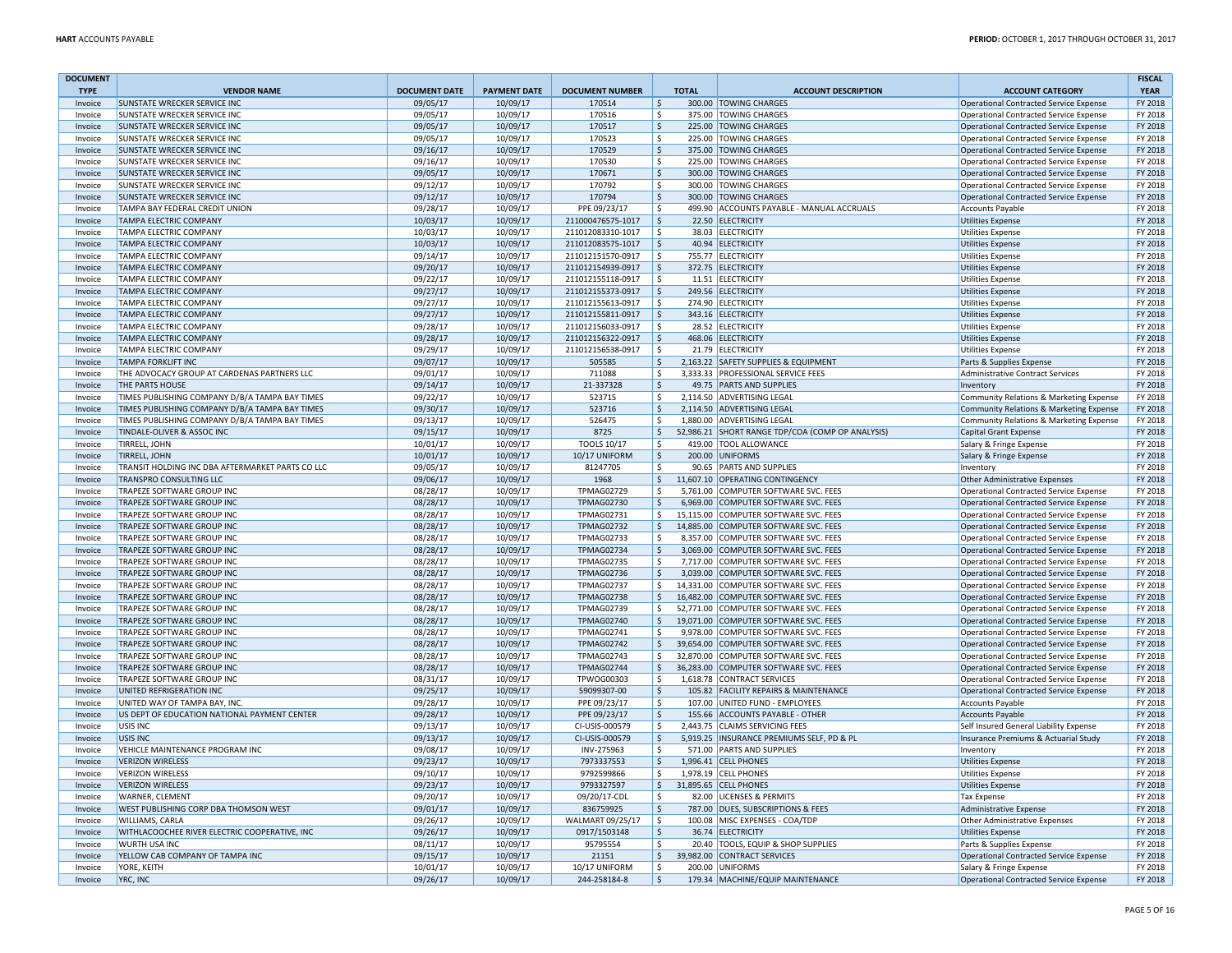| <b>DOCUMENT</b>    |                                                                     |                      |                      |                                        |                         |                                                                               |                                                                                  | <b>FISCAL</b>      |
|--------------------|---------------------------------------------------------------------|----------------------|----------------------|----------------------------------------|-------------------------|-------------------------------------------------------------------------------|----------------------------------------------------------------------------------|--------------------|
| <b>TYPE</b>        | <b>VENDOR NAME</b>                                                  | <b>DOCUMENT DATE</b> | <b>PAYMENT DATE</b>  | <b>DOCUMENT NUMBER</b>                 | <b>TOTAL</b>            | <b>ACCOUNT DESCRIPTION</b>                                                    | <b>ACCOUNT CATEGORY</b>                                                          | <b>YEAR</b>        |
| Invoice            | <b>SUNSTATE WRECKER SERVICE INC</b>                                 | 09/05/17             | 10/09/17             | 170514                                 | l \$                    | 300.00 TOWING CHARGES                                                         | Operational Contracted Service Expense                                           | FY 2018            |
| Invoice            | <b>SUNSTATE WRECKER SERVICE INC</b>                                 | 09/05/17             | 10/09/17             | 170516                                 | l \$                    | 375.00 TOWING CHARGES                                                         | Operational Contracted Service Expense                                           | FY 2018            |
| Invoice            | <b>SUNSTATE WRECKER SERVICE INC</b>                                 | 09/05/17             | 10/09/17             | 170517                                 | \$ ا                    | 225.00 TOWING CHARGES                                                         | Operational Contracted Service Expense                                           | FY 2018            |
| Invoice            | <b>SUNSTATE WRECKER SERVICE INC</b>                                 | 09/05/17             | 10/09/17             | 170523                                 | ۱\$                     | 225.00 TOWING CHARGES                                                         | Operational Contracted Service Expense                                           | FY 2018            |
| Invoice            | SUNSTATE WRECKER SERVICE INC                                        | 09/16/17             | 10/09/17             | 170529                                 | l \$                    | 375.00 TOWING CHARGES                                                         | <b>Operational Contracted Service Expense</b>                                    | FY 2018            |
| Invoice            | <b>SUNSTATE WRECKER SERVICE INC</b>                                 | 09/16/17             | 10/09/17             | 170530                                 | l \$                    | 225.00 TOWING CHARGES                                                         | Operational Contracted Service Expense                                           | FY 2018            |
| Invoice<br>Invoice | <b>SUNSTATE WRECKER SERVICE INC</b><br>SUNSTATE WRECKER SERVICE INC | 09/05/17             | 10/09/17             | 170671<br>170792                       | ۱\$.<br>\$ ا            | 300.00 TOWING CHARGES<br>300.00 TOWING CHARGES                                | Operational Contracted Service Expense                                           | FY 2018<br>FY 2018 |
|                    | SUNSTATE WRECKER SERVICE INC                                        | 09/12/17             | 10/09/17             | 170794                                 | ۱\$                     | 300.00 TOWING CHARGES                                                         | Operational Contracted Service Expense                                           | FY 2018            |
| Invoice<br>Invoice | TAMPA BAY FEDERAL CREDIT UNION                                      | 09/12/17<br>09/28/17 | 10/09/17<br>10/09/17 | PPE 09/23/17                           | $\overline{\mathsf{s}}$ | 499.90 ACCOUNTS PAYABLE - MANUAL ACCRUALS                                     | Operational Contracted Service Expense<br><b>Accounts Payable</b>                | FY 2018            |
| Invoice            | TAMPA ELECTRIC COMPANY                                              | 10/03/17             | 10/09/17             | 211000476575-1017                      | l \$                    | 22.50 ELECTRICITY                                                             | <b>Utilities Expense</b>                                                         | FY 2018            |
| Invoice            | TAMPA ELECTRIC COMPANY                                              | 10/03/17             | 10/09/17             | 211012083310-1017                      | l \$                    | 38.03 ELECTRICITY                                                             | <b>Utilities Expense</b>                                                         | FY 2018            |
| Invoice            | TAMPA ELECTRIC COMPANY                                              | 10/03/17             | 10/09/17             | 211012083575-1017                      | ∣\$                     | 40.94 ELECTRICITY                                                             | <b>Utilities Expense</b>                                                         | FY 2018            |
| Invoice            | <b>TAMPA ELECTRIC COMPANY</b>                                       | 09/14/17             | 10/09/17             | 211012151570-0917                      | ١s                      | 755.77 ELECTRICITY                                                            | <b>Utilities Expense</b>                                                         | FY 2018            |
| Invoice            | <b>TAMPA ELECTRIC COMPANY</b>                                       | 09/20/17             | 10/09/17             | 211012154939-0917                      | l\$                     | 372.75 ELECTRICITY                                                            | Utilities Expense                                                                | FY 2018            |
| Invoice            | TAMPA ELECTRIC COMPANY                                              | 09/22/17             | 10/09/17             | 211012155118-0917                      | Ŝ.                      | 11.51 ELECTRICITY                                                             | <b>Utilities Expense</b>                                                         | FY 2018            |
| Invoice            | TAMPA ELECTRIC COMPANY                                              | 09/27/17             | 10/09/17             | 211012155373-0917                      | $\zeta$                 | 249.56 ELECTRICITY                                                            | <b>Utilities Expense</b>                                                         | FY 2018            |
| Invoice            | TAMPA ELECTRIC COMPANY                                              | 09/27/17             | 10/09/17             | 211012155613-0917                      | \$                      | 274.90 ELECTRICITY                                                            | <b>Utilities Expense</b>                                                         | FY 2018            |
| Invoice            | TAMPA ELECTRIC COMPANY                                              | 09/27/17             | 10/09/17             | 211012155811-0917                      | ۱\$.                    | 343.16 ELECTRICITY                                                            | <b>Utilities Expense</b>                                                         | FY 2018            |
| Invoice            | TAMPA ELECTRIC COMPANY                                              | 09/28/17             | 10/09/17             | 211012156033-0917                      | ۱\$                     | 28.52 ELECTRICITY                                                             | <b>Utilities Expense</b>                                                         | FY 2018            |
| Invoice            | TAMPA ELECTRIC COMPANY                                              | 09/28/17             | 10/09/17             | 211012156322-0917                      | ∣\$                     | 468.06 ELECTRICITY                                                            | <b>Utilities Expense</b>                                                         | FY 2018            |
| Invoice            | TAMPA ELECTRIC COMPANY                                              | 09/29/17             | 10/09/17             | 211012156538-0917                      | ١s                      | 21.79 ELECTRICITY                                                             | <b>Utilities Expense</b>                                                         | FY 2018            |
| Invoice            | <b>TAMPA FORKLIFT INC</b>                                           | 09/07/17             | 10/09/17             | 505585                                 | $\zeta$                 | 2,163.22 SAFETY SUPPLIES & EQUIPMENT                                          | Parts & Supplies Expense                                                         | FY 2018            |
| Invoice            | THE ADVOCACY GROUP AT CARDENAS PARTNERS LLC                         | 09/01/17             | 10/09/17             | 711088                                 | \$                      | 3,333.33 PROFESSIONAL SERVICE FEES                                            | Administrative Contract Services                                                 | FY 2018            |
| Invoice            | <b>THE PARTS HOUSE</b>                                              | 09/14/17             | 10/09/17             | 21-337328                              | l \$                    | 49.75 PARTS AND SUPPLIES                                                      | Inventory                                                                        | FY 2018            |
| Invoice            | TIMES PUBLISHING COMPANY D/B/A TAMPA BAY TIMES                      | 09/22/17             | 10/09/17             | 523715                                 | ١s                      | 2,114.50 ADVERTISING LEGAL                                                    | Community Relations & Marketing Expense                                          | FY 2018            |
| Invoice            | TIMES PUBLISHING COMPANY D/B/A TAMPA BAY TIMES                      | 09/30/17             | 10/09/17             | 523716                                 | $\frac{1}{2}$           | 2,114.50 ADVERTISING LEGAL                                                    | Community Relations & Marketing Expense                                          | FY 2018            |
| Invoice            | TIMES PUBLISHING COMPANY D/B/A TAMPA BAY TIMES                      | 09/13/17             | 10/09/17             | 526475                                 | ۱\$<br>1.880.00         | <b>ADVERTISING LEGAL</b>                                                      | Community Relations & Marketing Expense                                          | FY 2018            |
| Invoice            | TINDALE-OLIVER & ASSOC INC                                          | 09/15/17             | 10/09/17             | 8725                                   | \$                      | 52,986.21 SHORT RANGE TDP/COA (COMP OP ANALYSIS)                              | Capital Grant Expense                                                            | FY 2018            |
| Invoice            | TIRRELL, JOHN                                                       | 10/01/17             | 10/09/17             | <b>TOOLS 10/17</b>                     | l\$                     | 419.00 TOOL ALLOWANCE                                                         | Salary & Fringe Expense                                                          | FY 2018            |
| Invoice            | <b>TIRRELL, JOHN</b>                                                | 10/01/17             | 10/09/17             | 10/17 UNIFORM                          | ۱s.                     | 200.00 UNIFORMS                                                               | Salary & Fringe Expense                                                          | FY 2018            |
| Invoice            | TRANSIT HOLDING INC DBA AFTERMARKET PARTS CO LLC                    | 09/05/17             | 10/09/17             | 81247705                               | l \$                    | 90.65 PARTS AND SUPPLIES                                                      | Inventory                                                                        | FY 2018            |
| Invoice            | TRANSPRO CONSULTING LLC                                             | 09/06/17             | 10/09/17             | 1968                                   | $\zeta$                 | 11,607.10 OPERATING CONTINGENCY                                               | Other Administrative Expenses                                                    | FY 2018            |
| Invoice            | TRAPEZE SOFTWARE GROUP INC                                          | 08/28/17             | 10/09/17             | <b>TPMAG02729</b>                      | l\$                     | 5,761.00 COMPUTER SOFTWARE SVC. FEES                                          | Operational Contracted Service Expense                                           | FY 2018            |
| Invoice            | TRAPEZE SOFTWARE GROUP INC                                          | 08/28/17             | 10/09/17             | <b>TPMAG02730</b>                      | S.                      | 6.969.00 COMPUTER SOFTWARE SVC. FEES                                          | Operational Contracted Service Expense                                           | FY 2018            |
| Invoice            | TRAPEZE SOFTWARE GROUP INC                                          | 08/28/17             | 10/09/17             | <b>TPMAG02731</b>                      | l\$                     | 15,115.00 COMPUTER SOFTWARE SVC. FEES                                         | Operational Contracted Service Expense                                           | FY 2018            |
| Invoice            | TRAPEZE SOFTWARE GROUP INC                                          | 08/28/17             | 10/09/17             | <b>TPMAG02732</b>                      | l \$                    | 14,885.00 COMPUTER SOFTWARE SVC. FEES                                         | Operational Contracted Service Expense                                           | FY 2018            |
| Invoice            | <b>TRAPEZE SOFTWARE GROUP INC</b>                                   | 08/28/17             | 10/09/17             | <b>TPMAG02733</b>                      | l \$<br>8,357.00        | COMPUTER SOFTWARE SVC. FEES                                                   | Operational Contracted Service Expense                                           | FY 2018            |
| Invoice            | TRAPEZE SOFTWARE GROUP INC                                          | 08/28/17             | 10/09/17             | <b>TPMAG02734</b>                      | ∣\$                     | 3,069.00 COMPUTER SOFTWARE SVC. FEES                                          | Operational Contracted Service Expense                                           | FY 2018            |
| Invoice            | TRAPEZE SOFTWARE GROUP INC                                          | 08/28/17             | 10/09/17             | <b>TPMAG02735</b>                      | l \$<br>7.717.00        | COMPUTER SOFTWARE SVC. FEES                                                   | Operational Contracted Service Expense                                           | FY 2018            |
| Invoice            | <b>TRAPEZE SOFTWARE GROUP INC</b>                                   | 08/28/17             | 10/09/17             | <b>TPMAG02736</b>                      | ۱s.                     | 3,039.00 COMPUTER SOFTWARE SVC. FEES                                          | Operational Contracted Service Expense                                           | FY 2018            |
| Invoice            | TRAPEZE SOFTWARE GROUP INC                                          | 08/28/17             | 10/09/17             | <b>TPMAG02737</b>                      | l \$                    | 14.331.00 COMPUTER SOFTWARE SVC. FEES                                         | Operational Contracted Service Expense                                           | FY 2018            |
| Invoice            | TRAPEZE SOFTWARE GROUP INC                                          | 08/28/17             | 10/09/17             | <b>TPMAG02738</b>                      | ۱\$                     | 16,482.00 COMPUTER SOFTWARE SVC. FEES                                         | Operational Contracted Service Expense                                           | FY 2018            |
| Invoice            | TRAPEZE SOFTWARE GROUP INC                                          | 08/28/17             | 10/09/17             | <b>TPMAG02739</b>                      | l \$                    | 52,771.00 COMPUTER SOFTWARE SVC. FEES                                         | Operational Contracted Service Expense                                           | FY 2018            |
| Invoice            | TRAPEZE SOFTWARE GROUP INC                                          | 08/28/17             | 10/09/17             | <b>TPMAG02740</b>                      | S.                      | 19,071.00 COMPUTER SOFTWARE SVC. FEES                                         | Operational Contracted Service Expense                                           | FY 2018<br>FY 2018 |
| Invoice<br>Invoice | TRAPEZE SOFTWARE GROUP INC<br><b>TRAPEZE SOFTWARE GROUP INC</b>     | 08/28/17<br>08/28/17 | 10/09/17<br>10/09/17 | <b>TPMAG02741</b><br><b>TPMAG02742</b> | l \$<br>I\$             | 9,978.00 COMPUTER SOFTWARE SVC. FEES<br>39,654.00 COMPUTER SOFTWARE SVC. FEES | Operational Contracted Service Expense                                           | FY 2018            |
| Invoice            | TRAPEZE SOFTWARE GROUP INC                                          | 08/28/17             | 10/09/17             | <b>TPMAG02743</b>                      | l\$                     | 32,870.00 COMPUTER SOFTWARE SVC. FEES                                         | Operational Contracted Service Expense<br>Operational Contracted Service Expense | FY 2018            |
| Invoice            | TRAPEZE SOFTWARE GROUP INC                                          | 08/28/17             | 10/09/17             | <b>TPMAG02744</b>                      | l \$                    | 36,283.00 COMPUTER SOFTWARE SVC. FEES                                         | Operational Contracted Service Expense                                           | FY 2018            |
| Invoice            | TRAPEZE SOFTWARE GROUP INC                                          | 08/31/17             | 10/09/17             | TPWOG00303                             | l \$                    | 1,618.78 CONTRACT SERVICES                                                    | Operational Contracted Service Expense                                           | FY 2018            |
| Invoice            | UNITED REFRIGERATION INC                                            | 09/25/17             | 10/09/17             | 59099307-00                            | l\$<br>105.82           | <b>FACILITY REPAIRS &amp; MAINTENANCE</b>                                     | <b>Operational Contracted Service Expense</b>                                    | FY 2018            |
| Invoice            | UNITED WAY OF TAMPA BAY, INC.                                       | 09/28/17             | 10/09/17             | PPE 09/23/17                           | l \$<br>107.00          | UNITED FUND - EMPLOYEES                                                       | <b>Accounts Payable</b>                                                          | FY 2018            |
| Invoice            | US DEPT OF EDUCATION NATIONAL PAYMENT CENTER                        | 09/28/17             | 10/09/17             | PPE 09/23/17                           | \$                      | 155.66 ACCOUNTS PAYABLE - OTHER                                               | <b>Accounts Payable</b>                                                          | FY 2018            |
| Invoice            | USIS INC                                                            | 09/13/17             | 10/09/17             | CI-USIS-000579                         | l \$                    | 2,443.75 CLAIMS SERVICING FEES                                                | Self Insured General Liability Expense                                           | FY 2018            |
| Invoice            | <b>USIS INC</b>                                                     | 09/13/17             | 10/09/17             | CI-USIS-000579                         | ۱\$                     | 5,919.25 INSURANCE PREMIUMS SELF, PD & PL                                     | Insurance Premiums & Actuarial Study                                             | FY 2018            |
| Invoice            | VEHICLE MAINTENANCE PROGRAM INC                                     | 09/08/17             | 10/09/17             | INV-275963                             | l \$                    | 571.00 PARTS AND SUPPLIES                                                     | Inventory                                                                        | FY 2018            |
| Invoice            | <b>VERIZON WIRELESS</b>                                             | 09/23/17             | 10/09/17             | 7973337553                             | \$                      | 1,996.41 CELL PHONES                                                          | <b>Utilities Expense</b>                                                         | FY 2018            |
| Invoice            | <b>VERIZON WIRELESS</b>                                             | 09/10/17             | 10/09/17             | 9792599866                             | l \$                    | 1.978.19 CELL PHONES                                                          | <b>Utilities Expense</b>                                                         | FY 2018            |
| Invoice            | <b>VERIZON WIRELESS</b>                                             | 09/23/17             | 10/09/17             | 9793327597                             | \$                      | 31,895.65 CELL PHONES                                                         | Utilities Expense                                                                | FY 2018            |
| Invoice            | WARNER, CLEMENT                                                     | 09/20/17             | 10/09/17             | 09/20/17-CDL                           | ۱Ś.                     | 82.00 LICENSES & PERMITS                                                      | <b>Tax Expense</b>                                                               | FY 2018            |
| Invoice            | WEST PUBLISHING CORP DBA THOMSON WEST                               | 09/01/17             | 10/09/17             | 836759925                              | l \$                    | 787.00 DUES, SUBSCRIPTIONS & FEES                                             | Administrative Expense                                                           | FY 2018            |
| Invoice            | WILLIAMS, CARLA                                                     | 09/26/17             | 10/09/17             | WALMART 09/25/17                       | ۱\$                     | 100.08 MISC EXPENSES - COA/TDP                                                | Other Administrative Expenses                                                    | FY 2018            |
| Invoice            | WITHLACOOCHEE RIVER ELECTRIC COOPERATIVE, INC                       | 09/26/17             | 10/09/17             | 0917/1503148                           | -Ś                      | 36.74 FLECTRICITY                                                             | <b>Utilities Expense</b>                                                         | FY 2018            |
| Invoice            | WURTH USA INC                                                       | 08/11/17             | 10/09/17             | 95795554                               | $\mathsf{\hat{S}}$      | 20.40 TOOLS, EQUIP & SHOP SUPPLIES                                            | Parts & Supplies Expense                                                         | FY 2018            |
| Invoice            | YELLOW CAB COMPANY OF TAMPA INC                                     | 09/15/17             | 10/09/17             | 21151                                  | S,                      | 39,982.00 CONTRACT SERVICES                                                   | Operational Contracted Service Expense                                           | FY 2018            |
| Invoice            | YORE, KEITH                                                         | 10/01/17             | 10/09/17             | 10/17 UNIFORM                          | ۱\$.                    | 200.00 UNIFORMS                                                               | Salary & Fringe Expense                                                          | FY 2018            |
| Invoice            | YRC, INC                                                            | 09/26/17             | 10/09/17             | 244-258184-8                           | ۱\$                     | 179.34 MACHINE/EQUIP MAINTENANCE                                              | Operational Contracted Service Expense                                           | FY 2018            |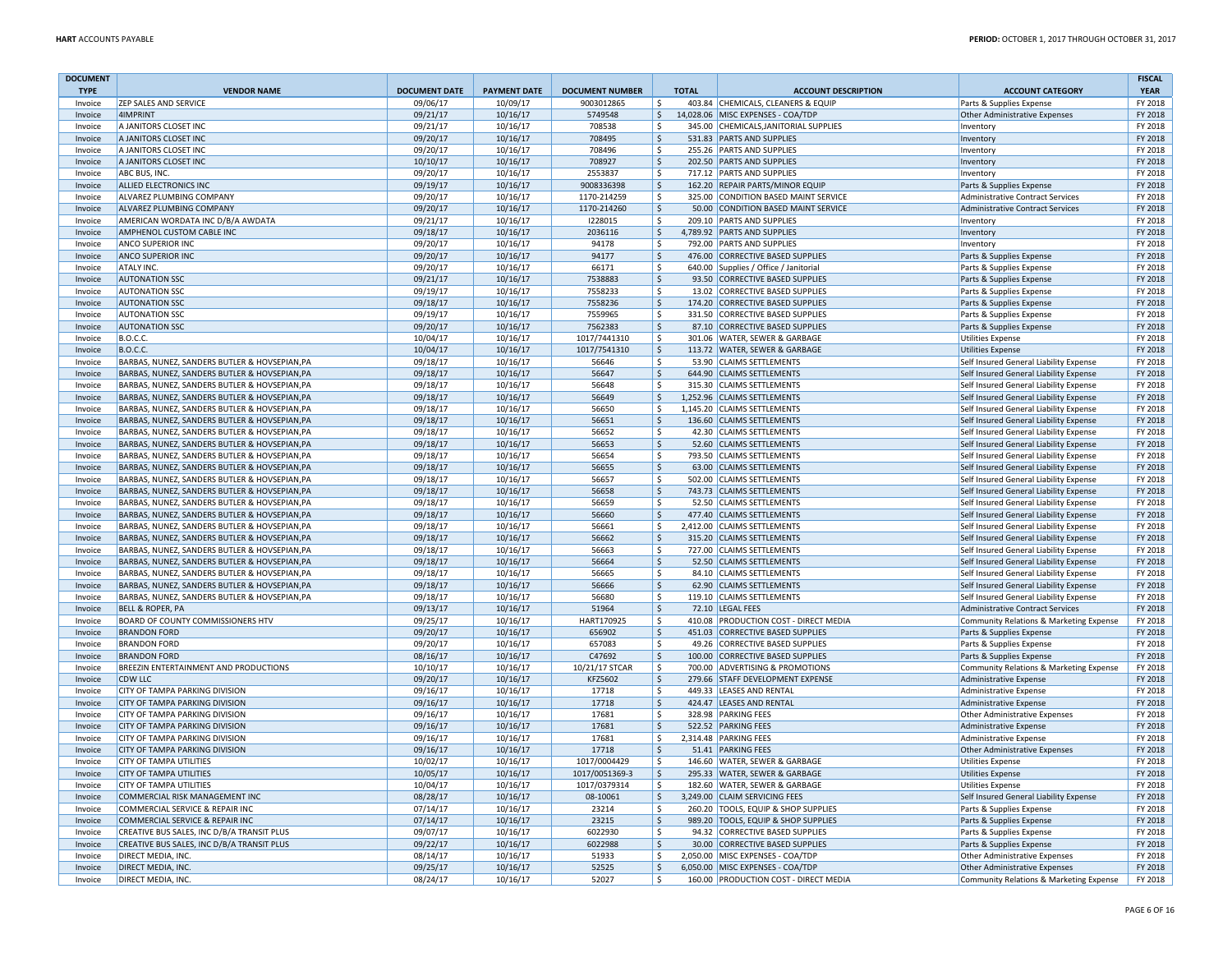| <b>DOCUMENT</b><br><b>TYPE</b> | <b>VENDOR NAME</b>                            | <b>DOCUMENT DATE</b> | <b>PAYMENT DATE</b> | <b>DOCUMENT NUMBER</b> | <b>TOTAL</b>        | <b>ACCOUNT DESCRIPTION</b>            | <b>ACCOUNT CATEGORY</b>                 | <b>FISCAL</b><br><b>YEAR</b> |
|--------------------------------|-----------------------------------------------|----------------------|---------------------|------------------------|---------------------|---------------------------------------|-----------------------------------------|------------------------------|
| Invoice                        | <b>ZEP SALES AND SERVICE</b>                  | 09/06/17             | 10/09/17            | 9003012865             | l \$                | 403.84 CHEMICALS, CLEANERS & EQUIP    | Parts & Supplies Expense                | FY 2018                      |
| Invoice                        | 4IMPRINT                                      | 09/21/17             | 10/16/17            | 5749548                | $\mathsf{S}$        | 14,028.06 MISC EXPENSES - COA/TDP     | Other Administrative Expenses           | FY 2018                      |
| Invoice                        | A JANITORS CLOSET INC                         | 09/21/17             | 10/16/17            | 708538                 | Ŝ.                  | 345.00 CHEMICALS, JANITORIAL SUPPLIES | Inventory                               | FY 2018                      |
| Invoice                        | A JANITORS CLOSET INC                         | 09/20/17             | 10/16/17            | 708495                 | Ŝ.                  | 531.83 PARTS AND SUPPLIES             | Inventory                               | FY 2018                      |
| Invoice                        | A JANITORS CLOSET INC                         | 09/20/17             | 10/16/17            | 708496                 | Ŝ.                  | 255.26 PARTS AND SUPPLIES             | Inventory                               | FY 2018                      |
| Invoice                        | A JANITORS CLOSET INC                         | 10/10/17             | 10/16/17            | 708927                 | $\mathsf{S}$        | 202.50 PARTS AND SUPPLIES             | Inventory                               | FY 2018                      |
| Invoice                        | ABC BUS, INC.                                 | 09/20/17             | 10/16/17            | 2553837                | \$                  | 717.12 PARTS AND SUPPLIES             | Inventory                               | FY 2018                      |
| Invoice                        | ALLIED ELECTRONICS INC                        | 09/19/17             | 10/16/17            | 9008336398             | $\ddot{\varsigma}$  | 162.20 REPAIR PARTS/MINOR EQUIP       | Parts & Supplies Expense                | FY 2018                      |
| Invoice                        | ALVAREZ PLUMBING COMPANY                      | 09/20/17             | 10/16/17            | 1170-214259            | Ŝ.                  | 325.00 CONDITION BASED MAINT SERVICE  | <b>Administrative Contract Services</b> | FY 2018                      |
| Invoice                        | <b>ALVAREZ PLUMBING COMPANY</b>               | 09/20/17             | 10/16/17            | 1170-214260            | $\zeta$             | 50.00 CONDITION BASED MAINT SERVICE   | <b>Administrative Contract Services</b> | FY 2018                      |
| Invoice                        | AMERICAN WORDATA INC D/B/A AWDATA             | 09/21/17             | 10/16/17            | 1228015                | -\$                 | 209.10 PARTS AND SUPPLIES             | Inventory                               | FY 2018                      |
| Invoice                        | AMPHENOL CUSTOM CABLE INC                     | 09/18/17             | 10/16/17            | 2036116                | $\mathsf{S}$        | 4,789.92 PARTS AND SUPPLIES           | Inventory                               | FY 2018                      |
| Invoice                        | <b>ANCO SUPERIOR INC</b>                      | 09/20/17             | 10/16/17            | 94178                  | Ŝ.                  | 792.00 PARTS AND SUPPLIES             | Inventory                               | FY 2018                      |
| Invoice                        | <b>ANCO SUPERIOR INC</b>                      | 09/20/17             | 10/16/17            | 94177                  | $\ddot{\varsigma}$  | 476.00 CORRECTIVE BASED SUPPLIES      | Parts & Supplies Expense                | FY 2018                      |
| Invoice                        | ATALY INC.                                    | 09/20/17             | 10/16/17            | 66171                  | -\$                 | 640.00 Supplies / Office / Janitorial | Parts & Supplies Expense                | FY 2018                      |
| Invoice                        | <b>AUTONATION SSC</b>                         | 09/21/17             | 10/16/17            | 7538883                | $\zeta$             | 93.50 CORRECTIVE BASED SUPPLIES       | Parts & Supplies Expense                | FY 2018                      |
| Invoice                        | <b>AUTONATION SSC</b>                         | 09/19/17             | 10/16/17            | 7558233                | \$                  | 13.02 CORRECTIVE BASED SUPPLIES       | Parts & Supplies Expense                | FY 2018                      |
| Invoice                        | <b>AUTONATION SSC</b>                         | 09/18/17             | 10/16/17            | 7558236                | \$                  | 174.20 CORRECTIVE BASED SUPPLIES      | Parts & Supplies Expense                | FY 2018                      |
| Invoice                        | <b>AUTONATION SSC</b>                         | 09/19/17             | 10/16/17            | 7559965                | $\mathsf{\hat{S}}$  | 331.50 CORRECTIVE BASED SUPPLIES      | Parts & Supplies Expense                | FY 2018                      |
| Invoice                        | <b>AUTONATION SSC</b>                         | 09/20/17             | 10/16/17            | 7562383                | $\mathsf{\hat{S}}$  | 87.10 CORRECTIVE BASED SUPPLIES       | Parts & Supplies Expense                | FY 2018                      |
| Invoice                        | <b>B.O.C.C.</b>                               | 10/04/17             | 10/16/17            | 1017/7441310           | Ŝ.                  | 301.06 WATER, SEWER & GARBAGE         | <b>Utilities Expense</b>                | FY 2018                      |
| Invoice                        | <b>B.O.C.C.</b>                               | 10/04/17             | 10/16/17            | 1017/7541310           | $\ddot{\varsigma}$  | 113.72 WATER, SEWER & GARBAGE         | <b>Utilities Expense</b>                | FY 2018                      |
| Invoice                        | BARBAS, NUNEZ, SANDERS BUTLER & HOVSEPIAN, PA | 09/18/17             | 10/16/17            | 56646                  | S.                  | 53.90 CLAIMS SETTLEMENTS              | Self Insured General Liability Expense  | FY 2018                      |
| Invoice                        | BARBAS, NUNEZ, SANDERS BUTLER & HOVSEPIAN, PA | 09/18/17             | 10/16/17            | 56647                  | $\zeta$             | 644.90 CLAIMS SETTLEMENTS             | Self Insured General Liability Expense  | FY 2018                      |
| Invoice                        | BARBAS, NUNEZ, SANDERS BUTLER & HOVSEPIAN, PA | 09/18/17             | 10/16/17            | 56648                  | $\mathsf{\hat{S}}$  | 315.30 CLAIMS SETTLEMENTS             | Self Insured General Liability Expense  | FY 2018                      |
| Invoice                        | BARBAS, NUNEZ, SANDERS BUTLER & HOVSEPIAN, PA | 09/18/17             | 10/16/17            | 56649                  | $\zeta$             | 1,252.96 CLAIMS SETTLEMENTS           | Self Insured General Liability Expense  | FY 2018                      |
| Invoice                        | BARBAS, NUNEZ, SANDERS BUTLER & HOVSEPIAN.PA  | 09/18/17             | 10/16/17            | 56650                  | Ŝ.                  | 1.145.20 CLAIMS SETTLEMENTS           | Self Insured General Liability Expense  | FY 2018                      |
| Invoice                        | BARBAS, NUNEZ, SANDERS BUTLER & HOVSEPIAN, PA | 09/18/17             | 10/16/17            | 56651                  | \$                  | 136.60 CLAIMS SETTLEMENTS             | Self Insured General Liability Expense  | FY 2018                      |
| Invoice                        | BARBAS, NUNEZ, SANDERS BUTLER & HOVSEPIAN, PA | 09/18/17             | 10/16/17            | 56652                  | \$                  | 42.30 CLAIMS SETTLEMENTS              | Self Insured General Liability Expense  | FY 2018                      |
| Invoice                        | BARBAS, NUNEZ, SANDERS BUTLER & HOVSEPIAN, PA | 09/18/17             | 10/16/17            | 56653                  | $\zeta$             | 52.60 CLAIMS SETTLEMENTS              | Self Insured General Liability Expense  | FY 2018                      |
| Invoice                        | BARBAS, NUNEZ, SANDERS BUTLER & HOVSEPIAN, PA | 09/18/17             | 10/16/17            | 56654                  | \$                  | 793.50 CLAIMS SETTLEMENTS             | Self Insured General Liability Expense  | FY 2018                      |
| Invoice                        | BARBAS, NUNEZ, SANDERS BUTLER & HOVSEPIAN, PA | 09/18/17             | 10/16/17            | 56655                  | $\mathsf{\hat{S}}$  | 63.00 CLAIMS SETTLEMENTS              | Self Insured General Liability Expense  | FY 2018                      |
| Invoice                        | BARBAS, NUNEZ, SANDERS BUTLER & HOVSEPIAN, PA | 09/18/17             | 10/16/17            | 56657                  | $\mathsf{\hat{S}}$  | 502.00 CLAIMS SETTLEMENTS             | Self Insured General Liability Expense  | FY 2018                      |
| Invoice                        | BARBAS, NUNEZ, SANDERS BUTLER & HOVSEPIAN, PA | 09/18/17             | 10/16/17            | 56658                  | \$                  | 743.73 CLAIMS SETTLEMENTS             | Self Insured General Liability Expense  | FY 2018                      |
| Invoice                        | BARBAS, NUNEZ, SANDERS BUTLER & HOVSEPIAN, PA | 09/18/17             | 10/16/17            | 56659                  | \$                  | 52.50 CLAIMS SETTLEMENTS              | Self Insured General Liability Expense  | FY 2018                      |
| Invoice                        | BARBAS, NUNEZ, SANDERS BUTLER & HOVSEPIAN, PA | 09/18/17             | 10/16/17            | 56660                  | $\dot{\mathsf{S}}$  | 477.40 CLAIMS SETTLEMENTS             | Self Insured General Liability Expense  | FY 2018                      |
| Invoice                        | BARBAS, NUNEZ, SANDERS BUTLER & HOVSEPIAN, PA | 09/18/17             | 10/16/17            | 56661                  | \$                  | 2,412.00 CLAIMS SETTLEMENTS           | Self Insured General Liability Expense  | FY 2018                      |
| Invoice                        | BARBAS, NUNEZ, SANDERS BUTLER & HOVSEPIAN, PA | 09/18/17             | 10/16/17            | 56662                  | Ŝ.                  | 315.20 CLAIMS SETTLEMENTS             | Self Insured General Liability Expense  | FY 2018                      |
| Invoice                        | BARBAS, NUNEZ, SANDERS BUTLER & HOVSEPIAN, PA | 09/18/17             | 10/16/17            | 56663                  | Ŝ.                  | 727.00 CLAIMS SETTLEMENTS             | Self Insured General Liability Expense  | FY 2018                      |
| Invoice                        | BARBAS, NUNEZ, SANDERS BUTLER & HOVSEPIAN, PA | 09/18/17             | 10/16/17            | 56664                  | \$                  | 52.50 CLAIMS SETTLEMENTS              | Self Insured General Liability Expense  | FY 2018                      |
| Invoice                        | BARBAS, NUNEZ, SANDERS BUTLER & HOVSEPIAN, PA | 09/18/17             | 10/16/17            | 56665                  | Ŝ.                  | 84.10 CLAIMS SETTLEMENTS              | Self Insured General Liability Expense  | FY 2018                      |
| Invoice                        | BARBAS, NUNEZ, SANDERS BUTLER & HOVSEPIAN, PA | 09/18/17             | 10/16/17            | 56666                  | $\mathsf{\hat{S}}$  | 62.90 CLAIMS SETTLEMENTS              | Self Insured General Liability Expense  | FY 2018                      |
| Invoice                        | BARBAS, NUNEZ, SANDERS BUTLER & HOVSEPIAN, PA | 09/18/17             | 10/16/17            | 56680                  | $\ddot{\mathsf{S}}$ | 119.10 CLAIMS SETTLEMENTS             | Self Insured General Liability Expense  | FY 2018                      |
| Invoice                        | <b>BELL &amp; ROPER, PA</b>                   | 09/13/17             | 10/16/17            | 51964                  | \$                  | 72.10 LEGAL FEES                      | <b>Administrative Contract Services</b> | FY 2018                      |
| Invoice                        | BOARD OF COUNTY COMMISSIONERS HTV             | 09/25/17             | 10/16/17            | HART170925             | Ŝ.                  | 410.08 PRODUCTION COST - DIRECT MEDIA | Community Relations & Marketing Expense | FY 2018                      |
| Invoice                        | <b>BRANDON FORD</b>                           | 09/20/17             | 10/16/17            | 656902                 | $\zeta$             | 451.03 CORRECTIVE BASED SUPPLIES      | Parts & Supplies Expense                | FY 2018                      |
| Invoice                        | <b>BRANDON FORD</b>                           | 09/20/17             | 10/16/17            | 657083                 | Ŝ.                  | 49.26 CORRECTIVE BASED SUPPLIES       | Parts & Supplies Expense                | FY 2018                      |
| Invoice                        | <b>BRANDON FORD</b>                           | 08/16/17             | 10/16/17            | C47692                 | $\ddot{\varsigma}$  | 100.00 CORRECTIVE BASED SUPPLIES      | Parts & Supplies Expense                | FY 2018                      |
| Invoice                        | BREEZIN ENTERTAINMENT AND PRODUCTIONS         | 10/10/17             | 10/16/17            | 10/21/17 STCAR         | -\$                 | 700.00 ADVERTISING & PROMOTIONS       | Community Relations & Marketing Expense | FY 2018                      |
| Invoice                        | CDW LLC                                       | 09/20/17             | 10/16/17            | KFZ5602                | $\mathsf{\hat{S}}$  | 279.66 STAFF DEVELOPMENT EXPENSE      | <b>Administrative Expense</b>           | FY 2018                      |
| Invoice                        | CITY OF TAMPA PARKING DIVISION                | 09/16/17             | 10/16/17            | 17718                  | \$                  | 449.33 LEASES AND RENTAL              | Administrative Expense                  | FY 2018                      |
| Invoice                        | CITY OF TAMPA PARKING DIVISION                | 09/16/17             | 10/16/17            | 17718                  | \$                  | 424.47 LEASES AND RENTAL              | Administrative Expense                  | FY 2018                      |
| Invoice                        | <b>CITY OF TAMPA PARKING DIVISION</b>         | 09/16/17             | 10/16/17            | 17681                  | \$                  | 328.98 PARKING FEES                   | <b>Other Administrative Expenses</b>    | FY 2018                      |
| Invoice                        | CITY OF TAMPA PARKING DIVISION                | 09/16/17             | 10/16/17            | 17681                  | $\ddot{\varsigma}$  | 522.52 PARKING FEES                   | Administrative Expense                  | FY 2018                      |
| Invoice                        | CITY OF TAMPA PARKING DIVISION                | 09/16/17             | 10/16/17            | 17681                  | Ŝ.                  | 2,314.48 PARKING FEES                 | Administrative Expense                  | FY 2018                      |
| Invoice                        | CITY OF TAMPA PARKING DIVISION                | 09/16/17             | 10/16/17            | 17718                  | <sup>\$</sup>       | 51.41 PARKING FEES                    | Other Administrative Expenses           | FY 2018                      |
| Invoice                        | CITY OF TAMPA UTILITIES                       | 10/02/17             | 10/16/17            | 1017/0004429           | \$                  | 146.60 WATER, SEWER & GARBAGE         | <b>Utilities Expense</b>                | FY 2018                      |
| Invoice                        | <b>CITY OF TAMPA UTILITIES</b>                | 10/05/17             | 10/16/17            | 1017/0051369-3         | $\mathsf{S}$        | 295.33 WATER, SEWER & GARBAGE         | <b>Utilities Expense</b>                | FY 2018                      |
| Invoice                        | CITY OF TAMPA UTILITIES                       | 10/04/17             | 10/16/17            | 1017/0379314           | Ŝ.                  | 182.60 WATER, SEWER & GARBAGE         | <b>Utilities Expense</b>                | FY 2018                      |
| Invoice                        | COMMERCIAL RISK MANAGEMENT INC                | 08/28/17             | 10/16/17            | 08-10061               | $\ddot{\varsigma}$  | 3,249.00 CLAIM SERVICING FEES         | Self Insured General Liability Expense  | FY 2018                      |
| Invoice                        | COMMERCIAL SERVICE & REPAIR INC               | 07/14/17             | 10/16/17            | 23214                  | Ŝ.                  | 260.20 TOOLS, EQUIP & SHOP SUPPLIES   | Parts & Supplies Expense                | FY 2018                      |
| Invoice                        | <b>COMMERCIAL SERVICE &amp; REPAIR INC</b>    | 07/14/17             | 10/16/17            | 23215                  | $\zeta$             | 989.20 TOOLS, EQUIP & SHOP SUPPLIES   | Parts & Supplies Expense                | FY 2018                      |
| Invoice                        | CREATIVE BUS SALES, INC D/B/A TRANSIT PLUS    | 09/07/17             | 10/16/17            | 6022930                | - Ś                 | 94.32 CORRECTIVE BASED SUPPLIES       | Parts & Supplies Expense                | FY 2018                      |
| Invoice                        | CREATIVE BUS SALES, INC D/B/A TRANSIT PLUS    | 09/22/17             | 10/16/17            | 6022988                | $\zeta$             | 30.00 CORRECTIVE BASED SUPPLIES       | Parts & Supplies Expense                | FY 2018                      |
| Invoice                        | DIRECT MEDIA, INC.                            | 08/14/17             | 10/16/17            | 51933                  | \$                  | 2,050.00 MISC EXPENSES - COA/TDP      | <b>Other Administrative Expenses</b>    | FY 2018                      |
| Invoice                        | DIRECT MEDIA, INC.                            | 09/25/17             | 10/16/17            | 52525                  | S.                  | 6,050.00 MISC EXPENSES - COA/TDP      | <b>Other Administrative Expenses</b>    | FY 2018                      |
| Invoice                        | DIRECT MEDIA, INC.                            | 08/24/17             | 10/16/17            | 52027                  | Ŝ.                  | 160.00 PRODUCTION COST - DIRECT MEDIA | Community Relations & Marketing Expense | FY 2018                      |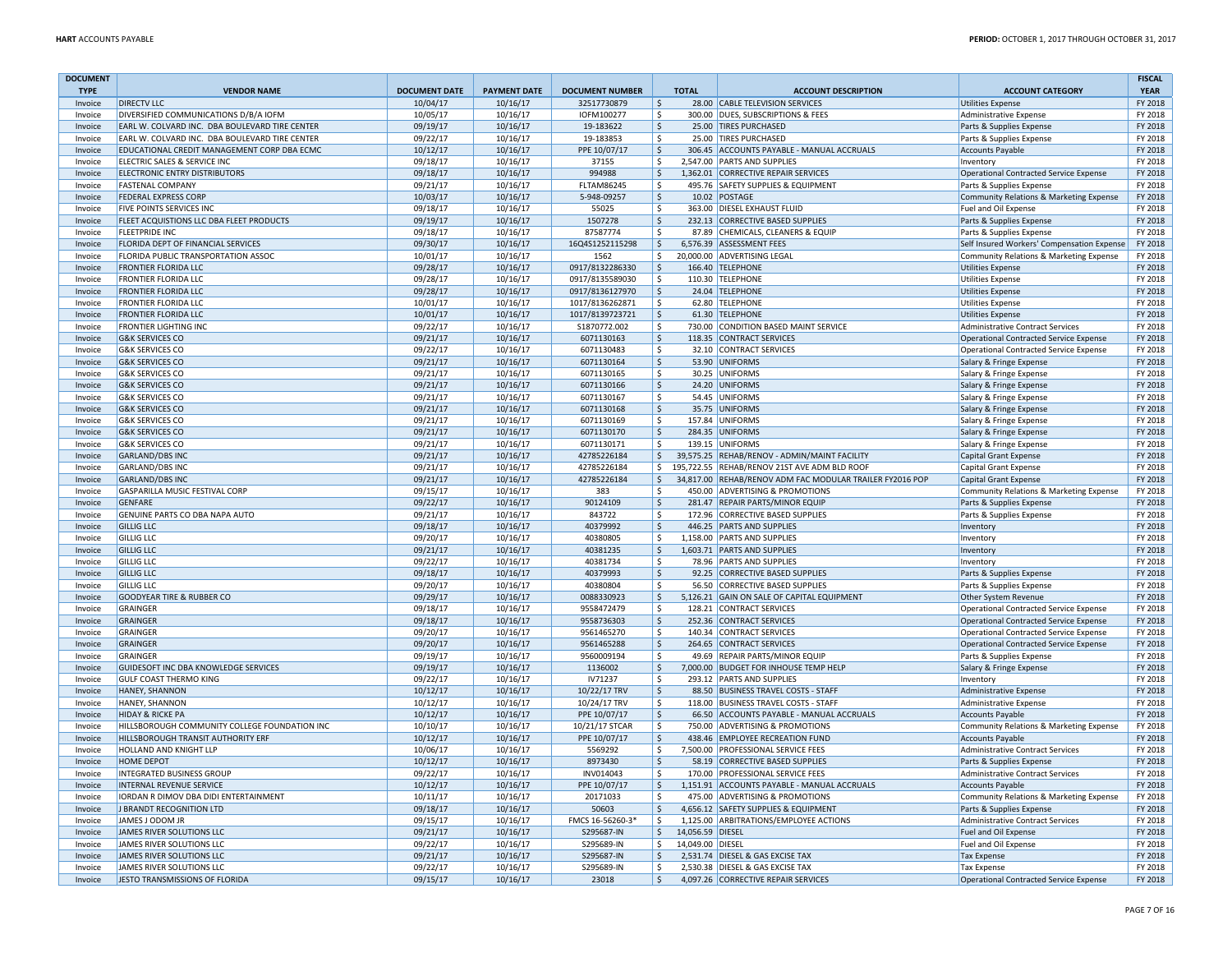| <b>DOCUMENT</b>    |                                                |                      |                     |                        |                                  |                                                          |                                               | <b>FISCAL</b>      |
|--------------------|------------------------------------------------|----------------------|---------------------|------------------------|----------------------------------|----------------------------------------------------------|-----------------------------------------------|--------------------|
| <b>TYPE</b>        | <b>VENDOR NAME</b>                             | <b>DOCUMENT DATE</b> | <b>PAYMENT DATE</b> | <b>DOCUMENT NUMBER</b> | <b>TOTAL</b>                     | <b>ACCOUNT DESCRIPTION</b>                               | <b>ACCOUNT CATEGORY</b>                       | <b>YEAR</b>        |
| Invoice            | <b>DIRECTV LLC</b>                             | 10/04/17             | 10/16/17            | 32517730879            | $\mathsf{\hat{S}}$               | 28.00 CABLE TELEVISION SERVICES                          | Utilities Expense                             | FY 2018            |
| Invoice            | DIVERSIFIED COMMUNICATIONS D/B/A IOFM          | 10/05/17             | 10/16/17            | IOFM100277             | \$                               | 300.00 DUES, SUBSCRIPTIONS & FEES                        | Administrative Expense                        | FY 2018            |
| Invoice            | EARL W. COLVARD INC. DBA BOULEVARD TIRE CENTER | 09/19/17             | 10/16/17            | 19-183622              | \$                               | 25.00 TIRES PURCHASED                                    | Parts & Supplies Expense                      | FY 2018            |
| Invoice            | EARL W. COLVARD INC. DBA BOULEVARD TIRE CENTER | 09/22/17             | 10/16/17            | 19-183853              | Ŝ.                               | 25.00 TIRES PURCHASED                                    | Parts & Supplies Expense                      | FY 2018            |
| Invoice            | EDUCATIONAL CREDIT MANAGEMENT CORP DBA ECMC    | 10/12/17             | 10/16/17            | PPE 10/07/17           | \$                               | 306.45 ACCOUNTS PAYABLE - MANUAL ACCRUALS                | <b>Accounts Payable</b>                       | FY 2018            |
| Invoice            | ELECTRIC SALES & SERVICE INC                   | 09/18/17             | 10/16/17            | 37155                  | \$                               | 2,547.00 PARTS AND SUPPLIES                              | Inventory                                     | FY 2018            |
| Invoice            | <b>ELECTRONIC ENTRY DISTRIBUTORS</b>           | 09/18/17             | 10/16/17            | 994988                 | Ŝ.                               | 1,362.01 CORRECTIVE REPAIR SERVICES                      | <b>Operational Contracted Service Expense</b> | FY 2018            |
| Invoice            | <b>FASTENAL COMPANY</b>                        | 09/21/17             | 10/16/17            | <b>FLTAM86245</b>      | \$                               | 495.76 SAFETY SUPPLIES & EQUIPMENT                       | Parts & Supplies Expense                      | FY 2018            |
| Invoice            | <b>FEDERAL EXPRESS CORP</b>                    | 10/03/17             | 10/16/17            | 5-948-09257            | Ŝ.                               | 10.02 POSTAGE                                            | Community Relations & Marketing Expense       | FY 2018            |
| Invoice            | FIVE POINTS SERVICES INC                       | 09/18/17             | 10/16/17            | 55025                  | Ŝ.                               | 363.00 DIESEL EXHAUST FLUID                              | Fuel and Oil Expense                          | FY 2018            |
| Invoice            | FLEET ACQUISTIONS LLC DBA FLEET PRODUCTS       | 09/19/17             | 10/16/17            | 1507278                | \$                               | 232.13 CORRECTIVE BASED SUPPLIES                         | Parts & Supplies Expense                      | FY 2018            |
| Invoice            | <b>FLEETPRIDE INC</b>                          | 09/18/17             | 10/16/17            | 87587774               | $\mathsf{S}$                     | 87.89 CHEMICALS, CLEANERS & EQUIP                        | Parts & Supplies Expense                      | FY 2018            |
| Invoice            | FLORIDA DEPT OF FINANCIAL SERVICES             | 09/30/17             | 10/16/17            | 16Q4S1252115298        | $\mathsf{\hat{S}}$               | 6,576.39 ASSESSMENT FEES                                 | Self Insured Workers' Compensation Expense    | FY 2018            |
| Invoice            | FLORIDA PUBLIC TRANSPORTATION ASSOC            | 10/01/17             | 10/16/17            | 1562                   | \$                               | 20,000.00 ADVERTISING LEGAL                              | Community Relations & Marketing Expense       | FY 2018            |
| Invoice            | <b>FRONTIER FLORIDA LLC</b>                    | 09/28/17             | 10/16/17            | 0917/8132286330        | \$                               | 166.40 TELEPHONE                                         | <b>Utilities Expense</b>                      | FY 2018            |
| Invoice            | <b>FRONTIER FLORIDA LLC</b>                    | 09/28/17             | 10/16/17            | 0917/8135589030        | \$                               | 110.30 TELEPHONE                                         | <b>Utilities Expense</b>                      | FY 2018            |
| Invoice            | <b>FRONTIER FLORIDA LLC</b>                    | 09/28/17             | 10/16/17            | 0917/8136127970        | \$                               | 24.04 TELEPHONE                                          | <b>Utilities Expense</b>                      | FY 2018            |
| Invoice            | <b>FRONTIER FLORIDA LLC</b>                    | 10/01/17             | 10/16/17            | 1017/8136262871        | \$                               | 62.80 TELEPHONE                                          | <b>Utilities Expense</b>                      | FY 2018            |
| Invoice            | <b>FRONTIER FLORIDA LLC</b>                    | 10/01/17             | 10/16/17            | 1017/8139723721        | \$                               | 61.30 TELEPHONE                                          | <b>Utilities Expense</b>                      | FY 2018            |
| Invoice            | FRONTIER LIGHTING INC                          | 09/22/17             | 10/16/17            | S1870772.002           | Ŝ.                               | 730.00 CONDITION BASED MAINT SERVICE                     | <b>Administrative Contract Services</b>       | FY 2018            |
| Invoice            | <b>G&amp;K SERVICES CO</b>                     | 09/21/17             | 10/16/17            | 6071130163             | $\mathsf{\hat{S}}$               | 118.35 CONTRACT SERVICES                                 | <b>Operational Contracted Service Expense</b> | FY 2018            |
| Invoice            | <b>G&amp;K SERVICES CO</b>                     | 09/22/17             | 10/16/17            | 6071130483             | \$                               | 32.10 CONTRACT SERVICES                                  | <b>Operational Contracted Service Expense</b> | FY 2018            |
| Invoice            | <b>G&amp;K SERVICES CO</b>                     | 09/21/17             | 10/16/17            | 6071130164             | Ŝ.                               | 53.90 UNIFORMS                                           | Salary & Fringe Expense                       | FY 2018            |
| Invoice            | <b>G&amp;K SERVICES CO</b>                     | 09/21/17             | 10/16/17            | 6071130165             | \$                               | 30.25 UNIFORMS                                           | Salary & Fringe Expense                       | FY 2018            |
| Invoice            | <b>G&amp;K SERVICES CO</b>                     | 09/21/17             | 10/16/17            | 6071130166             | \$                               | 24.20 UNIFORMS                                           | Salary & Fringe Expense                       | FY 2018            |
| Invoice            | <b>G&amp;K SERVICES CO</b>                     | 09/21/17             | 10/16/17            | 6071130167             | \$                               | 54.45 UNIFORMS                                           | Salary & Fringe Expense                       | FY 2018            |
| Invoice            | <b>G&amp;K SERVICES CO</b>                     | 09/21/17             | 10/16/17            | 6071130168             | \$                               | 35.75 UNIFORMS                                           | Salary & Fringe Expense                       | FY 2018            |
| Invoice            | <b>G&amp;K SERVICES CO</b>                     | 09/21/17             | 10/16/17            | 6071130169             | \$                               | 157.84 UNIFORMS                                          | Salary & Fringe Expense                       | FY 2018            |
| Invoice            | <b>G&amp;K SERVICES CO</b>                     | 09/21/17             | 10/16/17            | 6071130170             | \$                               | 284.35 UNIFORMS                                          | Salary & Fringe Expense                       | FY 2018            |
| Invoice            | <b>G&amp;K SERVICES CO</b>                     | 09/21/17             | 10/16/17            | 6071130171             | $\mathsf{S}$                     | 139.15 UNIFORMS                                          | Salary & Fringe Expense                       | FY 2018            |
| Invoice            | <b>GARLAND/DBS INC</b>                         | 09/21/17             | 10/16/17            | 42785226184            | $\zeta$                          | 39,575.25 REHAB/RENOV - ADMIN/MAINT FACILITY             | <b>Capital Grant Expense</b>                  | FY 2018            |
| Invoice            | <b>GARLAND/DBS INC</b>                         | 09/21/17             | 10/16/17            | 42785226184            | \$                               | 195,722.55 REHAB/RENOV 21ST AVE ADM BLD ROOF             | Capital Grant Expense                         | FY 2018            |
| Invoice            | <b>GARLAND/DBS INC</b>                         | 09/21/17             | 10/16/17            | 42785226184            | \$                               | 34,817.00 REHAB/RENOV ADM FAC MODULAR TRAILER FY2016 POP | Capital Grant Expense                         | FY 2018            |
| Invoice            | GASPARILLA MUSIC FESTIVAL CORP                 | 09/15/17             | 10/16/17            | 383                    | -S                               | 450.00 ADVERTISING & PROMOTIONS                          | Community Relations & Marketing Expense       | FY 2018            |
| Invoice            | <b>GENFARE</b>                                 | 09/22/17             | 10/16/17            | 90124109               | \$                               | 281.47 REPAIR PARTS/MINOR EQUIP                          | Parts & Supplies Expense                      | FY 2018            |
| Invoice            | GENUINE PARTS CO DBA NAPA AUTO                 | 09/21/17             | 10/16/17            | 843722                 | Ŝ.                               | 172.96 CORRECTIVE BASED SUPPLIES                         | Parts & Supplies Expense                      | FY 2018            |
| Invoice            | <b>GILLIG LLC</b>                              | 09/18/17             | 10/16/17            | 40379992               | \$                               | 446.25 PARTS AND SUPPLIES                                | Inventory                                     | FY 2018            |
| Invoice            | <b>GILLIG LLC</b>                              | 09/20/17             | 10/16/17            | 40380805               | \$                               | 1,158.00 PARTS AND SUPPLIES                              | Inventory                                     | FY 2018            |
|                    | <b>GILLIG LLC</b>                              | 09/21/17             | 10/16/17            | 40381235               | \$                               | 1,603.71 PARTS AND SUPPLIES                              |                                               | FY 2018            |
| Invoice<br>Invoice | <b>GILLIG LLC</b>                              | 09/22/17             | 10/16/17            | 40381734               | -S                               | 78.96 PARTS AND SUPPLIES                                 | Inventory<br>Inventory                        | FY 2018            |
| Invoice            | <b>GILLIG LLC</b>                              | 09/18/17             | 10/16/17            | 40379993               | \$                               | 92.25 CORRECTIVE BASED SUPPLIES                          | Parts & Supplies Expense                      | FY 2018            |
|                    | <b>GILLIG LLC</b>                              |                      |                     |                        | \$                               |                                                          |                                               |                    |
| Invoice            |                                                | 09/20/17             | 10/16/17            | 40380804               | \$                               | 56.50 CORRECTIVE BASED SUPPLIES                          | Parts & Supplies Expense                      | FY 2018<br>FY 2018 |
| Invoice            | <b>GOODYEAR TIRE &amp; RUBBER CO</b>           | 09/29/17             | 10/16/17            | 0088330923             | $\mathsf{S}$                     | 5,126.21 GAIN ON SALE OF CAPITAL EQUIPMENT               | Other System Revenue                          |                    |
| Invoice            | <b>GRAINGER</b>                                | 09/18/17             | 10/16/17            | 9558472479             |                                  | 128.21 CONTRACT SERVICES                                 | <b>Operational Contracted Service Expense</b> | FY 2018            |
| Invoice            | <b>GRAINGER</b>                                | 09/18/17             | 10/16/17            | 9558736303             | \$                               | 252.36 CONTRACT SERVICES                                 | Operational Contracted Service Expense        | FY 2018            |
| Invoice            | GRAINGER                                       | 09/20/17             | 10/16/17            | 9561465270             | Ŝ.                               | 140.34 CONTRACT SERVICES                                 | <b>Operational Contracted Service Expense</b> | FY 2018            |
| Invoice            | GRAINGER                                       | 09/20/17             | 10/16/17            | 9561465288             | Ŝ.<br>\$                         | 264.65 CONTRACT SERVICES                                 | <b>Operational Contracted Service Expense</b> | FY 2018            |
| Invoice            | <b>GRAINGER</b>                                | 09/19/17             | 10/16/17            | 9560009194             |                                  | 49.69 REPAIR PARTS/MINOR EQUIP                           | Parts & Supplies Expense                      | FY 2018            |
| Invoice            | GUIDESOFT INC DBA KNOWLEDGE SERVICES           | 09/19/17             | 10/16/17            | 1136002                | \$                               | 7,000.00 BUDGET FOR INHOUSE TEMP HELP                    | Salary & Fringe Expense                       | FY 2018            |
| Invoice            | <b>GULF COAST THERMO KING</b>                  | 09/22/17             | 10/16/17            | IV71237                | \$                               | 293.12 PARTS AND SUPPLIES                                | Inventory                                     | FY 2018            |
| Invoice            | <b>HANEY, SHANNON</b>                          | 10/12/17             | 10/16/17            | 10/22/17 TRV           | \$                               | 88.50 BUSINESS TRAVEL COSTS - STAFF                      | Administrative Expense                        | FY 2018            |
| Invoice            | <b>HANEY, SHANNON</b>                          | 10/12/17             | 10/16/17            | 10/24/17 TRV           | \$                               | 118.00 BUSINESS TRAVEL COSTS - STAFF                     | Administrative Expense                        | FY 2018            |
| Invoice            | <b>HIDAY &amp; RICKE PA</b>                    | 10/12/17             | 10/16/17            | PPE 10/07/17           | $\mathsf{\hat{S}}$               | 66.50 ACCOUNTS PAYABLE - MANUAL ACCRUALS                 | <b>Accounts Payable</b>                       | FY 2018            |
| Invoice            | HILLSBOROUGH COMMUNITY COLLEGE FOUNDATION INC  | 10/10/17             | 10/16/17            | 10/21/17 STCAR         | \$                               | 750.00 ADVERTISING & PROMOTIONS                          | Community Relations & Marketing Expense       | FY 2018            |
| Invoice            | HILLSBOROUGH TRANSIT AUTHORITY ERF             | 10/12/17             | 10/16/17            | PPE 10/07/17           | \$                               | 438.46 EMPLOYEE RECREATION FUND                          | <b>Accounts Payable</b>                       | FY 2018            |
| Invoice            | HOLLAND AND KNIGHT LLP                         | 10/06/17             | 10/16/17            | 5569292                | Ŝ.                               | 7,500.00 PROFESSIONAL SERVICE FEES                       | <b>Administrative Contract Services</b>       | FY 2018            |
| Invoice            | <b>HOME DEPOT</b>                              | 10/12/17             | 10/16/17            | 8973430                | \$                               | 58.19 CORRECTIVE BASED SUPPLIES                          | Parts & Supplies Expense                      | FY 2018            |
| Invoice            | <b>INTEGRATED BUSINESS GROUP</b>               | 09/22/17             | 10/16/17            | INV014043              | \$                               | 170.00 PROFESSIONAL SERVICE FEES                         | <b>Administrative Contract Services</b>       | FY 2018            |
| Invoice            | <b>INTERNAL REVENUE SERVICE</b>                | 10/12/17             | 10/16/17            | PPE 10/07/17           | \$                               | 1,151.91 ACCOUNTS PAYABLE - MANUAL ACCRUALS              | <b>Accounts Payable</b>                       | FY 2018            |
| Invoice            | IORDAN R DIMOV DBA DIDI ENTERTAINMENT          | 10/11/17             | 10/16/17            | 20171033               | \$                               | 475.00 ADVERTISING & PROMOTIONS                          | Community Relations & Marketing Expense       | FY 2018            |
| Invoice            | J BRANDT RECOGNITION LTD                       | 09/18/17             | 10/16/17            | 50603                  | \$                               | 4,656.12 SAFETY SUPPLIES & EQUIPMENT                     | Parts & Supplies Expense                      | FY 2018            |
| Invoice            | JAMES J ODOM JR                                | 09/15/17             | 10/16/17            | FMCS 16-56260-3*       | Ŝ.                               | 1,125.00 ARBITRATIONS/EMPLOYEE ACTIONS                   | Administrative Contract Services              | FY 2018            |
| Invoice            | <b>JAMES RIVER SOLUTIONS LLC</b>               | 09/21/17             | 10/16/17            | S295687-IN             | $\mathsf{S}$<br>14,056.59 DIESEL |                                                          | Fuel and Oil Expense                          | FY 2018            |
| Invoice            | JAMES RIVER SOLUTIONS LLC                      | 09/22/17             | 10/16/17            | S295689-IN             | \$<br>14,049.00 DIESEL           |                                                          | Fuel and Oil Expense                          | FY 2018            |
| Invoice            | JAMES RIVER SOLUTIONS LLC                      | 09/21/17             | 10/16/17            | S295687-IN             | \$                               | 2,531.74 DIESEL & GAS EXCISE TAX                         | <b>Tax Expense</b>                            | FY 2018            |
| Invoice            | JAMES RIVER SOLUTIONS LLC                      | 09/22/17             | 10/16/17            | S295689-IN             | \$                               | 2,530.38 DIESEL & GAS EXCISE TAX                         | <b>Tax Expense</b>                            | FY 2018            |
| Invoice            | JESTO TRANSMISSIONS OF FLORIDA                 | 09/15/17             | 10/16/17            | 23018                  | \$                               | 4,097.26 CORRECTIVE REPAIR SERVICES                      | <b>Operational Contracted Service Expense</b> | FY 2018            |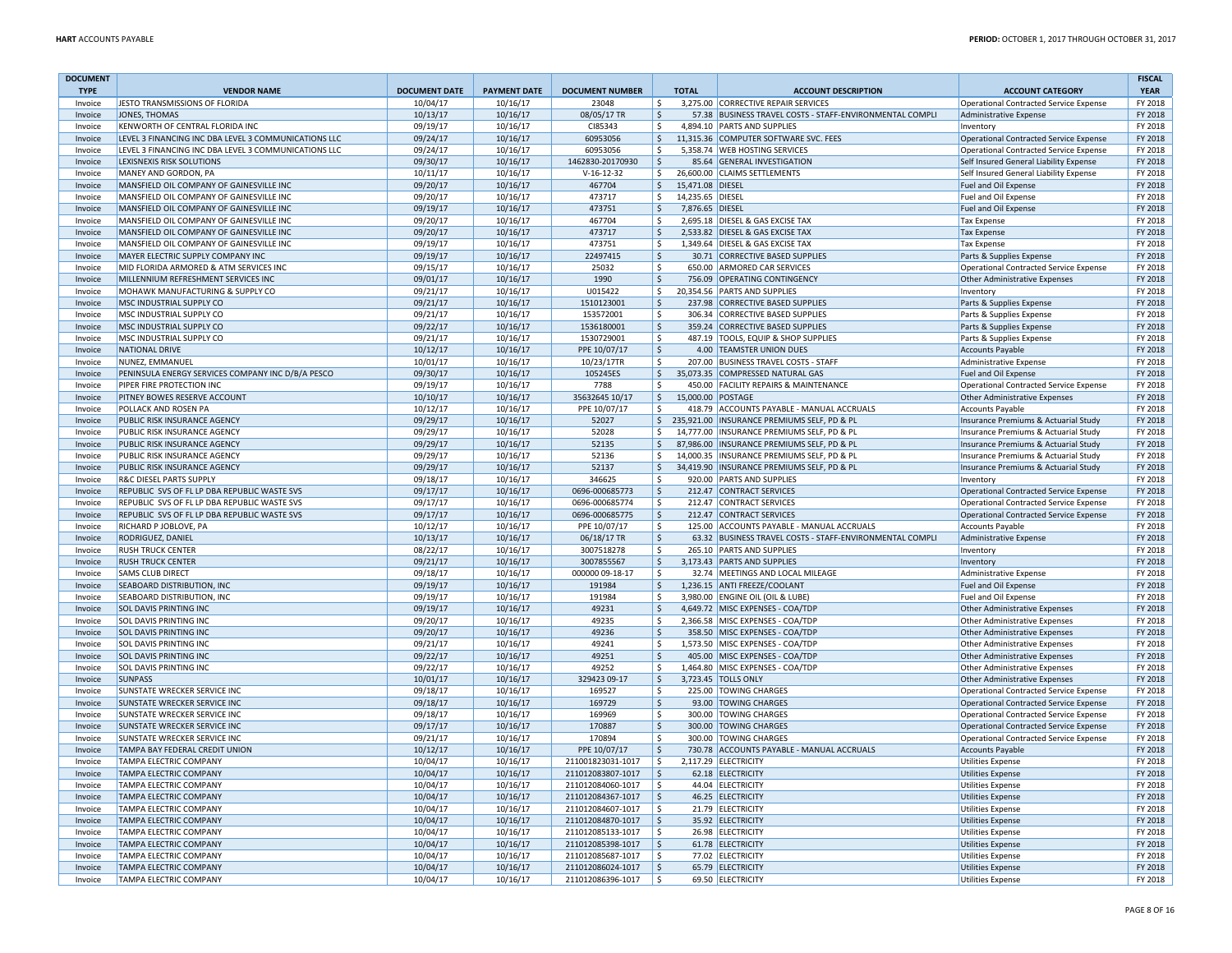| <b>DOCUMENT</b><br><b>TYPE</b> | <b>VENDOR NAME</b>                                   | <b>DOCUMENT DATE</b> | <b>PAYMENT DATE</b> | <b>DOCUMENT NUMBER</b> | <b>TOTAL</b>              | <b>ACCOUNT DESCRIPTION</b>                               | <b>ACCOUNT CATEGORY</b>                       | <b>FISCAL</b><br><b>YEAR</b> |
|--------------------------------|------------------------------------------------------|----------------------|---------------------|------------------------|---------------------------|----------------------------------------------------------|-----------------------------------------------|------------------------------|
| Invoice                        | JESTO TRANSMISSIONS OF FLORIDA                       | 10/04/17             | 10/16/17            | 23048                  | l \$                      | 3.275.00 CORRECTIVE REPAIR SERVICES                      | Operational Contracted Service Expense        | FY 2018                      |
| Invoice                        | JONES, THOMAS                                        | 10/13/17             | 10/16/17            | 08/05/17 TR            | S.                        | 57.38 BUSINESS TRAVEL COSTS - STAFF-ENVIRONMENTAL COMPLI | Administrative Expense                        | FY 2018                      |
| Invoice                        | KENWORTH OF CENTRAL FLORIDA INC                      | 09/19/17             | 10/16/17            | CI85343                | l\$                       | 4,894.10 PARTS AND SUPPLIES                              | Inventory                                     | FY 2018                      |
| Invoice                        | LEVEL 3 FINANCING INC DBA LEVEL 3 COMMUNICATIONS LLC | 09/24/17             | 10/16/17            | 60953056               | l \$                      | 11,315.36 COMPUTER SOFTWARE SVC. FEES                    | Operational Contracted Service Expense        | FY 2018                      |
|                                | LEVEL 3 FINANCING INC DBA LEVEL 3 COMMUNICATIONS LLC | 09/24/17             | 10/16/17            | 60953056               |                           | 5,358.74 WEB HOSTING SERVICES                            |                                               | FY 2018                      |
| Invoice                        |                                                      |                      |                     |                        | \$                        |                                                          | Operational Contracted Service Expense        |                              |
| Invoice                        | LEXISNEXIS RISK SOLUTIONS                            | 09/30/17             | 10/16/17            | 1462830-20170930       | l \$                      | 85.64 GENERAL INVESTIGATION                              | Self Insured General Liability Expense        | FY 2018                      |
| Invoice                        | MANEY AND GORDON, PA                                 | 10/11/17             | 10/16/17            | $V-16-12-32$           | l \$                      | 26,600.00 CLAIMS SETTLEMENTS                             | Self Insured General Liability Expense        | FY 2018                      |
| Invoice                        | MANSFIELD OIL COMPANY OF GAINESVILLE INC             | 09/20/17             | 10/16/17            | 467704                 | l \$<br>15,471.08 DIESEL  |                                                          | Fuel and Oil Expense                          | FY 2018                      |
| Invoice                        | MANSFIELD OIL COMPANY OF GAINESVILLE INC             | 09/20/17             | 10/16/17            | 473717                 | l \$<br>14,235.65 DIESEL  |                                                          | Fuel and Oil Expense                          | FY 2018                      |
| Invoice                        | MANSFIELD OIL COMPANY OF GAINESVILLE INC             | 09/19/17             | 10/16/17            | 473751                 | l \$<br>7.876.65 DIESEL   |                                                          | <b>Fuel and Oil Expense</b>                   | FY 2018                      |
| Invoice                        | MANSFIELD OIL COMPANY OF GAINESVILLE INC             | 09/20/17             | 10/16/17            | 467704                 | l\$                       | 2,695.18 DIESEL & GAS EXCISE TAX                         | <b>Tax Expense</b>                            | FY 2018                      |
| Invoice                        | MANSFIELD OIL COMPANY OF GAINESVILLE INC             | 09/20/17             | 10/16/17            | 473717                 | l \$                      | 2,533.82 DIESEL & GAS EXCISE TAX                         | <b>Tax Expense</b>                            | FY 2018                      |
| Invoice                        | MANSFIELD OIL COMPANY OF GAINESVILLE INC             | 09/19/17             | 10/16/17            | 473751                 | l \$                      | 1,349.64 DIESEL & GAS EXCISE TAX                         | Tax Expense                                   | FY 2018                      |
| Invoice                        | MAYER ELECTRIC SUPPLY COMPANY INC                    | 09/19/17             | 10/16/17            | 22497415               | $\frac{1}{2}$             | 30.71 CORRECTIVE BASED SUPPLIES                          | Parts & Supplies Expense                      | FY 2018                      |
| Invoice                        | MID FLORIDA ARMORED & ATM SERVICES INC               | 09/15/17             | 10/16/17            | 25032                  | l \$                      | 650.00 ARMORED CAR SERVICES                              | Operational Contracted Service Expense        | FY 2018                      |
| Invoice                        | MILLENNIUM REFRESHMENT SERVICES INC                  | 09/01/17             | 10/16/17            | 1990                   | l \$                      | 756.09 OPERATING CONTINGENCY                             | Other Administrative Expenses                 | FY 2018                      |
| Invoice                        | MOHAWK MANUFACTURING & SUPPLY CO                     | 09/21/17             | 10/16/17            | U015422                | l \$                      | 20,354.56 PARTS AND SUPPLIES                             | Inventory                                     | FY 2018                      |
| Invoice                        | MSC INDUSTRIAL SUPPLY CO                             | 09/21/17             | 10/16/17            | 1510123001             | l \$                      | 237.98 CORRECTIVE BASED SUPPLIES                         | Parts & Supplies Expense                      | FY 2018                      |
| Invoice                        | MSC INDUSTRIAL SUPPLY CO                             | 09/21/17             | 10/16/17            | 153572001              | \$                        | 306.34 CORRECTIVE BASED SUPPLIES                         | Parts & Supplies Expense                      | FY 2018                      |
| Invoice                        | MSC INDUSTRIAL SUPPLY CO                             | 09/22/17             | 10/16/17            | 1536180001             | l \$                      | 359.24 CORRECTIVE BASED SUPPLIES                         | Parts & Supplies Expense                      | FY 2018                      |
| Invoice                        | MSC INDUSTRIAL SUPPLY CO                             | 09/21/17             | 10/16/17            | 1530729001             | l \$                      | 487.19 TOOLS, EQUIP & SHOP SUPPLIES                      | Parts & Supplies Expense                      | FY 2018                      |
| Invoice                        | NATIONAL DRIVE                                       | 10/12/17             | 10/16/17            | PPE 10/07/17           | S.                        | 4.00 TEAMSTER UNION DUES                                 | Accounts Payable                              | FY 2018                      |
| Invoice                        | NUNEZ, EMMANUEI                                      | 10/01/17             | 10/16/17            | 10/23/17TR             | ۱\$.                      | 207.00 BUSINESS TRAVEL COSTS - STAFF                     | Administrative Expense                        | FY 2018                      |
| Invoice                        | PENINSULA ENERGY SERVICES COMPANY INC D/B/A PESCO    | 09/30/17             | 10/16/17            | 105245ES               | l \$                      | 35,073.35 COMPRESSED NATURAL GAS                         | Fuel and Oil Expense                          | FY 2018                      |
| Invoice                        | PIPER FIRE PROTECTION INC                            | 09/19/17             | 10/16/17            | 7788                   | l\$                       | 450.00 FACILITY REPAIRS & MAINTENANCE                    | Operational Contracted Service Expense        | FY 2018                      |
| Invoice                        |                                                      |                      |                     |                        | l \$<br>15,000.00 POSTAGE |                                                          |                                               | FY 2018                      |
|                                | PITNEY BOWES RESERVE ACCOUNT                         | 10/10/17             | 10/16/17            | 35632645 10/17         |                           |                                                          | Other Administrative Expenses                 | FY 2018                      |
| Invoice                        | <b>POLLACK AND ROSEN PA</b>                          | 10/12/17             | 10/16/17            | PPE 10/07/17           | l \$                      | 418.79 ACCOUNTS PAYABLE - MANUAL ACCRUALS                | <b>Accounts Pavable</b>                       |                              |
| Invoice                        | <b>PUBLIC RISK INSURANCE AGENCY</b>                  | 09/29/17             | 10/16/17            | 52027                  |                           | \$235,921.00 INSURANCE PREMIUMS SELF, PD & PL            | Insurance Premiums & Actuarial Study          | FY 2018                      |
| Invoice                        | PUBLIC RISK INSURANCE AGENCY                         | 09/29/17             | 10/16/17            | 52028                  | l \$                      | 14,777.00 INSURANCE PREMIUMS SELF, PD & PL               | Insurance Premiums & Actuarial Study          | FY 2018                      |
| Invoice                        | PUBLIC RISK INSURANCE AGENCY                         | 09/29/17             | 10/16/17            | 52135                  | l \$                      | 87,986.00 INSURANCE PREMIUMS SELF, PD & PL               | Insurance Premiums & Actuarial Study          | FY 2018                      |
| Invoice                        | PUBLIC RISK INSURANCE AGENCY                         | 09/29/17             | 10/16/17            | 52136                  | \$                        | 14,000.35   INSURANCE PREMIUMS SELF, PD & PL             | Insurance Premiums & Actuarial Study          | FY 2018                      |
| Invoice                        | PUBLIC RISK INSURANCE AGENCY                         | 09/29/17             | 10/16/17            | 52137                  | l s                       | 34,419.90 INSURANCE PREMIUMS SELF, PD & PL               | Insurance Premiums & Actuarial Study          | FY 2018                      |
| Invoice                        | <b>R&amp;C DIESEL PARTS SUPPLY</b>                   | 09/18/17             | 10/16/17            | 346625                 | l \$                      | 920.00 PARTS AND SUPPLIES                                | Inventory                                     | FY 2018                      |
| Invoice                        | REPUBLIC SVS OF FL LP DBA REPUBLIC WASTE SVS         | 09/17/17             | 10/16/17            | 0696-000685773         | l \$                      | 212.47 CONTRACT SERVICES                                 | Operational Contracted Service Expense        | FY 2018                      |
| Invoice                        | REPUBLIC SVS OF FL LP DBA REPUBLIC WASTE SVS         | 09/17/17             | 10/16/17            | 0696-000685774         | l \$                      | 212.47 CONTRACT SERVICES                                 | Operational Contracted Service Expense        | FY 2018                      |
| Invoice                        | REPUBLIC SVS OF FL LP DBA REPUBLIC WASTE SVS         | 09/17/17             | 10/16/17            | 0696-000685775         | l s                       | 212.47 CONTRACT SERVICES                                 | Operational Contracted Service Expense        | FY 2018                      |
| Invoice                        | RICHARD P JOBLOVE, PA                                | 10/12/17             | 10/16/17            | PPE 10/07/17           | l \$                      | 125.00 ACCOUNTS PAYABLE - MANUAL ACCRUALS                | <b>Accounts Payable</b>                       | FY 2018                      |
| Invoice                        | RODRIGUEZ, DANIEL                                    | 10/13/17             | 10/16/17            | 06/18/17 TR            | S.                        | 63.32 BUSINESS TRAVEL COSTS - STAFF-ENVIRONMENTAL COMPLI | Administrative Expense                        | FY 2018                      |
| Invoice                        | <b>RUSH TRUCK CENTER</b>                             | 08/22/17             | 10/16/17            | 3007518278             | \$                        | 265.10 PARTS AND SUPPLIES                                | Inventory                                     | FY 2018                      |
| Invoice                        | <b>RUSH TRUCK CENTER</b>                             | 09/21/17             | 10/16/17            | 3007855567             | l \$                      | 3,173.43 PARTS AND SUPPLIES                              | Inventory                                     | FY 2018                      |
| Invoice                        | <b>SAMS CLUB DIRECT</b>                              | 09/18/17             | 10/16/17            | 000000 09-18-17        | l \$                      | 32.74 MEETINGS AND LOCAL MILEAGE                         | Administrative Expense                        | FY 2018                      |
| Invoice                        | <b>SEABOARD DISTRIBUTION, INC</b>                    | 09/19/17             | 10/16/17            | 191984                 | l s                       | 1,236.15 ANTI FREEZE/COOLANT                             | Fuel and Oil Expense                          | FY 2018                      |
| Invoice                        | <b>SEABOARD DISTRIBUTION, INC</b>                    | 09/19/17             | 10/16/17            | 191984                 | l\$                       | 3,980.00 ENGINE OIL (OIL & LUBE)                         | Fuel and Oil Expense                          | FY 2018                      |
| Invoice                        | <b>SOL DAVIS PRINTING INC</b>                        | 09/19/17             | 10/16/17            | 49231                  | \$                        | 4,649.72 MISC EXPENSES - COA/TDP                         | Other Administrative Expenses                 | FY 2018                      |
| Invoice                        | <b>SOL DAVIS PRINTING INC</b>                        | 09/20/17             | 10/16/17            | 49235                  | \$                        | 2,366.58 MISC EXPENSES - COA/TDP                         | <b>Other Administrative Expenses</b>          | FY 2018                      |
| Invoice                        | <b>SOL DAVIS PRINTING INC</b>                        | 09/20/17             | 10/16/17            | 49236                  | l \$                      | 358.50 MISC EXPENSES - COA/TDP                           | Other Administrative Expenses                 | FY 2018                      |
| Invoice                        | <b>SOL DAVIS PRINTING INC</b>                        | 09/21/17             | 10/16/17            | 49241                  | l \$                      | 1,573.50 MISC EXPENSES - COA/TDP                         | Other Administrative Expenses                 | FY 2018                      |
| Invoice                        | <b>SOL DAVIS PRINTING INC</b>                        | 09/22/17             | 10/16/17            | 49251                  | l\$                       | 405.00 MISC EXPENSES - COA/TDP                           | Other Administrative Expenses                 | FY 2018                      |
| Invoice                        | <b>SOL DAVIS PRINTING INC</b>                        | 09/22/17             | 10/16/17            | 49252                  | $\overline{\mathsf{s}}$   | 1,464.80 MISC EXPENSES - COA/TDP                         | Other Administrative Expenses                 | FY 2018                      |
| Invoice                        | <b>SUNPASS</b>                                       | 10/01/17             | 10/16/17            | 329423 09-17           | l s                       | 3.723.45 TOLLS ONLY                                      |                                               | FY 2018                      |
|                                |                                                      |                      |                     |                        |                           |                                                          | Other Administrative Expenses                 |                              |
| Invoice                        | <b>SUNSTATE WRECKER SERVICE INC</b>                  | 09/18/17             | 10/16/17            | 169527                 | l\$                       | 225.00 TOWING CHARGES                                    | Operational Contracted Service Expense        | FY 2018                      |
| Invoice                        | <b>SUNSTATE WRECKER SERVICE INC</b>                  | 09/18/17             | 10/16/17            | 169729                 | l \$                      | 93.00 TOWING CHARGES                                     | Operational Contracted Service Expense        | FY 2018                      |
| Invoice                        | <b>SUNSTATE WRECKER SERVICE INC</b>                  | 09/18/17             | 10/16/17            | 169969                 | ۱\$                       | 300.00 TOWING CHARGES                                    | Operational Contracted Service Expense        | FY 2018                      |
| Invoice                        | <b>SUNSTATE WRECKER SERVICE INC</b>                  | 09/17/17             | 10/16/17            | 170887                 | $\overline{\phantom{a}}$  | 300.00 TOWING CHARGES                                    | Operational Contracted Service Expense        | FY 2018                      |
| Invoice                        | SUNSTATE WRECKER SERVICE INC                         | 09/21/17             | 10/16/17            | 170894                 | l\$                       | 300.00 TOWING CHARGES                                    | <b>Operational Contracted Service Expense</b> | FY 2018                      |
| Invoice                        | TAMPA BAY FEDERAL CREDIT UNION                       | 10/12/17             | 10/16/17            | PPE 10/07/17           | $\frac{1}{2}$             | 730.78 ACCOUNTS PAYABLE - MANUAL ACCRUALS                | <b>Accounts Payable</b>                       | FY 2018                      |
| Invoice                        | <b>TAMPA ELECTRIC COMPANY</b>                        | 10/04/17             | 10/16/17            | 211001823031-1017      | l \$                      | 2,117.29 ELECTRICITY                                     | <b>Utilities Expense</b>                      | FY 2018                      |
| Invoice                        | <b>TAMPA ELECTRIC COMPANY</b>                        | 10/04/17             | 10/16/17            | 211012083807-1017      | ۱\$                       | 62.18 ELECTRICITY                                        | Utilities Expense                             | FY 2018                      |
| Invoice                        | <b>TAMPA ELECTRIC COMPANY</b>                        | 10/04/17             | 10/16/17            | 211012084060-1017      | ١ś                        | 44.04 ELECTRICITY                                        | <b>Utilities Expense</b>                      | FY 2018                      |
| Invoice                        | <b>TAMPA ELECTRIC COMPANY</b>                        | 10/04/17             | 10/16/17            | 211012084367-1017      | $\frac{1}{2}$             | 46.25 ELECTRICITY                                        | <b>Utilities Expense</b>                      | FY 2018                      |
| Invoice                        | <b>TAMPA ELECTRIC COMPANY</b>                        | 10/04/17             | 10/16/17            | 211012084607-1017      | l\$                       | 21.79 ELECTRICITY                                        | <b>Utilities Expense</b>                      | FY 2018                      |
| Invoice                        | <b>TAMPA ELECTRIC COMPANY</b>                        | 10/04/17             | 10/16/17            | 211012084870-1017      | l \$                      | 35.92 ELECTRICITY                                        | <b>Utilities Expense</b>                      | FY 2018                      |
| Invoice                        | <b>TAMPA ELECTRIC COMPANY</b>                        | 10/04/17             | 10/16/17            | 211012085133-1017      | ١s                        | 26.98 ELECTRICITY                                        | <b>Utilities Expense</b>                      | FY 2018                      |
| Invoice                        | <b>TAMPA ELECTRIC COMPANY</b>                        | 10/04/17             | 10/16/17            | 211012085398-1017      | l \$                      | 61.78 ELECTRICITY                                        | <b>Utilities Expense</b>                      | FY 2018                      |
| Invoice                        | <b>TAMPA ELECTRIC COMPANY</b>                        | 10/04/17             | 10/16/17            | 211012085687-1017      | ۱\$                       | 77.02 ELECTRICITY                                        | <b>Utilities Expense</b>                      | FY 2018                      |
| Invoice                        | <b>TAMPA ELECTRIC COMPANY</b>                        | 10/04/17             | 10/16/17            | 211012086024-1017      | l \$                      | 65.79 ELECTRICITY                                        | <b>Utilities Expense</b>                      | FY 2018                      |
| Invoice                        | <b>TAMPA ELECTRIC COMPANY</b>                        | 10/04/17             | 10/16/17            | 211012086396-1017      | l \$                      | 69.50 ELECTRICITY                                        | <b>Utilities Expense</b>                      | FY 2018                      |
|                                |                                                      |                      |                     |                        |                           |                                                          |                                               |                              |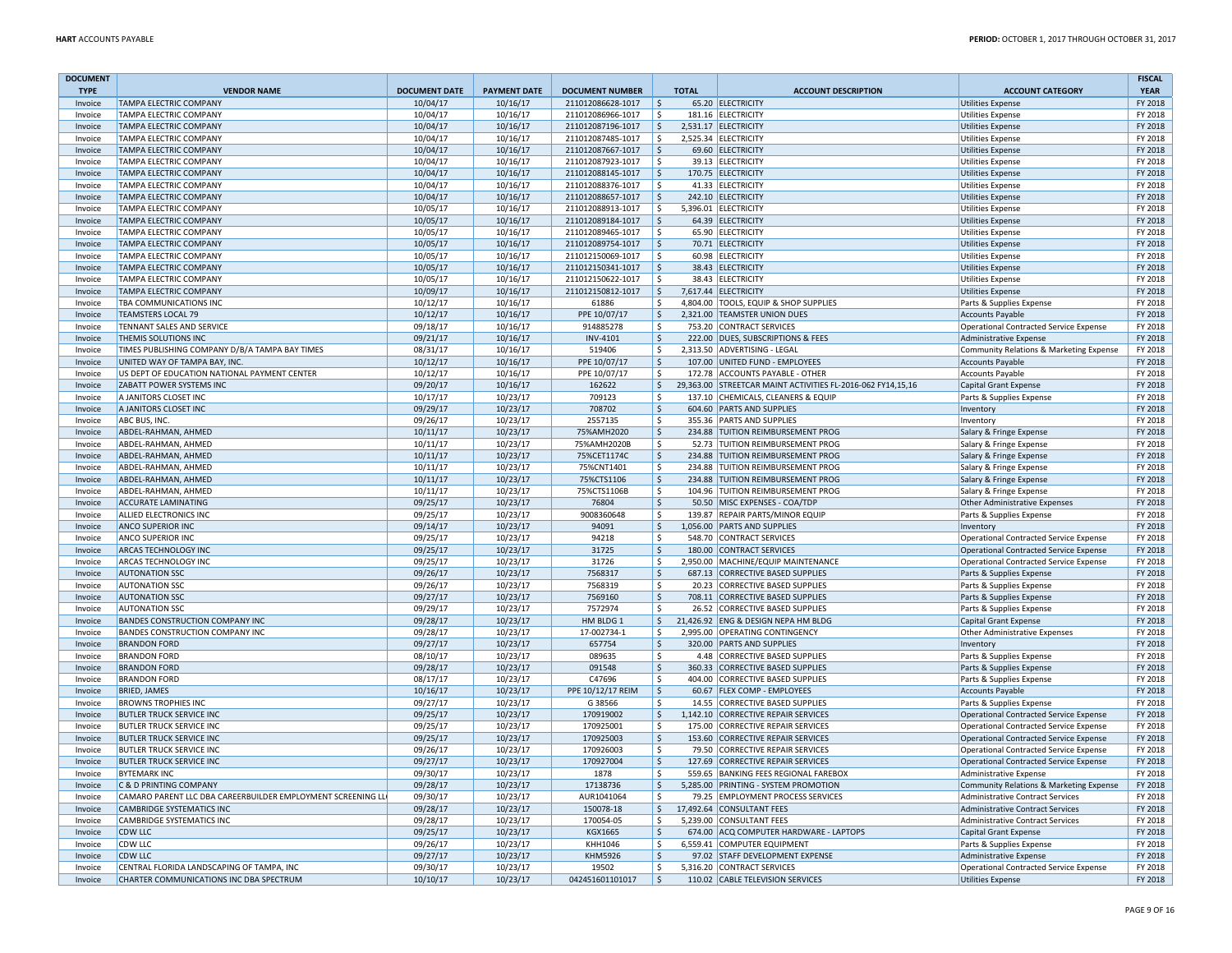| <b>DOCUMENT</b>    |                                                                                          |                      |                      |                                        |                             |                                                                        |                                                                      | <b>FISCAL</b>      |
|--------------------|------------------------------------------------------------------------------------------|----------------------|----------------------|----------------------------------------|-----------------------------|------------------------------------------------------------------------|----------------------------------------------------------------------|--------------------|
| <b>TYPE</b>        | <b>VENDOR NAME</b>                                                                       | <b>DOCUMENT DATE</b> | <b>PAYMENT DATE</b>  | <b>DOCUMENT NUMBER</b>                 | <b>TOTAL</b>                | <b>ACCOUNT DESCRIPTION</b>                                             | <b>ACCOUNT CATEGORY</b>                                              | <b>YEAR</b>        |
| Invoice            | <b>TAMPA ELECTRIC COMPANY</b>                                                            | 10/04/17             | 10/16/17             | 211012086628-1017                      | $\mathsf{\hat{S}}$          | 65.20 ELECTRICITY                                                      | <b>Utilities Expense</b>                                             | FY 2018            |
| Invoice<br>Invoice | TAMPA ELECTRIC COMPANY<br>TAMPA ELECTRIC COMPANY                                         | 10/04/17<br>10/04/17 | 10/16/17<br>10/16/17 | 211012086966-1017<br>211012087196-1017 | ۱Ś<br>l \$                  | 181.16 ELECTRICITY<br>2,531.17 ELECTRICITY                             | <b>Utilities Expense</b>                                             | FY 2018<br>FY 2018 |
| Invoice            | <b>TAMPA ELECTRIC COMPANY</b>                                                            | 10/04/17             | 10/16/17             | 211012087485-1017                      | l\$                         | 2.525.34 ELECTRICITY                                                   | <b>Utilities Expense</b><br><b>Utilities Expense</b>                 | FY 2018            |
| Invoice            | TAMPA ELECTRIC COMPANY                                                                   | 10/04/17             | 10/16/17             | 211012087667-1017                      | ۱\$                         | 69.60 ELECTRICITY                                                      | <b>Utilities Expense</b>                                             | FY 2018            |
| Invoice            | TAMPA ELECTRIC COMPANY                                                                   | 10/04/17             | 10/16/17             | 211012087923-1017                      | l \$                        | 39.13 ELECTRICITY                                                      | <b>Utilities Expense</b>                                             | FY 2018            |
| Invoice            | TAMPA ELECTRIC COMPANY                                                                   | 10/04/17             | 10/16/17             | 211012088145-1017                      | $\ddot{\mathsf{S}}$         | 170.75 ELECTRICITY                                                     | <b>Utilities Expense</b>                                             | FY 2018            |
| Invoice            | TAMPA ELECTRIC COMPANY                                                                   | 10/04/17             | 10/16/17             | 211012088376-1017                      | l \$                        | 41.33 ELECTRICITY                                                      | <b>Utilities Expense</b>                                             | FY 2018            |
| Invoice            | TAMPA ELECTRIC COMPANY                                                                   | 10/04/17             | 10/16/17             | 211012088657-1017                      | l\$                         | 242.10 ELECTRICITY                                                     | <b>Utilities Expense</b>                                             | FY 2018            |
| Invoice            | <b>TAMPA FLECTRIC COMPANY</b>                                                            | 10/05/17             | 10/16/17             | 211012088913-1017                      | ۱\$.                        | 5.396.01 ELECTRICITY                                                   | Utilities Expense                                                    | FY 2018            |
| Invoice            | TAMPA ELECTRIC COMPANY                                                                   | 10/05/17             | 10/16/17             | 211012089184-1017                      | ۱\$                         | 64.39 ELECTRICITY                                                      | <b>Utilities Expense</b>                                             | FY 2018            |
| Invoice            | TAMPA ELECTRIC COMPANY                                                                   | 10/05/17             | 10/16/17             | 211012089465-1017                      | ١ś                          | 65.90 ELECTRICITY                                                      | <b>Utilities Expense</b>                                             | FY 2018            |
| Invoice            | <b>TAMPA ELECTRIC COMPANY</b>                                                            | 10/05/17             | 10/16/17             | 211012089754-1017                      | S.                          | 70.71 ELECTRICITY                                                      | <b>Utilities Expense</b>                                             | FY 2018            |
| Invoice            | TAMPA ELECTRIC COMPANY                                                                   | 10/05/17             | 10/16/17             | 211012150069-1017                      | ۱\$<br>60.98                | <b>ELECTRICITY</b>                                                     | <b>Utilities Expense</b>                                             | FY 2018            |
| Invoice            | TAMPA ELECTRIC COMPANY                                                                   | 10/05/17             | 10/16/17             | 211012150341-1017                      | $\zeta$                     | 38.43 ELECTRICITY                                                      | <b>Utilities Expense</b>                                             | FY 2018            |
| Invoice            | TAMPA ELECTRIC COMPANY                                                                   | 10/05/17             | 10/16/17             | 211012150622-1017                      | \$                          | 38.43 ELECTRICITY                                                      | <b>Utilities Expense</b>                                             | FY 2018            |
| Invoice<br>Invoice | TAMPA ELECTRIC COMPANY<br>TBA COMMUNICATIONS INC                                         | 10/09/17<br>10/12/17 | 10/16/17<br>10/16/17 | 211012150812-1017<br>61886             | l \$<br>l \$                | 7,617.44 ELECTRICITY<br>4,804.00 TOOLS, EQUIP & SHOP SUPPLIES          | <b>Utilities Expense</b><br>Parts & Supplies Expense                 | FY 2018<br>FY 2018 |
| Invoice            | <b>TEAMSTERS LOCAL 79</b>                                                                | 10/12/17             | 10/16/17             | PPE 10/07/17                           | $\frac{1}{2}$               | 2,321.00 TEAMSTER UNION DUES                                           | <b>Accounts Payable</b>                                              | FY 2018            |
| Invoice            | TENNANT SALES AND SERVICE                                                                | 09/18/17             | 10/16/17             | 914885278                              | ۱\$                         | 753.20 CONTRACT SERVICES                                               | Operational Contracted Service Expense                               | FY 2018            |
| Invoice            | THEMIS SOLUTIONS INC                                                                     | 09/21/17             | 10/16/17             | <b>INV-4101</b>                        | \$                          | 222.00 DUES, SUBSCRIPTIONS & FEES                                      | Administrative Expense                                               | FY 2018            |
| Invoice            | TIMES PUBLISHING COMPANY D/B/A TAMPA BAY TIMES                                           | 08/31/17             | 10/16/17             | 519406                                 | \$                          | 2,313.50 ADVERTISING - LEGAL                                           | Community Relations & Marketing Expense                              | FY 2018            |
| Invoice            | UNITED WAY OF TAMPA BAY, INC.                                                            | 10/12/17             | 10/16/17             | PPE 10/07/17                           | l \$                        | 107.00 UNITED FUND - EMPLOYEES                                         | <b>Accounts Payable</b>                                              | FY 2018            |
| Invoice            | US DEPT OF EDUCATION NATIONAL PAYMENT CENTER                                             | 10/12/17             | 10/16/17             | PPE 10/07/17                           | l \$                        | 172.78 ACCOUNTS PAYABLE - OTHER                                        | <b>Accounts Payable</b>                                              | FY 2018            |
| Invoice            | ZABATT POWER SYSTEMS INC                                                                 | 09/20/17             | 10/16/17             | 162622                                 | S.                          | 29,363.00 STREETCAR MAINT ACTIVITIES FL-2016-062 FY14,15,16            | Capital Grant Expense                                                | FY 2018            |
| Invoice            | A JANITORS CLOSET INC                                                                    | 10/17/17             | 10/23/17             | 709123                                 | l \$<br>137.10              | CHEMICALS, CLEANERS & EQUIP                                            | Parts & Supplies Expense                                             | FY 2018            |
| Invoice            | A JANITORS CLOSET INC                                                                    | 09/29/17             | 10/23/17             | 708702                                 | l\$                         | 604.60 PARTS AND SUPPLIES                                              | Inventory                                                            | FY 2018            |
| Invoice            | ABC BUS, INC                                                                             | 09/26/17             | 10/23/17             | 2557135                                | l\$                         | 355.36 PARTS AND SUPPLIES                                              | Inventory                                                            | FY 2018            |
| Invoice            | ABDEL-RAHMAN, AHMED                                                                      | 10/11/17             | 10/23/17             | 75%AMH2020                             | \$                          | 234.88 TUITION REIMBURSEMENT PROG                                      | Salary & Fringe Expense                                              | FY 2018            |
| Invoice            | ABDEL-RAHMAN, AHMED                                                                      | 10/11/17             | 10/23/17             | 75%AMH2020B                            | l \$                        | 52.73 TUITION REIMBURSEMENT PROG                                       | Salary & Fringe Expense                                              | FY 2018            |
| Invoice            | ABDEL-RAHMAN, AHMED                                                                      | 10/11/17             | 10/23/17             | 75%CET1174C                            | $\vert$ \$                  | 234.88 TUITION REIMBURSEMENT PROG                                      | Salary & Fringe Expense                                              | FY 2018            |
| Invoice<br>Invoice | ABDEL-RAHMAN, AHMED<br>ABDEL-RAHMAN, AHMED                                               | 10/11/17             | 10/23/17             | 75%CNT1401<br>75%CTS1106               | l \$<br>\$<br>234.88        | 234.88 TUITION REIMBURSEMENT PROG<br><b>TUITION REIMBURSEMENT PROG</b> | Salary & Fringe Expense                                              | FY 2018<br>FY 2018 |
| Invoice            | ABDEL-RAHMAN, AHMED                                                                      | 10/11/17<br>10/11/17 | 10/23/17<br>10/23/17 | 75%CTS1106B                            | \$<br>104 96                | TUITION REIMBURSEMENT PROG                                             | Salary & Fringe Expense<br>Salary & Fringe Expense                   | FY 2018            |
| Invoice            | <b>ACCURATE LAMINATING</b>                                                               | 09/25/17             | 10/23/17             | 76804                                  | I\$                         | 50.50 MISC EXPENSES - COA/TDP                                          | Other Administrative Expenses                                        | FY 2018            |
| Invoice            | <b>ALLIED ELECTRONICS INC</b>                                                            | 09/25/17             | 10/23/17             | 9008360648                             | ۱\$.<br>139.87              | <b>REPAIR PARTS/MINOR EQUIP</b>                                        | Parts & Supplies Expense                                             | FY 2018            |
| Invoice            | <b>ANCO SUPERIOR INC</b>                                                                 | 09/14/17             | 10/23/17             | 94091                                  | $\vert$ \$                  | 1,056.00 PARTS AND SUPPLIES                                            | Inventory                                                            | FY 2018            |
| Invoice            | <b>ANCO SUPERIOR INC</b>                                                                 | 09/25/17             | 10/23/17             | 94218                                  | l \$<br>548.70              | <b>CONTRACT SERVICES</b>                                               | Operational Contracted Service Expense                               | FY 2018            |
| Invoice            | ARCAS TECHNOLOGY INC                                                                     | 09/25/17             | 10/23/17             | 31725                                  | S.                          | 180.00 CONTRACT SERVICES                                               | Operational Contracted Service Expense                               | FY 2018            |
| Invoice            | ARCAS TECHNOLOGY INC                                                                     | 09/25/17             | 10/23/17             | 31726                                  | l\$                         | 2,950.00 MACHINE/EQUIP MAINTENANCE                                     | Operational Contracted Service Expense                               | FY 2018            |
| Invoice            | <b>AUTONATION SSC</b>                                                                    | 09/26/17             | 10/23/17             | 7568317                                | ۱\$                         | 687.13 CORRECTIVE BASED SUPPLIES                                       | Parts & Supplies Expense                                             | FY 2018            |
| Invoice            | <b>AUTONATION SSC</b>                                                                    | 09/26/17             | 10/23/17             | 7568319                                | ۱\$.                        | 20.23 CORRECTIVE BASED SUPPLIES                                        | Parts & Supplies Expense                                             | FY 2018            |
| Invoice            | <b>AUTONATION SSC</b>                                                                    | 09/27/17             | 10/23/17             | 7569160                                | ۱s.                         | 708.11 CORRECTIVE BASED SUPPLIES                                       | Parts & Supplies Expense                                             | FY 2018            |
| Invoice            | <b>AUTONATION SSC</b>                                                                    | 09/29/17             | 10/23/17             | 7572974                                | $\mathsf{\hat{S}}$<br>26.52 | <b>CORRECTIVE BASED SUPPLIES</b>                                       | Parts & Supplies Expense                                             | FY 2018            |
| Invoice            | <b>BANDES CONSTRUCTION COMPANY INC</b><br><b>BANDES CONSTRUCTION COMPANY INC</b>         | 09/28/17             | 10/23/17             | HM BLDG 1<br>17-002734-1               | S.<br>21,426.92<br>\$       | <b>ENG &amp; DESIGN NEPA HM BLDG</b><br>2,995.00 OPERATING CONTINGENCY | <b>Capital Grant Expense</b>                                         | FY 2018<br>FY 2018 |
| Invoice<br>Invoice | <b>BRANDON FORD</b>                                                                      | 09/28/17<br>09/27/17 | 10/23/17<br>10/23/17 | 657754                                 | I\$                         | 320.00 PARTS AND SUPPLIES                                              | Other Administrative Expenses<br>Inventory                           | FY 2018            |
| Invoice            | <b>BRANDON FORD</b>                                                                      | 08/10/17             | 10/23/17             | 089635                                 | ۱\$.                        | 4.48 CORRECTIVE BASED SUPPLIES                                         | Parts & Supplies Expense                                             | FY 2018            |
| Invoice            | <b>BRANDON FORD</b>                                                                      | 09/28/17             | 10/23/17             | 091548                                 | ۱s.                         | 360.33 CORRECTIVE BASED SUPPLIES                                       | Parts & Supplies Expense                                             | FY 2018            |
| Invoice            | <b>BRANDON FORD</b>                                                                      | 08/17/17             | 10/23/17             | C47696                                 | l \$<br>404.00              | <b>CORRECTIVE BASED SUPPLIES</b>                                       | Parts & Supplies Expense                                             | FY 2018            |
| Invoice            | <b>BRIED, JAMES</b>                                                                      | 10/16/17             | 10/23/17             | PPE 10/12/17 REIM                      | ۱s.<br>60.67                | <b>FLEX COMP - EMPLOYEES</b>                                           | Accounts Payable                                                     | FY 2018            |
| Invoice            | <b>BROWNS TROPHIES INC</b>                                                               | 09/27/17             | 10/23/17             | G 38566                                | \$<br>14.55                 | <b>CORRECTIVE BASED SUPPLIES</b>                                       | Parts & Supplies Expense                                             | FY 2018            |
| Invoice            | <b>BUTLER TRUCK SERVICE INC</b>                                                          | 09/25/17             | 10/23/17             | 170919002                              | \$                          | 1,142.10 CORRECTIVE REPAIR SERVICES                                    | Operational Contracted Service Expense                               | FY 2018            |
| Invoice            | <b>BUTLER TRUCK SERVICE INC</b>                                                          | 09/25/17             | 10/23/17             | 170925001                              | ۱\$.                        | 175.00 CORRECTIVE REPAIR SERVICES                                      | Operational Contracted Service Expense                               | FY 2018            |
| Invoice            | <b>BUTLER TRUCK SERVICE INC</b>                                                          | 09/25/17             | 10/23/17             | 170925003                              | \$                          | 153.60 CORRECTIVE REPAIR SERVICES                                      | Operational Contracted Service Expense                               | FY 2018            |
| Invoice            | <b>BUTLER TRUCK SERVICE INC</b>                                                          | 09/26/17             | 10/23/17             | 170926003                              | l \$<br>79.50               | CORRECTIVE REPAIR SERVICES                                             | Operational Contracted Service Expense                               | FY 2018            |
| Invoice            | <b>BUTLER TRUCK SERVICE INC</b>                                                          | 09/27/17             | 10/23/17             | 170927004                              | S.<br>127.69                | <b>CORRECTIVE REPAIR SERVICES</b>                                      | Operational Contracted Service Expense                               | FY 2018            |
| Invoice            | <b>BYTFMARK INC</b>                                                                      | 09/30/17             | 10/23/17             | 1878                                   | \$<br>559.65                | <b>BANKING FEES REGIONAL FAREBOX</b>                                   | Administrative Expense                                               | FY 2018            |
| Invoice<br>Invoice | <b>C &amp; D PRINTING COMPANY</b>                                                        | 09/28/17             | 10/23/17             | 17138736                               | \$<br>79.25                 | 5,285.00 PRINTING - SYSTEM PROMOTION                                   | Community Relations & Marketing Expense                              | FY 2018            |
| Invoice            | CAMARO PARENT LLC DBA CAREERBUILDER EMPLOYMENT SCREENING LL<br>CAMBRIDGE SYSTEMATICS INC | 09/30/17<br>09/28/17 | 10/23/17<br>10/23/17 | AUR1041064<br>150078-18                | ۱\$.<br>  \$                | <b>EMPLOYMENT PROCESS SERVICES</b><br>17,492.64 CONSULTANT FEES        | Administrative Contract Services                                     | FY 2018<br>FY 2018 |
| Invoice            | CAMBRIDGE SYSTEMATICS INC                                                                | 09/28/17             | 10/23/17             | 170054-05                              | \$<br>5,239.00              | <b>CONSULTANT FEES</b>                                                 | Administrative Contract Services<br>Administrative Contract Services | FY 2018            |
| Invoice            | <b>CDW LLC</b>                                                                           | 09/25/17             | 10/23/17             | KGX1665                                | ۱\$<br>674.00               | ACQ COMPUTER HARDWARE - LAPTOPS                                        | Capital Grant Expense                                                | FY 2018            |
| Invoice            | CDW LLC                                                                                  | 09/26/17             | 10/23/17             | KHH1046                                | l \$<br>6.559.41            | COMPUTER EQUIPMENT                                                     | Parts & Supplies Expense                                             | FY 2018            |
| Invoice            | <b>CDW LLC</b>                                                                           | 09/27/17             | 10/23/17             | <b>KHM5926</b>                         | ۱\$.                        | 97.02 STAFF DEVELOPMENT EXPENSE                                        | Administrative Expense                                               | FY 2018            |
| Invoice            | CENTRAL FLORIDA LANDSCAPING OF TAMPA, INC                                                | 09/30/17             | 10/23/17             | 19502                                  | ۱\$.                        | 5,316.20 CONTRACT SERVICES                                             | Operational Contracted Service Expense                               | FY 2018            |
| Invoice            | CHARTER COMMUNICATIONS INC DBA SPECTRUM                                                  | 10/10/17             | 10/23/17             | 042451601101017                        | l \$                        | 110.02 CABLE TELEVISION SERVICES                                       | <b>Utilities Expense</b>                                             | FY 2018            |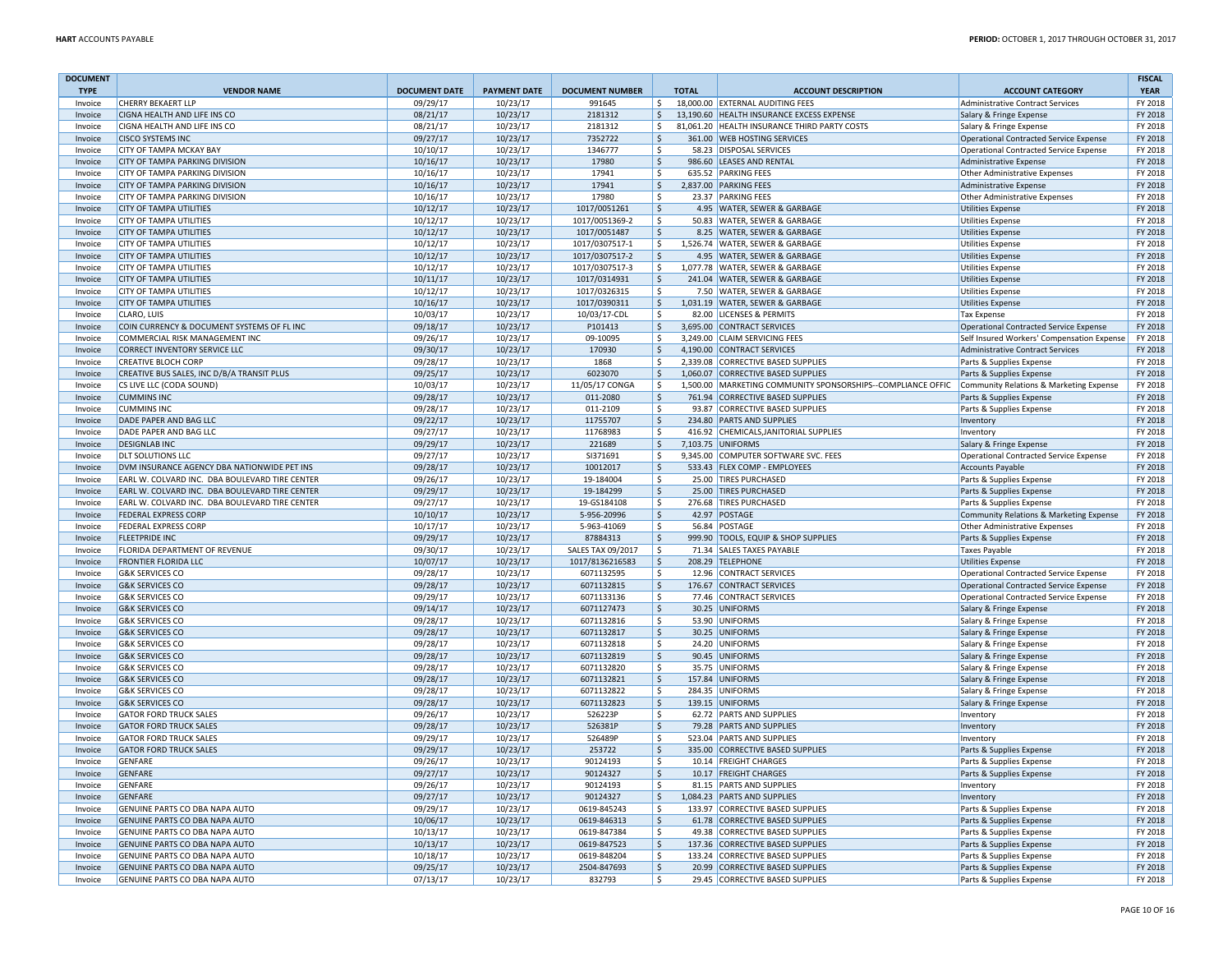| <b>DOCUMENT</b>    |                                                                        |                      |                     |                        |                          |                                                             |                                               | <b>FISCAL</b> |
|--------------------|------------------------------------------------------------------------|----------------------|---------------------|------------------------|--------------------------|-------------------------------------------------------------|-----------------------------------------------|---------------|
| <b>TYPE</b>        | <b>VENDOR NAME</b>                                                     | <b>DOCUMENT DATE</b> | <b>PAYMENT DATE</b> | <b>DOCUMENT NUMBER</b> | <b>TOTAL</b>             | <b>ACCOUNT DESCRIPTION</b>                                  | <b>ACCOUNT CATEGORY</b>                       | <b>YEAR</b>   |
| Invoice            | <b>CHERRY BEKAERT LLF</b>                                              | 09/29/17             | 10/23/17            | 991645                 | l \$                     | 18,000.00 EXTERNAL AUDITING FEES                            | Administrative Contract Services              | FY 2018       |
| Invoice            | CIGNA HEALTH AND LIFE INS CO                                           | 08/21/17             | 10/23/17            | 2181312                | ۱\$.                     | 13,190.60 HEALTH INSURANCE EXCESS EXPENSE                   | Salary & Fringe Expense                       | FY 2018       |
| Invoice            | CIGNA HEALTH AND LIFE INS CO                                           | 08/21/17             | 10/23/17            | 2181312                | S,                       | 81,061.20 HEALTH INSURANCE THIRD PARTY COSTS                | Salary & Fringe Expense                       | FY 2018       |
| Invoice            | <b>CISCO SYSTEMS INC</b>                                               | 09/27/17             | 10/23/17            | 7352722                | ۱Ś                       | 361.00 WEB HOSTING SERVICES                                 | <b>Operational Contracted Service Expense</b> | FY 2018       |
| Invoice            | <b>CITY OF TAMPA MCKAY BAY</b>                                         | 10/10/17             | 10/23/17            | 1346777                | l \$                     | 58.23 DISPOSAL SERVICES                                     | Operational Contracted Service Expense        | FY 2018       |
| Invoice            | <b>CITY OF TAMPA PARKING DIVISION</b>                                  | 10/16/17             | 10/23/17            | 17980                  | ۱s.                      | 986.60 LEASES AND RENTAL                                    | Administrative Expense                        | FY 2018       |
| Invoice            | <b>CITY OF TAMPA PARKING DIVISION</b>                                  | 10/16/17             | 10/23/17            | 17941                  | ۱s.                      | 635.52 PARKING FEES                                         | Other Administrative Expenses                 | FY 2018       |
| Invoice            | <b>CITY OF TAMPA PARKING DIVISION</b>                                  | 10/16/17             | 10/23/17            | 17941                  | $\frac{1}{2}$            | 2,837.00 PARKING FEES                                       | Administrative Expense                        | FY 2018       |
| Invoice            | <b>CITY OF TAMPA PARKING DIVISION</b>                                  | 10/16/17             | 10/23/17            | 17980                  | $\overline{\mathsf{s}}$  | 23.37 PARKING FEES                                          | Other Administrative Expenses                 | FY 2018       |
| Invoice            | <b>CITY OF TAMPA UTILITIES</b>                                         | 10/12/17             | 10/23/17            | 1017/0051261           | $\mathsf{S}$             | 4.95 WATER, SEWER & GARBAGE                                 | <b>Utilities Expense</b>                      | FY 2018       |
| Invoice            | <b>CITY OF TAMPA UTILITIES</b>                                         | 10/12/17             | 10/23/17            | 1017/0051369-2         | \$                       | 50.83 WATER, SEWER & GARBAGE                                | <b>Utilities Expense</b>                      | FY 2018       |
| Invoice            | <b>CITY OF TAMPA UTILITIES</b>                                         | 10/12/17             | 10/23/17            | 1017/0051487           | \$                       | 8.25 WATER, SEWER & GARBAGE                                 | <b>Utilities Expense</b>                      | FY 2018       |
| Invoice            | <b>CITY OF TAMPA UTILITIES</b>                                         | 10/12/17             | 10/23/17            | 1017/0307517-1         | l \$                     | 1.526.74 WATER, SEWER & GARBAGE                             | <b>Utilities Expense</b>                      | FY 2018       |
| Invoice            | <b>CITY OF TAMPA UTILITIES</b>                                         | 10/12/17             | 10/23/17            | 1017/0307517-2         | $\frac{1}{2}$            | 4.95 WATER, SEWER & GARBAGE                                 | <b>Utilities Expense</b>                      | FY 2018       |
| Invoice            | <b>CITY OF TAMPA UTILITIES</b>                                         | 10/12/17             | 10/23/17            | 1017/0307517-3         | l \$                     | 1,077.78 WATER, SEWER & GARBAGE                             | <b>Utilities Expense</b>                      | FY 2018       |
| Invoice            | <b>CITY OF TAMPA UTILITIES</b>                                         | 10/11/17             | 10/23/17            | 1017/0314931           | \$                       | 241.04 WATER, SEWER & GARBAGE                               | <b>Utilities Expense</b>                      | FY 2018       |
| Invoice            | <b>CITY OF TAMPA UTILITIES</b>                                         | 10/12/17             | 10/23/17            | 1017/0326315           | \$                       | 7.50 WATER, SEWER & GARBAGE                                 | <b>Utilities Expense</b>                      | FY 2018       |
| Invoice            | <b>CITY OF TAMPA UTILITIES</b>                                         | 10/16/17             | 10/23/17            | 1017/0390311           | ۱\$                      | 1,031.19 WATER, SEWER & GARBAGE                             | <b>Utilities Expense</b>                      | FY 2018       |
| Invoice            | CLARO, LUIS                                                            | 10/03/17             | 10/23/17            | 10/03/17-CDL           | S,                       | 82.00 LICENSES & PERMITS                                    | <b>Tax Expense</b>                            | FY 2018       |
| Invoice            | COIN CURRENCY & DOCUMENT SYSTEMS OF FL INC                             | 09/18/17             | 10/23/17            | P101413                | $\frac{1}{2}$            | 3,695.00 CONTRACT SERVICES                                  | Operational Contracted Service Expense        | FY 2018       |
|                    |                                                                        | 09/26/17             | 10/23/17            | 09-10095               | l \$                     | 3,249.00 CLAIM SERVICING FEES                               |                                               | FY 2018       |
| Invoice<br>Invoice | COMMERCIAL RISK MANAGEMENT INC<br><b>CORRECT INVENTORY SERVICE LLC</b> | 09/30/17             | 10/23/17            | 170930                 | ۱\$.                     | 4.190.00 CONTRACT SERVICES                                  | Self Insured Workers' Compensation Expense    | FY 2018       |
|                    | <b>CREATIVE BLOCH CORP</b>                                             |                      |                     |                        |                          |                                                             | Administrative Contract Services              | FY 2018       |
| Invoice            |                                                                        | 09/28/17             | 10/23/17            | 1868                   | ۱\$.                     | 2,339.08 CORRECTIVE BASED SUPPLIES                          | Parts & Supplies Expense                      |               |
| Invoice            | CREATIVE BUS SALES, INC D/B/A TRANSIT PLUS                             | 09/25/17             | 10/23/17            | 6023070                | ۱\$                      | 1,060.07 CORRECTIVE BASED SUPPLIES                          | Parts & Supplies Expense                      | FY 2018       |
| Invoice            | CS LIVE LLC (CODA SOUND)                                               | 10/03/17             | 10/23/17            | 11/05/17 CONGA         | ۱\$                      | 1,500.00 MARKETING COMMUNITY SPONSORSHIPS--COMPLIANCE OFFIC | Community Relations & Marketing Expense       | FY 2018       |
| Invoice            | <b>CUMMINS INC</b>                                                     | 09/28/17             | 10/23/17            | 011-2080               | l\$                      | 761.94 CORRECTIVE BASED SUPPLIES                            | Parts & Supplies Expense                      | FY 2018       |
| Invoice            | <b>CUMMINS INC</b>                                                     | 09/28/17             | 10/23/17            | 011-2109               | l \$<br>93.87            | <b>CORRECTIVE BASED SUPPLIES</b>                            | Parts & Supplies Expense                      | FY 2018       |
| Invoice            | DADE PAPER AND BAG LLC                                                 | 09/22/17             | 10/23/17            | 11755707               | $\frac{1}{2}$            | 234.80 PARTS AND SUPPLIES                                   | Inventory                                     | FY 2018       |
| Invoice            | DADE PAPER AND BAG LLC                                                 | 09/27/17             | 10/23/17            | 11768983               | ۱\$.                     | 416.92 CHEMICALS, JANITORIAL SUPPLIES                       | Inventory                                     | FY 2018       |
| Invoice            | <b>DESIGNLAB INC</b>                                                   | 09/29/17             | 10/23/17            | 221689                 | ۱\$.                     | 7,103.75 UNIFORMS                                           | Salary & Fringe Expense                       | FY 2018       |
| Invoice            | <b>DLT SOLUTIONS LLC</b>                                               | 09/27/17             | 10/23/17            | SI371691               | $\ddot{\mathsf{S}}$      | 9,345.00 COMPUTER SOFTWARE SVC. FEES                        | <b>Operational Contracted Service Expense</b> | FY 2018       |
| Invoice            | DVM INSURANCE AGENCY DBA NATIONWIDE PET INS                            | 09/28/17             | 10/23/17            | 10012017               | ∣\$                      | 533.43 FLEX COMP - EMPLOYEES                                | <b>Accounts Payable</b>                       | FY 2018       |
| Invoice            | EARL W. COLVARD INC. DBA BOULEVARD TIRE CENTER                         | 09/26/17             | 10/23/17            | 19-184004              | l \$                     | 25.00 TIRES PURCHASED                                       | Parts & Supplies Expense                      | FY 2018       |
| Invoice            | EARL W. COLVARD INC. DBA BOULEVARD TIRE CENTER                         | 09/29/17             | 10/23/17            | 19-184299              | ۱\$.                     | 25.00 TIRES PURCHASED                                       | Parts & Supplies Expense                      | FY 2018       |
| Invoice            | EARL W. COLVARD INC. DBA BOULEVARD TIRE CENTER                         | 09/27/17             | 10/23/17            | 19-GS184108            | ۱\$.                     | 276.68 TIRES PURCHASED                                      | Parts & Supplies Expense                      | FY 2018       |
| Invoice            | <b>FEDERAL EXPRESS CORP</b>                                            | 10/10/17             | 10/23/17            | 5-956-20996            | ۱\$.                     | 42.97 POSTAGE                                               | Community Relations & Marketing Expense       | FY 2018       |
| Invoice            | <b>FEDERAL EXPRESS CORP</b>                                            | 10/17/17             | 10/23/17            | 5-963-41069            | \$                       | 56.84 POSTAGE                                               | Other Administrative Expenses                 | FY 2018       |
| Invoice            | <b>FLEETPRIDE INC</b>                                                  | 09/29/17             | 10/23/17            | 87884313               | l\$<br>999.90            | <b>TOOLS, EQUIP &amp; SHOP SUPPLIES</b>                     | Parts & Supplies Expense                      | FY 2018       |
| Invoice            | FLORIDA DEPARTMENT OF REVENUE                                          | 09/30/17             | 10/23/17            | SALES TAX 09/2017      | l \$                     | 71.34 SALES TAXES PAYABLE                                   | <b>Taxes Payable</b>                          | FY 2018       |
| Invoice            | <b>FRONTIER FLORIDA LLC</b>                                            | 10/07/17             | 10/23/17            | 1017/8136216583        | ۱\$.                     | 208.29 TELEPHONE                                            | <b>Utilities Expense</b>                      | FY 2018       |
| Invoice            | <b>G&amp;K SERVICES CO</b>                                             | 09/28/17             | 10/23/17            | 6071132595             | ۱\$.                     | 12.96 CONTRACT SERVICES                                     | Operational Contracted Service Expense        | FY 2018       |
| Invoice            | <b>G&amp;K SERVICES CO</b>                                             | 09/28/17             | 10/23/17            | 6071132815             | ۱\$.                     | 176.67 CONTRACT SERVICES                                    | Operational Contracted Service Expense        | FY 2018       |
| Invoice            | <b>G&amp;K SERVICES CO</b>                                             | 09/29/17             | 10/23/17            | 6071133136             | $\overline{\phantom{a}}$ | 77.46 CONTRACT SERVICES                                     | Operational Contracted Service Expense        | FY 2018       |
| Invoice            | <b>G&amp;K SERVICES CO</b>                                             | 09/14/17             | 10/23/17            | 6071127473             | ∣\$<br>30.25             | <b>UNIFORMS</b>                                             | Salary & Fringe Expense                       | FY 2018       |
| Invoice            | <b>G&amp;K SERVICES CO</b>                                             | 09/28/17             | 10/23/17            | 6071132816             | \$                       | 53.90 UNIFORMS                                              | Salary & Fringe Expense                       | FY 2018       |
| Invoice            | <b>G&amp;K SERVICES CO</b>                                             | 09/28/17             | 10/23/17            | 6071132817             | l \$                     | 30.25 UNIFORMS                                              | Salary & Fringe Expense                       | FY 2018       |
| Invoice            | <b>G&amp;K SERVICES CO</b>                                             | 09/28/17             | 10/23/17            | 6071132818             | ١s<br>24.20              | <b>UNIFORMS</b>                                             | Salary & Fringe Expense                       | FY 2018       |
| Invoice            | <b>G&amp;K SERVICES CO</b>                                             | 09/28/17             | 10/23/17            | 6071132819             | ۱\$.                     | 90.45 UNIFORMS                                              | Salary & Fringe Expense                       | FY 2018       |
| Invoice            | <b>G&amp;K SERVICES CO</b>                                             | 09/28/17             | 10/23/17            | 6071132820             | ۱\$<br>35.75             | <b>UNIFORMS</b>                                             | Salary & Fringe Expense                       | FY 2018       |
| Invoice            | <b>G&amp;K SERVICES CO</b>                                             | 09/28/17             | 10/23/17            | 6071132821             | \$                       | 157.84 UNIFORMS                                             | Salary & Fringe Expense                       | FY 2018       |
| Invoice            | <b>G&amp;K SERVICES CO</b>                                             | 09/28/17             | 10/23/17            | 6071132822             | $\frac{1}{2}$            | 284.35 UNIFORMS                                             | Salary & Fringe Expense                       | FY 2018       |
| Invoice            | <b>G&amp;K SERVICES CO</b>                                             | 09/28/17             | 10/23/17            | 6071132823             | ۱\$.                     | 139.15 UNIFORMS                                             | Salary & Fringe Expense                       | FY 2018       |
| Invoice            | <b>GATOR FORD TRUCK SALES</b>                                          | 09/26/17             | 10/23/17            | 526223P                | ۱\$.                     | 62.72 PARTS AND SUPPLIES                                    | Inventory                                     | FY 2018       |
| Invoice            | <b>GATOR FORD TRUCK SALES</b>                                          | 09/28/17             | 10/23/17            | 526381P                | $\sqrt{5}$               | 79.28 PARTS AND SUPPLIES                                    | Inventory                                     | FY 2018       |
| Invoice            | <b>GATOR FORD TRUCK SALES</b>                                          | 09/29/17             | 10/23/17            | 526489P                | ۱\$                      | 523.04 PARTS AND SUPPLIES                                   | Inventory                                     | FY 2018       |
| Invoice            | <b>GATOR FORD TRUCK SALES</b>                                          | 09/29/17             | 10/23/17            | 253722                 | ∣\$                      | 335.00 CORRECTIVE BASED SUPPLIES                            | Parts & Supplies Expense                      | FY 2018       |
| Invoice            | GENFARE                                                                | 09/26/17             | 10/23/17            | 90124193               | l \$                     | 10.14 FREIGHT CHARGES                                       | Parts & Supplies Expense                      | FY 2018       |
| Invoice            | GENFARE                                                                | 09/27/17             | 10/23/17            | 90124327               | ۱\$.                     | 10.17 FREIGHT CHARGES                                       | Parts & Supplies Expense                      | FY 2018       |
| Invoice            | GENFARE                                                                | 09/26/17             | 10/23/17            | 90124193               | l \$                     | 81.15 PARTS AND SUPPLIES                                    | Inventory                                     | FY 2018       |
| Invoice            | <b>GENFARE</b>                                                         | 09/27/17             | 10/23/17            | 90124327               | $\frac{1}{2}$            | 1,084.23 PARTS AND SUPPLIES                                 | Inventory                                     | FY 2018       |
| Invoice            | GENUINE PARTS CO DBA NAPA AUTO                                         | 09/29/17             | 10/23/17            | 0619-845243            | ۱\$                      | 133.97 CORRECTIVE BASED SUPPLIES                            | Parts & Supplies Expense                      | FY 2018       |
| Invoice            | GENUINE PARTS CO DBA NAPA AUTO                                         | 10/06/17             | 10/23/17            | 0619-846313            | ∣\$                      | 61.78 CORRECTIVE BASED SUPPLIES                             | Parts & Supplies Expense                      | FY 2018       |
| Invoice            | GENUINE PARTS CO DBA NAPA AUTO                                         | 10/13/17             | 10/23/17            | 0619-847384            | l \$                     | 49.38 CORRECTIVE BASED SUPPLIES                             | Parts & Supplies Expense                      | FY 2018       |
| Invoice            | GENUINE PARTS CO DBA NAPA AUTO                                         | 10/13/17             | 10/23/17            | 0619-847523            | ۱\$.                     | 137.36 CORRECTIVE BASED SUPPLIES                            | Parts & Supplies Expense                      | FY 2018       |
| Invoice            | GENUINE PARTS CO DBA NAPA AUTO                                         | 10/18/17             | 10/23/17            | 0619-848204            | ۱\$                      | 133.24 CORRECTIVE BASED SUPPLIES                            | Parts & Supplies Expense                      | FY 2018       |
| Invoice            | GENUINE PARTS CO DBA NAPA AUTO                                         | 09/25/17             | 10/23/17            | 2504-847693            | l\$                      | 20.99 CORRECTIVE BASED SUPPLIES                             | Parts & Supplies Expense                      | FY 2018       |
| Invoice            | GENUINE PARTS CO DBA NAPA AUTO                                         | 07/13/17             | 10/23/17            | 832793                 | l \$                     | 29.45 CORRECTIVE BASED SUPPLIES                             | Parts & Supplies Expense                      | FY 2018       |
|                    |                                                                        |                      |                     |                        |                          |                                                             |                                               |               |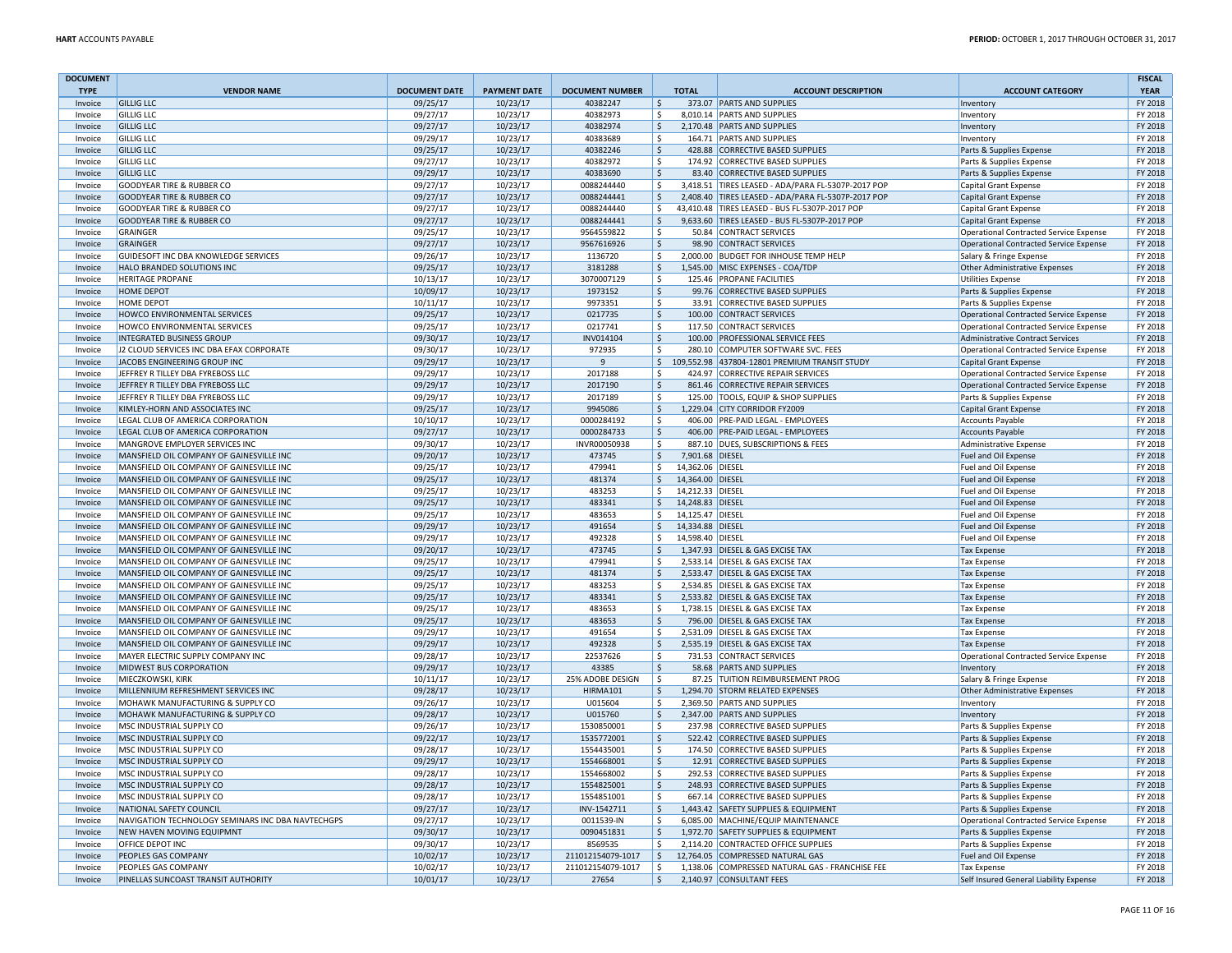| <b>DOCUMENT</b><br><b>TYPE</b> | <b>VENDOR NAME</b>                                         | <b>DOCUMENT DATE</b> | <b>PAYMENT DATE</b>  | <b>DOCUMENT NUMBER</b>     | <b>TOTAL</b>                     | <b>ACCOUNT DESCRIPTION</b>                                                  | <b>ACCOUNT CATEGORY</b>                                      | <b>FISCAL</b><br><b>YEAR</b> |
|--------------------------------|------------------------------------------------------------|----------------------|----------------------|----------------------------|----------------------------------|-----------------------------------------------------------------------------|--------------------------------------------------------------|------------------------------|
| Invoice                        | <b>GILLIG LLC</b>                                          | 09/25/17             | 10/23/17             | 40382247                   | $\mathsf{S}$                     | 373.07 PARTS AND SUPPLIES                                                   | Inventory                                                    | FY 2018                      |
| Invoice                        | <b>GILLIG LLC</b>                                          | 09/27/17             | 10/23/17             | 40382973                   | Ŝ.                               | 8,010.14 PARTS AND SUPPLIES                                                 | Inventory                                                    | FY 2018                      |
| Invoice                        | <b>GILLIG LLC</b>                                          | 09/27/17             | 10/23/17             | 40382974                   | \$                               | 2,170.48 PARTS AND SUPPLIES                                                 | Inventory                                                    | FY 2018                      |
| Invoice                        | <b>GILLIG LLC</b>                                          | 09/29/17             | 10/23/17             | 40383689                   | Ŝ.                               | 164.71 PARTS AND SUPPLIES                                                   | Inventory                                                    | FY 2018                      |
| Invoice                        | <b>GILLIG LLC</b>                                          | 09/25/17             | 10/23/17             | 40382246                   | $\mathsf{\hat{S}}$               | 428.88 CORRECTIVE BASED SUPPLIES                                            | Parts & Supplies Expense                                     | FY 2018                      |
| Invoice                        | <b>GILLIG LLC</b>                                          | 09/27/17             | 10/23/17             | 40382972                   | Ŝ.                               | 174.92 CORRECTIVE BASED SUPPLIES                                            | Parts & Supplies Expense                                     | FY 2018                      |
| Invoice                        | <b>GILLIG LLC</b>                                          | 09/29/17             | 10/23/17             | 40383690                   | \$                               | 83.40 CORRECTIVE BASED SUPPLIES                                             | Parts & Supplies Expense                                     | FY 2018                      |
| Invoice                        | <b>GOODYEAR TIRE &amp; RUBBER CO</b>                       | 09/27/17             | 10/23/17             | 0088244440                 | \$                               | 3,418.51 TIRES LEASED - ADA/PARA FL-5307P-2017 POP                          | Capital Grant Expense                                        | FY 2018                      |
| Invoice                        | <b>GOODYEAR TIRE &amp; RUBBER CO</b>                       | 09/27/17             | 10/23/17             | 0088244441                 | \$                               | 2,408.40 TIRES LEASED - ADA/PARA FL-5307P-2017 POP                          | <b>Capital Grant Expense</b>                                 | FY 2018                      |
| Invoice                        | <b>GOODYEAR TIRE &amp; RUBBER CO</b>                       | 09/27/17             | 10/23/17             | 0088244440                 | \$                               | 43,410.48 TIRES LEASED - BUS FL-5307P-2017 POP                              | Capital Grant Expense                                        | FY 2018                      |
| Invoice                        | <b>GOODYEAR TIRE &amp; RUBBER CO</b>                       | 09/27/17             | 10/23/17             | 0088244441                 | \$                               | 9,633.60 TIRES LEASED - BUS FL-5307P-2017 POP                               | <b>Capital Grant Expense</b>                                 | FY 2018                      |
| Invoice                        | GRAINGER                                                   | 09/25/17             | 10/23/17             | 9564559822                 | Ŝ.                               | 50.84 CONTRACT SERVICES                                                     | <b>Operational Contracted Service Expense</b>                | FY 2018                      |
| Invoice                        | GRAINGER                                                   | 09/27/17             | 10/23/17             | 9567616926                 | $\mathsf{S}$                     | 98.90 CONTRACT SERVICES                                                     | <b>Operational Contracted Service Expense</b>                | FY 2018                      |
| Invoice                        | GUIDESOFT INC DBA KNOWLEDGE SERVICES                       | 09/26/17             | 10/23/17             | 1136720                    | \$                               | 2,000.00 BUDGET FOR INHOUSE TEMP HELP                                       | Salary & Fringe Expense                                      | FY 2018                      |
| Invoice                        | HALO BRANDED SOLUTIONS INC                                 | 09/25/17             | 10/23/17             | 3181288                    | \$                               | 1,545.00 MISC EXPENSES - COA/TDP                                            | Other Administrative Expenses                                | FY 2018                      |
| Invoice                        | <b>HERITAGE PROPANE</b>                                    | 10/13/17             | 10/23/17             | 3070007129                 | \$                               | 125.46 PROPANE FACILITIES                                                   | <b>Utilities Expense</b>                                     | FY 2018                      |
| Invoice                        | <b>HOME DEPOT</b>                                          | 10/09/17             | 10/23/17             | 1973152                    | Ŝ.                               | 99.76 CORRECTIVE BASED SUPPLIES                                             | Parts & Supplies Expense                                     | FY 2018                      |
| Invoice                        | <b>HOME DEPOT</b>                                          | 10/11/17             | 10/23/17             | 9973351                    | \$                               | 33.91 CORRECTIVE BASED SUPPLIES                                             | Parts & Supplies Expense                                     | FY 2018                      |
| Invoice                        | HOWCO ENVIRONMENTAL SERVICES                               | 09/25/17             | 10/23/17             | 0217735                    | $\frac{1}{2}$                    | 100.00 CONTRACT SERVICES                                                    | <b>Operational Contracted Service Expense</b>                | FY 2018                      |
| Invoice                        | HOWCO ENVIRONMENTAL SERVICES                               | 09/25/17             | 10/23/17             | 0217741                    | \$                               | 117.50 CONTRACT SERVICES                                                    | <b>Operational Contracted Service Expense</b>                | FY 2018                      |
| Invoice                        | <b>INTEGRATED BUSINESS GROUP</b>                           | 09/30/17             | 10/23/17             | INV014104                  | \$                               | 100.00 PROFESSIONAL SERVICE FEES                                            | <b>Administrative Contract Services</b>                      | FY 2018                      |
| Invoice                        | J2 CLOUD SERVICES INC DBA EFAX CORPORATE                   | 09/30/17             | 10/23/17             | 972935                     | $\mathsf{S}$                     | 280.10 COMPUTER SOFTWARE SVC. FEES                                          | <b>Operational Contracted Service Expense</b>                | FY 2018                      |
| Invoice                        | JACOBS ENGINEERING GROUP INC                               | 09/29/17             | 10/23/17             | 9                          | \$                               | 109,552.98 437804-12801 PREMIUM TRANSIT STUDY                               | <b>Capital Grant Expense</b>                                 | FY 2018                      |
| Invoice                        | JEFFREY R TILLEY DBA FYREBOSS LLC                          | 09/29/17             | 10/23/17             | 2017188                    | Ŝ.                               | 424.97 CORRECTIVE REPAIR SERVICES                                           | Operational Contracted Service Expense                       | FY 2018                      |
| Invoice                        | JEFFREY R TILLEY DBA FYREBOSS LLC                          | 09/29/17             | 10/23/17             | 2017190                    | $\mathsf{S}$                     | 861.46 CORRECTIVE REPAIR SERVICES                                           | <b>Operational Contracted Service Expense</b>                | FY 2018                      |
| Invoice                        | JEFFREY R TILLEY DBA FYREBOSS LLC                          | 09/29/17             | 10/23/17             | 2017189                    | \$                               | 125.00 TOOLS, EQUIP & SHOP SUPPLIES                                         | Parts & Supplies Expense                                     | FY 2018                      |
| Invoice                        | KIMLEY-HORN AND ASSOCIATES INC                             | 09/25/17             | 10/23/17             | 9945086                    | \$                               | 1,229.04 CITY CORRIDOR FY2009                                               | <b>Capital Grant Expense</b>                                 | FY 2018                      |
| Invoice                        | LEGAL CLUB OF AMERICA CORPORATION                          | 10/10/17             | 10/23/17             | 0000284192                 | \$                               | 406.00 PRE-PAID LEGAL - EMPLOYEES                                           | <b>Accounts Payable</b>                                      | FY 2018                      |
| Invoice                        | LEGAL CLUB OF AMERICA CORPORATION                          | 09/27/17             | 10/23/17             | 0000284733                 | Ŝ.                               | 406.00 PRE-PAID LEGAL - EMPLOYEES                                           | <b>Accounts Payable</b>                                      | FY 2018                      |
| Invoice                        | MANGROVE EMPLOYER SERVICES INC                             | 09/30/17             | 10/23/17             | INVR00050938               | \$                               | 887.10 DUES, SUBSCRIPTIONS & FEES                                           | Administrative Expense                                       | FY 2018                      |
| Invoice                        | MANSFIELD OIL COMPANY OF GAINESVILLE INC                   | 09/20/17             | 10/23/17             | 473745                     | $\zeta$<br>7,901.68 DIESEL       |                                                                             | Fuel and Oil Expense                                         | FY 2018                      |
| Invoice                        | MANSFIELD OIL COMPANY OF GAINESVILLE INC                   | 09/25/17             | 10/23/17             | 479941                     | \$<br>14,362.06 DIESEL           |                                                                             | Fuel and Oil Expense                                         | FY 2018                      |
| Invoice                        | MANSFIELD OIL COMPANY OF GAINESVILLE INC                   | 09/25/17             | 10/23/17             | 481374                     | Ŝ.<br>14.364.00 DIESEL           |                                                                             | Fuel and Oil Expense                                         | FY 2018                      |
| Invoice                        | MANSFIELD OIL COMPANY OF GAINESVILLE INC                   | 09/25/17             | 10/23/17             | 483253                     | 14,212.33 DIESEL<br>Ŝ.           |                                                                             | Fuel and Oil Expense                                         | FY 2018                      |
| Invoice                        | MANSFIELD OIL COMPANY OF GAINESVILLE INC                   | 09/25/17             | 10/23/17             | 483341                     | 14,248.83 DIESEL<br>Ŝ.           |                                                                             | Fuel and Oil Expense                                         | FY 2018                      |
| Invoice                        | MANSFIELD OIL COMPANY OF GAINESVILLE INC                   | 09/25/17             | 10/23/17             | 483653                     | \$<br>14,125.47 DIESEL           |                                                                             | Fuel and Oil Expense                                         | FY 2018                      |
| Invoice                        | MANSFIELD OIL COMPANY OF GAINESVILLE INC                   | 09/29/17             | 10/23/17             | 491654                     | $\mathsf{S}$<br>14,334.88 DIESEL |                                                                             | Fuel and Oil Expense                                         | FY 2018                      |
| Invoice                        | MANSFIELD OIL COMPANY OF GAINESVILLE INC                   | 09/29/17             | 10/23/17             | 492328                     | Ŝ.<br>14,598.40 DIESEL           |                                                                             | Fuel and Oil Expense                                         | FY 2018                      |
| Invoice                        | MANSFIELD OIL COMPANY OF GAINESVILLE INC                   | 09/20/17             | 10/23/17             | 473745                     | $\mathsf{\hat{S}}$               | 1,347.93 DIESEL & GAS EXCISE TAX                                            | <b>Tax Expense</b>                                           | FY 2018                      |
| Invoice                        | MANSFIELD OIL COMPANY OF GAINESVILLE INC                   | 09/25/17             | 10/23/17             | 479941                     | \$                               | 2,533.14 DIESEL & GAS EXCISE TAX                                            | <b>Tax Expense</b>                                           | FY 2018                      |
| Invoice                        | MANSFIELD OIL COMPANY OF GAINESVILLE INC                   | 09/25/17             | 10/23/17             | 481374                     | \$                               | 2,533.47 DIESEL & GAS EXCISE TAX                                            | <b>Tax Expense</b>                                           | FY 2018                      |
| Invoice                        | MANSFIELD OIL COMPANY OF GAINESVILLE INC                   | 09/25/17             | 10/23/17             | 483253                     | Ŝ.                               | 2,534.85 DIESEL & GAS EXCISE TAX                                            | <b>Tax Expense</b>                                           | FY 2018                      |
| Invoice                        | MANSFIELD OIL COMPANY OF GAINESVILLE INC                   | 09/25/17             | 10/23/17             | 483341                     | $\mathsf{\hat{S}}$               | 2,533.82 DIESEL & GAS EXCISE TAX                                            | <b>Tax Expense</b>                                           | FY 2018                      |
| Invoice                        | MANSFIELD OIL COMPANY OF GAINESVILLE INC                   | 09/25/17             | 10/23/17             | 483653                     | \$                               | 1,738.15 DIESEL & GAS EXCISE TAX                                            | <b>Tax Expense</b>                                           | FY 2018                      |
| Invoice                        | MANSFIELD OIL COMPANY OF GAINESVILLE INC                   | 09/25/17             | 10/23/17             | 483653                     | \$                               | 796.00 DIESEL & GAS EXCISE TAX                                              | <b>Tax Expense</b>                                           | FY 2018                      |
| Invoice                        | MANSFIELD OIL COMPANY OF GAINESVILLE INC                   | 09/29/17             | 10/23/17             | 491654                     | \$                               | 2,531.09 DIESEL & GAS EXCISE TAX                                            | <b>Tax Expense</b>                                           | FY 2018                      |
| Invoice                        | MANSFIELD OIL COMPANY OF GAINESVILLE INC                   | 09/29/17             | 10/23/17             | 492328                     | Ŝ.                               | 2,535.19 DIESEL & GAS EXCISE TAX                                            | <b>Tax Expense</b>                                           | FY 2018                      |
| Invoice                        | MAYER ELECTRIC SUPPLY COMPANY INC                          | 09/28/17             | 10/23/17             | 22537626                   | $\zeta$                          | 731.53 CONTRACT SERVICES                                                    | <b>Operational Contracted Service Expense</b>                | FY 2018                      |
| Invoice                        | MIDWEST BUS CORPORATION                                    | 09/29/17             | 10/23/17             | 43385                      | Ŝ.                               | 58.68 PARTS AND SUPPLIES                                                    | Inventory                                                    | FY 2018                      |
| Invoice                        | MIECZKOWSKI, KIRK                                          | 10/11/17             | 10/23/17             | 25% ADOBE DESIGN           | Ŝ.                               | 87.25 TUITION REIMBURSEMENT PROG                                            | Salary & Fringe Expense                                      | FY 2018                      |
| Invoice                        | MILLENNIUM REFRESHMENT SERVICES INC                        | 09/28/17             | 10/23/17             | <b>HIRMA101</b>            | \$                               | 1,294.70 STORM RELATED EXPENSES                                             | Other Administrative Expenses                                | FY 2018                      |
| Invoice                        | MOHAWK MANUFACTURING & SUPPLY CO                           | 09/26/17             | 10/23/17             | U015604                    | Ŝ.                               | 2,369.50 PARTS AND SUPPLIES                                                 | Inventory                                                    | FY 2018                      |
| Invoice                        | MOHAWK MANUFACTURING & SUPPLY CO                           | 09/28/17             | 10/23/17             | U015760                    | \$                               | 2,347.00 PARTS AND SUPPLIES                                                 | Inventory                                                    | FY 2018                      |
| Invoice                        | MSC INDUSTRIAL SUPPLY CO                                   | 09/26/17             | 10/23/17             | 1530850001                 | \$                               | 237.98 CORRECTIVE BASED SUPPLIES                                            | Parts & Supplies Expense                                     | FY 2018                      |
| Invoice                        | MSC INDUSTRIAL SUPPLY CO                                   | 09/22/17             | 10/23/17             | 1535772001                 | \$                               | 522.42 CORRECTIVE BASED SUPPLIES                                            | Parts & Supplies Expense                                     | FY 2018                      |
| Invoice                        | MSC INDUSTRIAL SUPPLY CO                                   | 09/28/17             | 10/23/17             | 1554435001                 | \$                               | 174.50 CORRECTIVE BASED SUPPLIES                                            | Parts & Supplies Expense                                     | FY 2018                      |
| Invoice                        | MSC INDUSTRIAL SUPPLY CO                                   | 09/29/17             | 10/23/17             | 1554668001                 | \$                               | 12.91 CORRECTIVE BASED SUPPLIES                                             | Parts & Supplies Expense                                     | FY 2018                      |
| Invoice                        | MSC INDUSTRIAL SUPPLY CO                                   | 09/28/17             | 10/23/17             | 1554668002                 | \$                               | 292.53 CORRECTIVE BASED SUPPLIES                                            | Parts & Supplies Expense                                     | FY 2018                      |
| Invoice                        | MSC INDUSTRIAL SUPPLY CO                                   | 09/28/17             | 10/23/17             | 1554825001                 | $\mathsf{\hat{S}}$               | 248.93 CORRECTIVE BASED SUPPLIES                                            | Parts & Supplies Expense                                     | FY 2018                      |
| Invoice                        | MSC INDUSTRIAL SUPPLY CO                                   | 09/28/17             | 10/23/17             | 1554851001                 | \$                               | 667.14 CORRECTIVE BASED SUPPLIES                                            | Parts & Supplies Expense                                     | FY 2018                      |
| Invoice                        | NATIONAL SAFETY COUNCIL                                    | 09/27/17             | 10/23/17             | INV-1542711                | \$                               | 1,443.42 SAFETY SUPPLIES & EQUIPMENT                                        | Parts & Supplies Expense                                     | FY 2018                      |
| Invoice                        | NAVIGATION TECHNOLOGY SEMINARS INC DBA NAVTECHGPS          | 09/27/17             | 10/23/17             | 0011539-IN                 | Ŝ.                               | 6.085.00 MACHINE/EQUIP MAINTENANCE                                          | <b>Operational Contracted Service Expense</b>                | FY 2018                      |
| Invoice                        | NEW HAVEN MOVING EQUIPMNT                                  | 09/30/17             | 10/23/17             | 0090451831                 | S.                               | 1,972.70 SAFETY SUPPLIES & EQUIPMENT                                        | Parts & Supplies Expense                                     | FY 2018                      |
| Invoice                        | <b>OFFICE DEPOT INC</b>                                    | 09/30/17             | 10/23/17             | 8569535                    | \$                               | 2,114.20 CONTRACTED OFFICE SUPPLIES                                         | Parts & Supplies Expense                                     | FY 2018                      |
| Invoice                        | PEOPLES GAS COMPANY                                        | 10/02/17             | 10/23/17             | 211012154079-1017          | ∣\$                              | 12,764.05 COMPRESSED NATURAL GAS                                            | Fuel and Oil Expense                                         | FY 2018                      |
| Invoice<br>Invoice             | PEOPLES GAS COMPANY<br>PINELLAS SUNCOAST TRANSIT AUTHORITY | 10/02/17<br>10/01/17 | 10/23/17<br>10/23/17 | 211012154079-1017<br>27654 | \$<br>Ŝ.                         | 1,138.06 COMPRESSED NATURAL GAS - FRANCHISE FEE<br>2,140.97 CONSULTANT FEES | <b>Tax Expense</b><br>Self Insured General Liability Expense | FY 2018<br>FY 2018           |
|                                |                                                            |                      |                      |                            |                                  |                                                                             |                                                              |                              |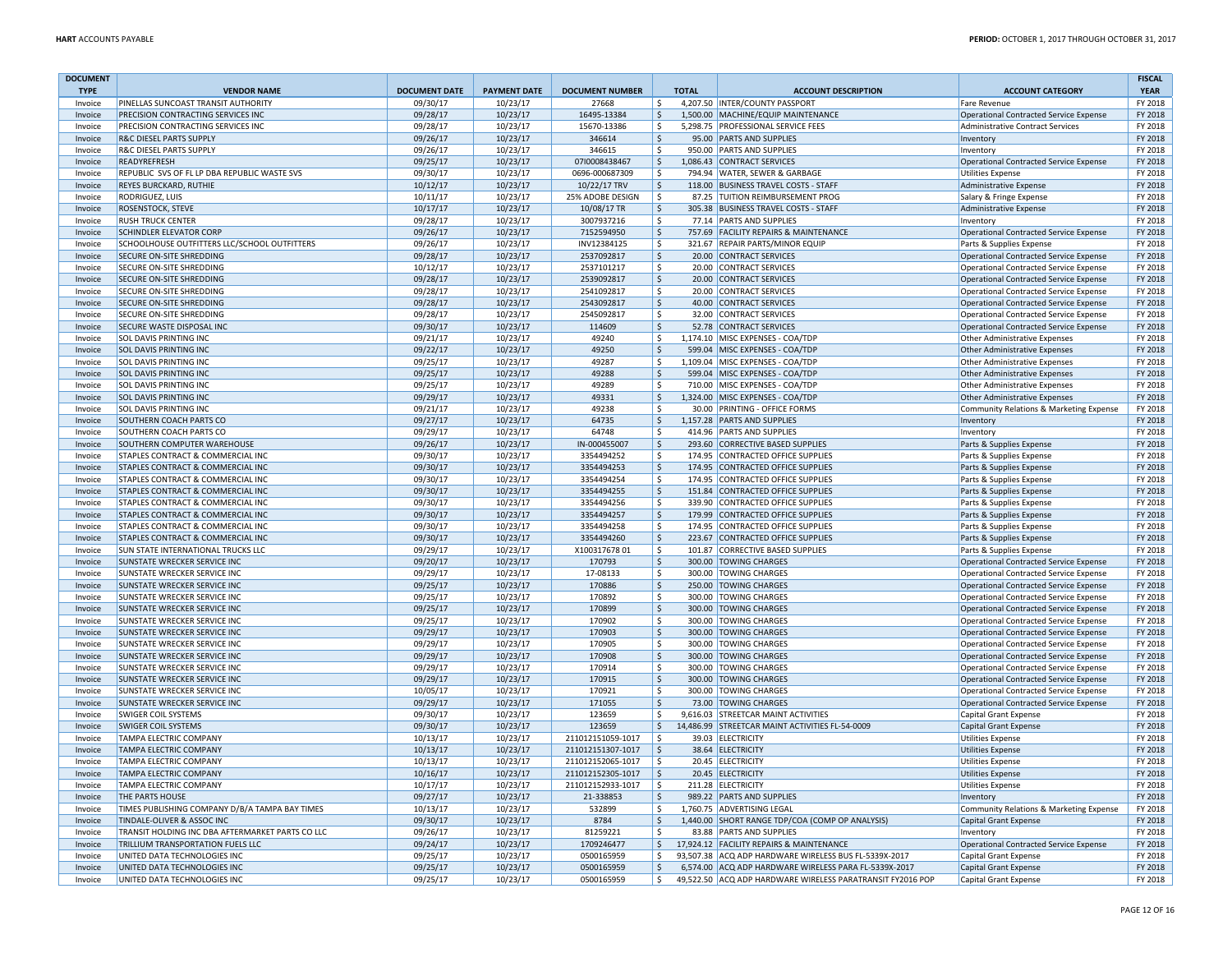| <b>DOCUMENT</b><br><b>TYPE</b> | <b>VENDOR NAME</b>                                                                    | <b>DOCUMENT DATE</b> | <b>PAYMENT DATE</b>  | <b>DOCUMENT NUMBER</b> | <b>TOTAL</b>        | <b>ACCOUNT DESCRIPTION</b>                                           | <b>ACCOUNT CATEGORY</b>                                    | <b>FISCAL</b><br><b>YEAR</b> |
|--------------------------------|---------------------------------------------------------------------------------------|----------------------|----------------------|------------------------|---------------------|----------------------------------------------------------------------|------------------------------------------------------------|------------------------------|
| Invoice                        | PINELLAS SUNCOAST TRANSIT AUTHORITY                                                   | 09/30/17             | 10/23/17             | 27668                  | ∣\$                 | 4.207.50 INTER/COUNTY PASSPORT                                       | <b>Fare Revenue</b>                                        | FY 2018                      |
| Invoice                        | PRECISION CONTRACTING SERVICES INC                                                    | 09/28/17             | 10/23/17             | 16495-13384            | S.                  | 1,500.00 MACHINE/EQUIP MAINTENANCE                                   | <b>Operational Contracted Service Expense</b>              | FY 2018                      |
| Invoice                        | PRECISION CONTRACTING SERVICES INC                                                    | 09/28/17             | 10/23/17             | 15670-13386            | Ŝ.                  | 5,298.75 PROFESSIONAL SERVICE FEES                                   | <b>Administrative Contract Services</b>                    | FY 2018                      |
| Invoice                        | R&C DIESEL PARTS SUPPLY                                                               | 09/26/17             | 10/23/17             | 346614                 | <sup>\$</sup>       | 95.00 PARTS AND SUPPLIES                                             | Inventory                                                  | FY 2018                      |
| Invoice                        | <b>R&amp;C DIESEL PARTS SUPPLY</b>                                                    | 09/26/17             | 10/23/17             | 346615                 | \$                  | 950.00 PARTS AND SUPPLIES                                            | Inventory                                                  | FY 2018                      |
| Invoice                        | READYREFRESH                                                                          | 09/25/17             | 10/23/17             | 07/0008438467          | $\mathsf{S}$        | 1,086.43 CONTRACT SERVICES                                           | <b>Operational Contracted Service Expense</b>              | FY 2018                      |
| Invoice                        | REPUBLIC SVS OF FL LP DBA REPUBLIC WASTE SVS                                          | 09/30/17             | 10/23/17             | 0696-000687309         | l \$                | 794.94 WATER, SEWER & GARBAGE                                        | <b>Utilities Expense</b>                                   | FY 2018                      |
| Invoice                        | REYES BURCKARD, RUTHIE                                                                | 10/12/17             | 10/23/17             | 10/22/17 TRV           | $\ddot{\varsigma}$  | 118.00 BUSINESS TRAVEL COSTS - STAFF                                 | <b>Administrative Expense</b>                              | FY 2018                      |
| Invoice                        | RODRIGUFZ, LUIS                                                                       | 10/11/17             | 10/23/17             | 25% ADOBE DESIGN       | ۱\$                 | 87.25 TUITION REIMBURSEMENT PROG                                     | Salary & Fringe Expense                                    | FY 2018                      |
| Invoice                        | ROSENSTOCK, STEVE                                                                     | 10/17/17             | 10/23/17             | 10/08/17 TR            | Ŝ.                  | 305.38 BUSINESS TRAVEL COSTS - STAFF                                 | Administrative Expense                                     | FY 2018                      |
| Invoice                        | <b>RUSH TRUCK CENTER</b>                                                              | 09/28/17             | 10/23/17             | 3007937216             | -S                  | 77.14 PARTS AND SUPPLIES                                             | Inventory                                                  | FY 2018                      |
| Invoice                        | <b>SCHINDLER ELEVATOR CORP</b>                                                        | 09/26/17             | 10/23/17             | 7152594950             | $\zeta$             | 757.69 FACILITY REPAIRS & MAINTENANCE                                | <b>Operational Contracted Service Expense</b>              | FY 2018                      |
| Invoice                        | SCHOOLHOUSE OUTFITTERS LLC/SCHOOL OUTFITTERS                                          | 09/26/17             | 10/23/17             | INV12384125            | Ŝ.                  | 321.67 REPAIR PARTS/MINOR EQUIP                                      | Parts & Supplies Expense                                   | FY 2018                      |
| Invoice                        | <b>SECURE ON-SITE SHREDDING</b>                                                       | 09/28/17             | 10/23/17             | 2537092817             | $\ddot{\varsigma}$  | 20.00 CONTRACT SERVICES                                              | <b>Operational Contracted Service Expense</b>              | FY 2018                      |
| Invoice                        | SECURE ON-SITE SHREDDING                                                              | 10/12/17             | 10/23/17             | 2537101217             | -\$                 | 20.00 CONTRACT SERVICES                                              | <b>Operational Contracted Service Expense</b>              | FY 2018                      |
| Invoice                        | SECURE ON-SITE SHREDDING                                                              | 09/28/17             | 10/23/17             | 2539092817             | $\zeta$             | 20.00 CONTRACT SERVICES                                              | Operational Contracted Service Expense                     | FY 2018                      |
| Invoice                        | SECURE ON-SITE SHREDDING                                                              | 09/28/17             | 10/23/17             | 2541092817             | \$                  | 20.00 CONTRACT SERVICES                                              | <b>Operational Contracted Service Expense</b>              | FY 2018                      |
| Invoice                        | SECURE ON-SITE SHREDDING                                                              | 09/28/17             | 10/23/17             | 2543092817             | \$                  | 40.00 CONTRACT SERVICES                                              | <b>Operational Contracted Service Expense</b>              | FY 2018                      |
| Invoice                        | SECURE ON-SITE SHREDDING                                                              | 09/28/17             | 10/23/17             | 2545092817             | $\mathsf{\hat{S}}$  | 32.00 CONTRACT SERVICES                                              | <b>Operational Contracted Service Expense</b>              | FY 2018                      |
| Invoice                        | SECURE WASTE DISPOSAL INC                                                             | 09/30/17             | 10/23/17             | 114609                 | $\mathsf{\hat{S}}$  | 52.78 CONTRACT SERVICES                                              | <b>Operational Contracted Service Expense</b>              | FY 2018                      |
| Invoice                        | SOL DAVIS PRINTING INC                                                                | 09/21/17             | 10/23/17             | 49240                  | Ŝ.                  | 1,174.10 MISC EXPENSES - COA/TDP                                     | <b>Other Administrative Expenses</b>                       | FY 2018                      |
| Invoice                        | SOL DAVIS PRINTING INC                                                                | 09/22/17             | 10/23/17             | 49250                  | $\ddot{\varsigma}$  | 599.04 MISC EXPENSES - COA/TDP                                       | Other Administrative Expenses                              | FY 2018                      |
| Invoice                        | <b>SOL DAVIS PRINTING INC</b>                                                         | 09/25/17             | 10/23/17             | 49287                  | - Ś                 | 1,109.04 MISC EXPENSES - COA/TDP                                     | <b>Other Administrative Expenses</b>                       | FY 2018                      |
| Invoice                        | <b>SOL DAVIS PRINTING INC</b>                                                         | 09/25/17             | 10/23/17             | 49288                  | $\zeta$             | 599.04 MISC EXPENSES - COA/TDP                                       | Other Administrative Expenses                              | FY 2018                      |
| Invoice                        | <b>SOL DAVIS PRINTING INC</b>                                                         | 09/25/17             | 10/23/17             | 49289                  | $\mathsf{\hat{S}}$  | 710.00 MISC EXPENSES - COA/TDP                                       | Other Administrative Expenses                              | FY 2018                      |
| Invoice                        | <b>SOL DAVIS PRINTING INC</b>                                                         | 09/29/17             | 10/23/17             | 49331                  | $\zeta$             | 1,324.00 MISC EXPENSES - COA/TDP                                     | <b>Other Administrative Expenses</b>                       | FY 2018                      |
| Invoice                        | <b>SOL DAVIS PRINTING INC</b>                                                         | 09/21/17             | 10/23/17             | 49238                  | Ŝ.                  | 30.00 PRINTING - OFFICE FORMS                                        | Community Relations & Marketing Expense                    | FY 2018                      |
| Invoice                        | <b>SOUTHERN COACH PARTS CO</b>                                                        | 09/27/17             | 10/23/17             | 64735                  | $\ddot{\mathsf{S}}$ | 1,157.28 PARTS AND SUPPLIES                                          | Inventory                                                  | FY 2018                      |
| Invoice                        | SOUTHERN COACH PARTS CO                                                               | 09/29/17             | 10/23/17             | 64748                  | \$                  | 414.96 PARTS AND SUPPLIES                                            | Inventory                                                  | FY 2018                      |
| Invoice                        | SOUTHERN COMPUTER WAREHOUSE                                                           | 09/26/17             | 10/23/17             | IN-000455007           | $\ddot{\varsigma}$  | 293.60 CORRECTIVE BASED SUPPLIES                                     | Parts & Supplies Expense                                   | FY 2018                      |
| Invoice                        | STAPLES CONTRACT & COMMERCIAL INC                                                     | 09/30/17             | 10/23/17             | 3354494252             | \$                  | 174.95 CONTRACTED OFFICE SUPPLIES                                    | Parts & Supplies Expense                                   | FY 2018                      |
| Invoice                        | STAPLES CONTRACT & COMMERCIAL INC                                                     | 09/30/17             | 10/23/17             | 3354494253             | $\mathsf{\hat{S}}$  | 174.95 CONTRACTED OFFICE SUPPLIES                                    | Parts & Supplies Expense                                   | FY 2018                      |
| Invoice                        | STAPLES CONTRACT & COMMERCIAL INC                                                     | 09/30/17             | 10/23/17             | 3354494254             | Ŝ.                  | 174.95 CONTRACTED OFFICE SUPPLIES                                    | Parts & Supplies Expense                                   | FY 2018                      |
| Invoice                        | STAPLES CONTRACT & COMMERCIAL INC                                                     | 09/30/17             | 10/23/17             | 3354494255             | \$                  | 151.84 CONTRACTED OFFICE SUPPLIES                                    | Parts & Supplies Expense                                   | FY 2018                      |
| Invoice                        | STAPLES CONTRACT & COMMERCIAL INC                                                     | 09/30/17             | 10/23/17             | 3354494256             | Ŝ.                  | 339.90 CONTRACTED OFFICE SUPPLIES                                    | Parts & Supplies Expense                                   | FY 2018                      |
| Invoice                        | STAPLES CONTRACT & COMMERCIAL INC                                                     | 09/30/17             | 10/23/17             | 3354494257             | $\mathsf{\hat{S}}$  | 179.99 CONTRACTED OFFICE SUPPLIES                                    | Parts & Supplies Expense                                   | FY 2018                      |
| Invoice                        | STAPLES CONTRACT & COMMERCIAL INC                                                     | 09/30/17             | 10/23/17             | 3354494258             | \$                  | 174.95 CONTRACTED OFFICE SUPPLIES                                    | Parts & Supplies Expense                                   | FY 2018                      |
| Invoice                        | STAPLES CONTRACT & COMMERCIAL INC                                                     | 09/30/17             | 10/23/17             | 3354494260             | $\mathsf{\hat{S}}$  | 223.67 CONTRACTED OFFICE SUPPLIES                                    | Parts & Supplies Expense                                   | FY 2018                      |
| Invoice                        | SUN STATE INTERNATIONAL TRUCKS LLC                                                    | 09/29/17             | 10/23/17             | X10031767801           | Ŝ.                  | 101.87 CORRECTIVE BASED SUPPLIES                                     | Parts & Supplies Expense                                   | FY 2018                      |
| Invoice                        | SUNSTATE WRECKER SERVICE INC                                                          | 09/20/17             | 10/23/17             | 170793                 | \$                  | 300.00 TOWING CHARGES                                                | Operational Contracted Service Expense                     | FY 2018                      |
| Invoice                        | SUNSTATE WRECKER SERVICE INC                                                          | 09/29/17             | 10/23/17             | 17-08133               | Ŝ.                  | 300.00 TOWING CHARGES                                                | <b>Operational Contracted Service Expense</b>              | FY 2018                      |
| Invoice                        | <b>SUNSTATE WRECKER SERVICE INC</b>                                                   | 09/25/17             | 10/23/17             | 170886                 | $\mathsf{\hat{S}}$  | 250.00 TOWING CHARGES                                                | <b>Operational Contracted Service Expense</b>              | FY 2018                      |
| Invoice                        | SUNSTATE WRECKER SERVICE INC                                                          | 09/25/17             | 10/23/17             | 170892                 | \$                  | 300.00 TOWING CHARGES                                                | <b>Operational Contracted Service Expense</b>              | FY 2018                      |
| Invoice                        | SUNSTATE WRECKER SERVICE INC                                                          | 09/25/17             | 10/23/17             | 170899                 | \$                  | 300.00 TOWING CHARGES                                                | <b>Operational Contracted Service Expense</b>              | FY 2018                      |
| Invoice                        | SUNSTATE WRECKER SERVICE INC                                                          | 09/25/17             | 10/23/17             | 170902                 | Ŝ.                  | 300.00 TOWING CHARGES                                                | <b>Operational Contracted Service Expense</b>              | FY 2018                      |
| Invoice                        | <b>SUNSTATE WRECKER SERVICE INC</b>                                                   | 09/29/17             | 10/23/17             | 170903                 | -Ŝ                  | 300.00 TOWING CHARGES                                                | <b>Operational Contracted Service Expense</b>              | FY 2018                      |
| Invoice                        | <b>SUNSTATE WRECKER SERVICE INC</b>                                                   | 09/29/17             | 10/23/17             | 170905                 | Ŝ.                  | 300.00 TOWING CHARGES                                                | <b>Operational Contracted Service Expense</b>              | FY 2018                      |
| Invoice                        | <b>SUNSTATE WRECKER SERVICE INC</b>                                                   | 09/29/17             | 10/23/17             | 170908                 | $\ddot{\varsigma}$  | 300.00 TOWING CHARGES                                                | <b>Operational Contracted Service Expense</b>              | FY 2018                      |
| Invoice                        | SUNSTATE WRECKER SERVICE INC                                                          | 09/29/17             | 10/23/17             | 170914                 | -\$                 | 300.00 TOWING CHARGES                                                | Operational Contracted Service Expense                     | FY 2018                      |
| Invoice                        | <b>SUNSTATE WRECKER SERVICE INC</b>                                                   | 09/29/17             | 10/23/17             | 170915                 | $\mathsf{\hat{S}}$  | 300.00 TOWING CHARGES                                                | <b>Operational Contracted Service Expense</b>              | FY 2018                      |
| Invoice                        | <b>SUNSTATE WRECKER SERVICE INC</b>                                                   | 10/05/17             | 10/23/17             | 170921                 | Ŝ.                  | 300.00 TOWING CHARGES                                                | <b>Operational Contracted Service Expense</b>              | FY 2018                      |
| Invoice                        | <b>SUNSTATE WRECKER SERVICE INC</b>                                                   | 09/29/17             | 10/23/17             | 171055                 | \$                  | 73.00 TOWING CHARGES                                                 | <b>Operational Contracted Service Expense</b>              | FY 2018                      |
| Invoice                        | SWIGER COIL SYSTEMS                                                                   | 09/30/17             | 10/23/17             | 123659                 | \$                  | 9.616.03 STREETCAR MAINT ACTIVITIES                                  | Capital Grant Expense                                      | FY 2018                      |
| Invoice                        | SWIGER COIL SYSTEMS                                                                   | 09/30/17             | 10/23/17             | 123659                 | \$                  | 14,486.99 STREETCAR MAINT ACTIVITIES FL-54-0009                      | <b>Capital Grant Expense</b>                               | FY 2018                      |
| Invoice                        | TAMPA ELECTRIC COMPANY                                                                | 10/13/17             | 10/23/17             | 211012151059-1017      | ۱\$                 | 39.03 ELECTRICITY                                                    | <b>Utilities Expense</b>                                   | FY 2018                      |
| Invoice                        | TAMPA ELECTRIC COMPANY                                                                | 10/13/17             | 10/23/17             | 211012151307-1017      | $\zeta$             | 38.64 ELECTRICITY                                                    | <b>Utilities Expense</b>                                   | FY 2018                      |
| Invoice                        | TAMPA ELECTRIC COMPANY                                                                | 10/13/17             | 10/23/17             | 211012152065-1017      | Ŝ.                  | 20.45 ELECTRICITY                                                    | <b>Utilities Expense</b>                                   | FY 2018                      |
| Invoice                        | TAMPA ELECTRIC COMPANY                                                                | 10/16/17             | 10/23/17             | 211012152305-1017      | S.                  | 20.45 ELECTRICITY                                                    | <b>Utilities Expense</b>                                   | FY 2018                      |
| Invoice                        | <b>TAMPA ELECTRIC COMPANY</b>                                                         | 10/17/17             | 10/23/17             | 211012152933-1017      | Ŝ.                  | 211.28 ELECTRICITY                                                   | <b>Utilities Expense</b>                                   | FY 2018                      |
| Invoice                        | <b>THE PARTS HOUSE</b>                                                                | 09/27/17             | 10/23/17             | 21-338853              | \$<br>Ŝ.            | 989.22 PARTS AND SUPPLIES                                            | Inventory                                                  | FY 2018                      |
| Invoice                        | TIMES PUBLISHING COMPANY D/B/A TAMPA BAY TIMES                                        | 10/13/17             | 10/23/17             | 532899                 |                     | 1,760.75 ADVERTISING LEGAL                                           | Community Relations & Marketing Expense                    | FY 2018                      |
| Invoice                        | TINDALE-OLIVER & ASSOC INC                                                            | 09/30/17             | 10/23/17             | 8784                   | $\mathsf{S}$        | 1,440.00 SHORT RANGE TDP/COA (COMP OP ANALYSIS)                      | Capital Grant Expense                                      | FY 2018                      |
| Invoice<br>Invoice             | TRANSIT HOLDING INC DBA AFTERMARKET PARTS CO LLC<br>TRILLIUM TRANSPORTATION FUELS LLC | 09/26/17             | 10/23/17             | 81259221<br>1709246477 | -Ŝ<br>$\mathsf{S}$  | 83.88 PARTS AND SUPPLIES<br>17,924.12 FACILITY REPAIRS & MAINTENANCE | Inventory<br><b>Operational Contracted Service Expense</b> | FY 2018<br>FY 2018           |
| Invoice                        | UNITED DATA TECHNOLOGIES INC                                                          | 09/24/17<br>09/25/17 | 10/23/17<br>10/23/17 | 0500165959             | Ŝ.                  | 93,507.38 ACQ ADP HARDWARE WIRELESS BUS FL-5339X-2017                |                                                            | FY 2018                      |
| Invoice                        | UNITED DATA TECHNOLOGIES INC                                                          | 09/25/17             | 10/23/17             | 0500165959             | S.                  | 6,574.00 ACQ ADP HARDWARE WIRELESS PARA FL-5339X-2017                | Capital Grant Expense<br><b>Capital Grant Expense</b>      | FY 2018                      |
| Invoice                        | UNITED DATA TECHNOLOGIES INC                                                          | 09/25/17             | 10/23/17             | 0500165959             | Ŝ.                  | 49,522.50 ACQ ADP HARDWARE WIRELESS PARATRANSIT FY2016 POP           | Capital Grant Expense                                      | FY 2018                      |
|                                |                                                                                       |                      |                      |                        |                     |                                                                      |                                                            |                              |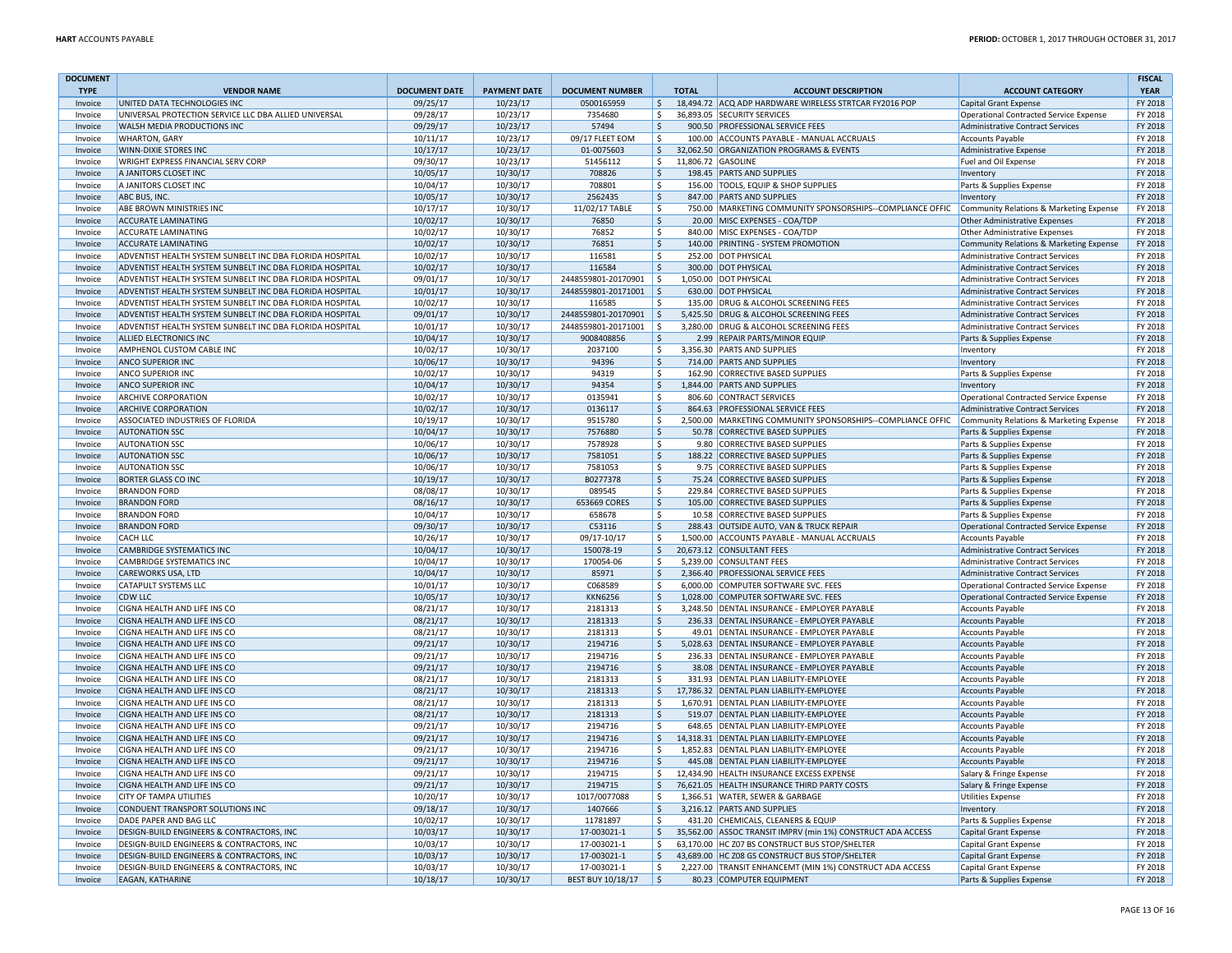| <b>DOCUMENT</b>    |                                                              |                      |                      |                        |                         |                                                                                    |                                                          | <b>FISCAL</b>      |
|--------------------|--------------------------------------------------------------|----------------------|----------------------|------------------------|-------------------------|------------------------------------------------------------------------------------|----------------------------------------------------------|--------------------|
| <b>TYPE</b>        | <b>VENDOR NAME</b>                                           | <b>DOCUMENT DATE</b> | <b>PAYMENT DATE</b>  | <b>DOCUMENT NUMBER</b> | <b>TOTAL</b>            | <b>ACCOUNT DESCRIPTION</b>                                                         | <b>ACCOUNT CATEGORY</b>                                  | <b>YEAR</b>        |
| Invoice            | UNITED DATA TECHNOLOGIES INC                                 | 09/25/17             | 10/23/17             | 0500165959             | $\frac{1}{2}$           | 18,494.72 ACQ ADP HARDWARE WIRELESS STRTCAR FY2016 POP                             | Capital Grant Expense                                    | FY 2018            |
| Invoice            | UNIVERSAL PROTECTION SERVICE LLC DBA ALLIED UNIVERSAL        | 09/28/17             | 10/23/17             | 7354680                | \$                      | 36,893.05 SECURITY SERVICES                                                        | <b>Operational Contracted Service Expense</b>            | FY 2018            |
| Invoice            | WALSH MEDIA PRODUCTIONS INC                                  | 09/29/17             | 10/23/17             | 57494                  | \$                      | 900.50 PROFESSIONAL SERVICE FEES                                                   | <b>Administrative Contract Services</b>                  | FY 2018            |
| Invoice            | <b>WHARTON, GARY</b>                                         | 10/11/17             | 10/23/17             | 09/17 FLEET EOM        | \$                      | 100.00 ACCOUNTS PAYABLE - MANUAL ACCRUALS                                          | Accounts Payable                                         | FY 2018            |
| Invoice            | <b>WINN-DIXIE STORES INC</b>                                 | 10/17/17             | 10/23/17             | 01-0075603             | \$                      | 32,062.50 ORGANIZATION PROGRAMS & EVENTS                                           | Administrative Expense                                   | FY 2018            |
| Invoice            | <b>WRIGHT EXPRESS FINANCIAL SERV CORP</b>                    | 09/30/17             | 10/23/17             | 51456112               | S.                      | 11,806.72 GASOLINE                                                                 | Fuel and Oil Expense                                     | FY 2018            |
| Invoice            | A JANITORS CLOSET INC                                        | 10/05/17             | 10/30/17             | 708826                 | \$                      | 198.45 PARTS AND SUPPLIES                                                          | Inventory                                                | FY 2018            |
| Invoice            | A JANITORS CLOSET INC                                        | 10/04/17             | 10/30/17             | 708801                 | \$                      | 156.00 TOOLS, EQUIP & SHOP SUPPLIES                                                | Parts & Supplies Expense                                 | FY 2018            |
| Invoice            | ABC BUS, INC.                                                | 10/05/17             | 10/30/17             | 2562435                | \$                      | 847.00 PARTS AND SUPPLIES                                                          | Inventory                                                | FY 2018            |
| Invoice            | <b>ABE BROWN MINISTRIES INC</b>                              | 10/17/17             | 10/30/17             | 11/02/17 TABLE         | \$                      | 750.00 MARKETING COMMUNITY SPONSORSHIPS--COMPLIANCE OFFIC                          | Community Relations & Marketing Expense                  | FY 2018            |
| Invoice            | <b>ACCURATE LAMINATING</b>                                   | 10/02/17             | 10/30/17             | 76850                  | \$                      | 20.00 MISC EXPENSES - COA/TDP                                                      | <b>Other Administrative Expenses</b>                     | FY 2018            |
| Invoice            | <b>ACCURATE LAMINATING</b>                                   | 10/02/17             | 10/30/17             | 76852                  | \$                      | 840.00 MISC EXPENSES - COA/TDP                                                     | <b>Other Administrative Expenses</b>                     | FY 2018            |
| Invoice            | <b>ACCURATE LAMINATING</b>                                   | 10/02/17             | 10/30/17             | 76851                  | $\zeta$                 | 140.00 PRINTING - SYSTEM PROMOTION                                                 | <b>Community Relations &amp; Marketing Expense</b>       | FY 2018            |
| Invoice            | ADVENTIST HEALTH SYSTEM SUNBELT INC DBA FLORIDA HOSPITAL     | 10/02/17             | 10/30/17             | 116581                 | \$                      | 252.00 DOT PHYSICAL                                                                | <b>Administrative Contract Services</b>                  | FY 2018            |
| Invoice            | ADVENTIST HEALTH SYSTEM SUNBELT INC DBA FLORIDA HOSPITAL     | 10/02/17             | 10/30/17             | 116584                 | $\zeta$                 | 300.00 DOT PHYSICAL                                                                | <b>Administrative Contract Services</b>                  | FY 2018            |
| Invoice            | ADVENTIST HEALTH SYSTEM SUNBELT INC DBA FLORIDA HOSPITAL     | 09/01/17             | 10/30/17             | 2448559801-20170901    | $\vert$ \$              | 1,050.00 DOT PHYSICAL                                                              | Administrative Contract Services                         | FY 2018            |
| Invoice            | ADVENTIST HEALTH SYSTEM SUNBELT INC DBA FLORIDA HOSPITAL     | 10/01/17             | 10/30/17             | 2448559801-20171001 \$ |                         | 630.00 DOT PHYSICAL                                                                | <b>Administrative Contract Services</b>                  | FY 2018            |
| Invoice            | ADVENTIST HEALTH SYSTEM SUNBELT INC DBA FLORIDA HOSPITAL     | 10/02/17             | 10/30/17             | 116585                 | \$                      | 135.00 DRUG & ALCOHOL SCREENING FEES                                               | <b>Administrative Contract Services</b>                  | FY 2018            |
| Invoice            | ADVENTIST HEALTH SYSTEM SUNBELT INC DBA FLORIDA HOSPITAL     | 09/01/17             | 10/30/17             | 2448559801-20170901    | ۱\$                     | 5,425.50 DRUG & ALCOHOL SCREENING FEES                                             | <b>Administrative Contract Services</b>                  | FY 2018            |
| Invoice            | ADVENTIST HEALTH SYSTEM SUNBELT INC DBA FLORIDA HOSPITAL     | 10/01/17             | 10/30/17             | 2448559801-20171001    | $\vert$ \$              | 3,280.00 DRUG & ALCOHOL SCREENING FEES                                             | Administrative Contract Services                         | FY 2018            |
| Invoice            | <b>ALLIED ELECTRONICS INC</b>                                | 10/04/17             | 10/30/17             | 9008408856             | \$                      | 2.99 REPAIR PARTS/MINOR EQUIP                                                      | Parts & Supplies Expense                                 | FY 2018            |
| Invoice            | AMPHENOL CUSTOM CABLE INC                                    | 10/02/17             | 10/30/17             | 2037100                | \$                      | 3,356.30 PARTS AND SUPPLIES                                                        | Inventory                                                | FY 2018            |
| Invoice            | <b>ANCO SUPERIOR INC</b>                                     | 10/06/17             | 10/30/17             | 94396                  | Ŝ.                      | 714.00 PARTS AND SUPPLIES                                                          | Inventory                                                | FY 2018            |
| Invoice            | <b>ANCO SUPERIOR INC</b>                                     | 10/02/17             | 10/30/17             | 94319                  | ۱\$                     | 162.90 CORRECTIVE BASED SUPPLIES                                                   | Parts & Supplies Expense                                 | FY 2018            |
| Invoice            | <b>ANCO SUPERIOR INC</b>                                     | 10/04/17             | 10/30/17             | 94354                  | \$                      | 1,844.00 PARTS AND SUPPLIES                                                        | Inventory                                                | FY 2018            |
| Invoice            | <b>ARCHIVE CORPORATION</b>                                   | 10/02/17             | 10/30/17             | 0135941                | \$                      | 806.60 CONTRACT SERVICES                                                           | <b>Operational Contracted Service Expense</b>            | FY 2018            |
| Invoice            | <b>ARCHIVE CORPORATION</b>                                   | 10/02/17             | 10/30/17             | 0136117                | $\frac{1}{2}$           | 864.63 PROFESSIONAL SERVICE FEES                                                   | <b>Administrative Contract Services</b>                  | FY 2018            |
| Invoice            | ASSOCIATED INDUSTRIES OF FLORIDA                             | 10/19/17             | 10/30/17             | 9515780                | \$                      | 2,500.00 MARKETING COMMUNITY SPONSORSHIPS--COMPLIANCE OFFIC                        | Community Relations & Marketing Expense                  | FY 2018            |
| Invoice            | <b>AUTONATION SSC</b>                                        | 10/04/17             | 10/30/17             | 7576880                | $\zeta$                 | 50.78 CORRECTIVE BASED SUPPLIES                                                    | Parts & Supplies Expense                                 | FY 2018            |
| Invoice            | <b>AUTONATION SSC</b>                                        | 10/06/17             | 10/30/17             | 7578928                | l \$                    | 9.80 CORRECTIVE BASED SUPPLIES                                                     | Parts & Supplies Expense                                 | FY 2018            |
| Invoice            | <b>AUTONATION SSC</b>                                        | 10/06/17             | 10/30/17             | 7581051                | $\mathsf{\hat{S}}$      | 188.22 CORRECTIVE BASED SUPPLIES                                                   | Parts & Supplies Expense                                 | FY 2018            |
| Invoice            | <b>AUTONATION SSC</b>                                        | 10/06/17             | 10/30/17             | 7581053                | \$<br>9.75              | <b>CORRECTIVE BASED SUPPLIES</b>                                                   | Parts & Supplies Expense                                 | FY 2018            |
| Invoice            | <b>BORTER GLASS CO INC</b>                                   | 10/19/17             | 10/30/17             | B0277378               | $\zeta$                 | 75.24 CORRECTIVE BASED SUPPLIES                                                    | Parts & Supplies Expense                                 | FY 2018            |
| Invoice            | <b>BRANDON FORD</b>                                          | 08/08/17             | 10/30/17             | 089545                 | \$                      | 229.84 CORRECTIVE BASED SUPPLIES                                                   | Parts & Supplies Expense                                 | FY 2018            |
| Invoice            | <b>BRANDON FORD</b>                                          | 08/16/17             | 10/30/17             | 653669 CORES           | \$                      | 105.00 CORRECTIVE BASED SUPPLIES                                                   | Parts & Supplies Expense                                 | FY 2018            |
| Invoice            | <b>BRANDON FORD</b>                                          | 10/04/17             | 10/30/17             | 658678                 | \$                      | 10.58 CORRECTIVE BASED SUPPLIES                                                    | Parts & Supplies Expense                                 | FY 2018            |
| Invoice            | <b>BRANDON FORD</b>                                          | 09/30/17             | 10/30/17             | C53116                 | $\mathsf{\$}$<br>288.43 | OUTSIDE AUTO, VAN & TRUCK REPAIR                                                   | <b>Operational Contracted Service Expense</b>            | FY 2018            |
| Invoice            | CACHILE                                                      | 10/26/17             | 10/30/17             | 09/17-10/17            | \$                      | 1,500.00 ACCOUNTS PAYABLE - MANUAL ACCRUALS                                        | Accounts Payable                                         | FY 2018            |
| Invoice            | <b>CAMBRIDGE SYSTEMATICS INC</b>                             | 10/04/17             | 10/30/17             | 150078-19              | $\mathsf{S}$            | 20,673.12 CONSULTANT FEES                                                          | Administrative Contract Services                         | FY 2018            |
| Invoice            | <b>CAMBRIDGE SYSTEMATICS INC</b>                             | 10/04/17             | 10/30/17             | 170054-06              | \$                      | 5,239.00 CONSULTANT FEES                                                           | <b>Administrative Contract Services</b>                  | FY 2018            |
| Invoice            | <b>CAREWORKS USA, LTD</b>                                    | 10/04/17             | 10/30/17             | 85971                  | \$                      | 2,366.40 PROFESSIONAL SERVICE FEES                                                 | <b>Administrative Contract Services</b>                  | FY 2018            |
| Invoice            | <b>CATAPULT SYSTEMS LLC</b>                                  | 10/01/17             | 10/30/17             | C068589                | \$                      | 6,000.00 COMPUTER SOFTWARE SVC. FEES                                               | <b>Operational Contracted Service Expense</b>            | FY 2018            |
| Invoice            | CDW LLC                                                      | 10/05/17             | 10/30/17             | <b>KKN6256</b>         | \$                      | 1,028.00 COMPUTER SOFTWARE SVC. FEES                                               | <b>Operational Contracted Service Expense</b>            | FY 2018            |
| Invoice            | CIGNA HEALTH AND LIFE INS CO                                 | 08/21/17             | 10/30/17             | 2181313                | Ŝ.                      | 3.248.50 DENTAL INSURANCE - EMPLOYER PAYABLE                                       | <b>Accounts Payable</b>                                  | FY 2018            |
| Invoice            | CIGNA HEALTH AND LIFE INS CO                                 | 08/21/17             | 10/30/17             | 2181313                | $\zeta$                 | 236.33 DENTAL INSURANCE - EMPLOYER PAYABLE                                         | <b>Accounts Payable</b>                                  | FY 2018            |
| Invoice            | CIGNA HEALTH AND LIFE INS CO                                 | 08/21/17             | 10/30/17             | 2181313                | \$                      | 49.01 DENTAL INSURANCE - EMPLOYER PAYABLE                                          | <b>Accounts Payable</b>                                  | FY 2018            |
| Invoice            | <b>CIGNA HEALTH AND LIFE INS CO</b>                          | 09/21/17             | 10/30/17             | 2194716                | $\zeta$                 | 5.028.63 DENTAL INSURANCE - EMPLOYER PAYABLE                                       | <b>Accounts Payable</b>                                  | FY 2018            |
| Invoice            | <b>CIGNA HEALTH AND LIFE INS CO</b>                          | 09/21/17             | 10/30/17             | 2194716                | \$<br><sub>S</sub>      | 236.33 DENTAL INSURANCE - EMPLOYER PAYABLE                                         | <b>Accounts Payable</b>                                  | FY 2018            |
| Invoice            | CIGNA HEALTH AND LIFE INS CO<br>CIGNA HEALTH AND LIFF INS CO | 09/21/17             | 10/30/17             | 2194716                | Ŝ.                      | 38.08 DENTAL INSURANCE - EMPLOYER PAYABLE                                          | <b>Accounts Payable</b>                                  | FY 2018            |
| Invoice            |                                                              | 08/21/17             | 10/30/17             | 2181313                |                         | 331.93 DENTAL PLAN LIABILITY-EMPLOYEE                                              | <b>Accounts Payable</b>                                  | FY 2018            |
| Invoice            | CIGNA HEALTH AND LIFE INS CO                                 | 08/21/17             | 10/30/17             | 2181313                | $\ddot{\phi}$           | 17,786.32 DENTAL PLAN LIABILITY-EMPLOYEE                                           | <b>Accounts Payable</b>                                  | FY 2018            |
| Invoice            | CIGNA HEALTH AND LIFE INS CO<br>CIGNA HEALTH AND LIFE INS CO | 08/21/17<br>08/21/17 | 10/30/17<br>10/30/17 | 2181313<br>2181313     | \$<br>l \$              | 1,670.91 DENTAL PLAN LIABILITY-EMPLOYEE<br>519.07 DENTAL PLAN LIABILITY-EMPLOYEE   | <b>Accounts Payable</b>                                  | FY 2018<br>FY 2018 |
| Invoice            | CIGNA HEALTH AND LIFE INS CO                                 | 09/21/17             | 10/30/17             | 2194716                | \$                      | 648.65 DENTAL PLAN LIABILITY-EMPLOYEE                                              | <b>Accounts Payable</b>                                  | FY 2018            |
| Invoice<br>Invoice | CIGNA HEALTH AND LIFE INS CO                                 | 09/21/17             | 10/30/17             | 2194716                | \$                      | 14,318.31 DENTAL PLAN LIABILITY-EMPLOYEE                                           | <b>Accounts Payable</b><br><b>Accounts Payable</b>       | FY 2018            |
|                    | CIGNA HEALTH AND LIFE INS CO                                 |                      |                      | 2194716                | \$                      | 1,852.83 DENTAL PLAN LIABILITY-EMPLOYEE                                            |                                                          | FY 2018            |
| Invoice            |                                                              | 09/21/17             | 10/30/17             |                        |                         |                                                                                    | <b>Accounts Payable</b>                                  |                    |
| Invoice<br>Invoice | CIGNA HEALTH AND LIFE INS CO<br>CIGNA HEALTH AND LIFE INS CO | 09/21/17<br>09/21/17 | 10/30/17<br>10/30/17 | 2194716<br>2194715     | \$<br>\$                | 445.08 DENTAL PLAN LIABILITY-EMPLOYEE<br>12,434.90 HEALTH INSURANCE EXCESS EXPENSE | <b>Accounts Payable</b><br>Salary & Fringe Expense       | FY 2018<br>FY 2018 |
| Invoice            | CIGNA HEALTH AND LIFE INS CO                                 | 09/21/17             | 10/30/17             | 2194715                | ۱\$                     | 76,621.05 HEALTH INSURANCE THIRD PARTY COSTS                                       | Salary & Fringe Expense                                  | FY 2018            |
| Invoice            | <b>CITY OF TAMPA UTILITIES</b>                               | 10/20/17             | 10/30/17             | 1017/0077088           | \$                      | 1,366.51 WATER, SEWER & GARBAGE                                                    | <b>Utilities Expense</b>                                 | FY 2018            |
| Invoice            | CONDUENT TRANSPORT SOLUTIONS INC                             | 09/18/17             | 10/30/17             | 1407666                | \$                      | 3,216.12 PARTS AND SUPPLIES                                                        | Inventory                                                | FY 2018            |
| Invoice            | DADE PAPER AND BAG LLC                                       | 10/02/17             | 10/30/17             | 11781897               | \$                      | 431.20 CHEMICALS, CLEANERS & EQUIP                                                 |                                                          | FY 2018            |
| Invoice            | <b>DESIGN-BUILD ENGINEERS &amp; CONTRACTORS, INC</b>         | 10/03/17             | 10/30/17             | 17-003021-1            | I\$                     | 35,562.00 ASSOC TRANSIT IMPRV (min 1%) CONSTRUCT ADA ACCESS                        | Parts & Supplies Expense<br><b>Capital Grant Expense</b> | FY 2018            |
| Invoice            | DESIGN-BUILD ENGINEERS & CONTRACTORS, INC                    | 10/03/17             | 10/30/17             | 17-003021-1            | S.                      | 63,170.00 HC Z07 BS CONSTRUCT BUS STOP/SHELTER                                     | Capital Grant Expense                                    | FY 2018            |
| Invoice            | <b>DESIGN-BUILD ENGINEERS &amp; CONTRACTORS, INC</b>         | 10/03/17             | 10/30/17             | 17-003021-1            | $\zeta$                 | 43,689.00 HC Z08 GS CONSTRUCT BUS STOP/SHELTER                                     | Capital Grant Expense                                    | FY 2018            |
| Invoice            | <b>DESIGN-BUILD ENGINEERS &amp; CONTRACTORS, INC</b>         | 10/03/17             | 10/30/17             | 17-003021-1            | \$                      | 2,227.00 TRANSIT ENHANCEMT (MIN 1%) CONSTRUCT ADA ACCESS                           | <b>Capital Grant Expense</b>                             | FY 2018            |
| Invoice            | <b>EAGAN, KATHARINE</b>                                      | 10/18/17             | 10/30/17             | BEST BUY 10/18/17      | ۱s.                     | 80.23 COMPUTER EQUIPMENT                                                           | Parts & Supplies Expense                                 | FY 2018            |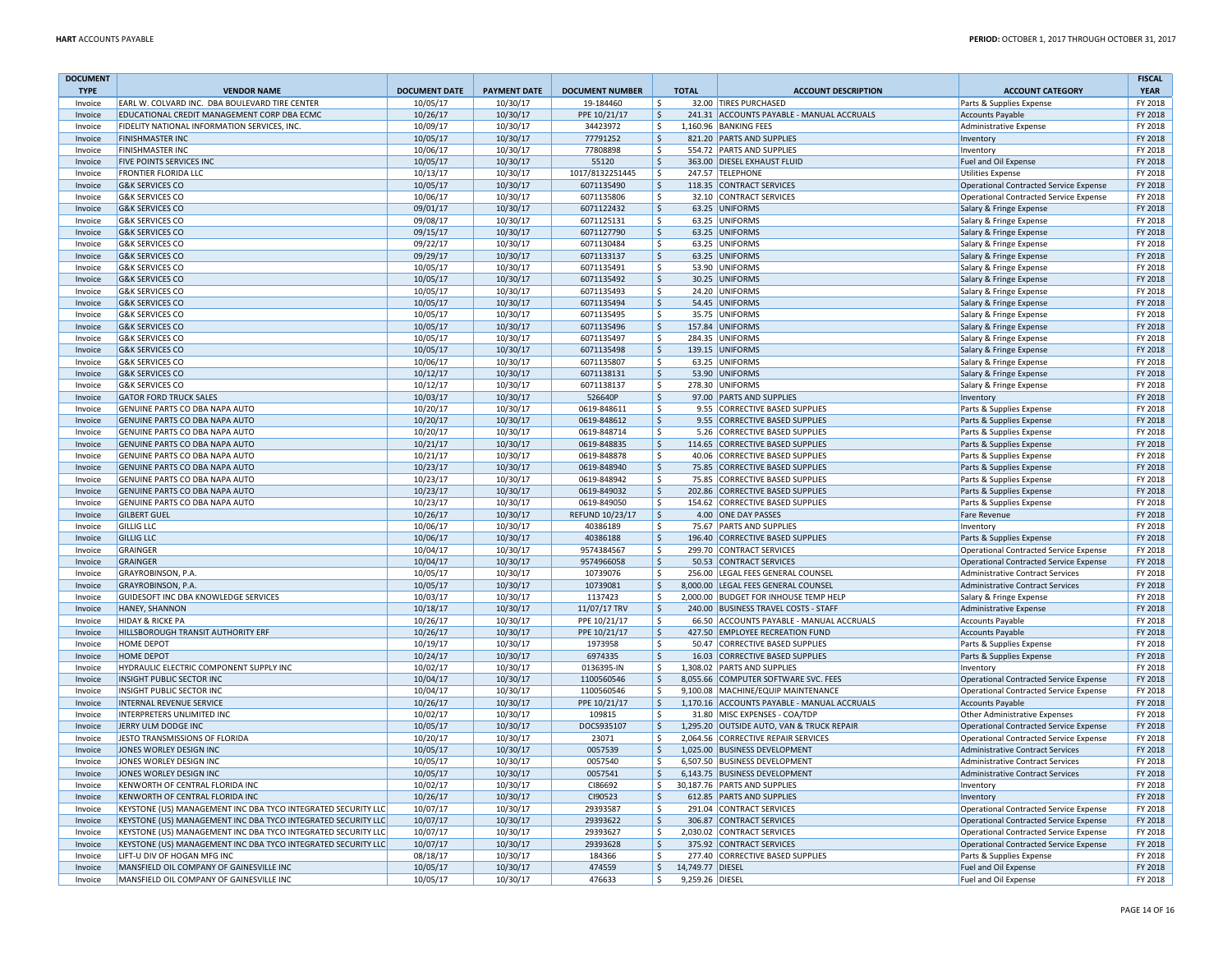| <b>DOCUMENT</b>    |                                                                                             |                      |                      |                          |                                 |                                                                                  |                                                                                         | <b>FISCAL</b>      |
|--------------------|---------------------------------------------------------------------------------------------|----------------------|----------------------|--------------------------|---------------------------------|----------------------------------------------------------------------------------|-----------------------------------------------------------------------------------------|--------------------|
| <b>TYPE</b>        | <b>VENDOR NAME</b>                                                                          | <b>DOCUMENT DATE</b> | <b>PAYMENT DATE</b>  | <b>DOCUMENT NUMBER</b>   | <b>TOTAL</b>                    | <b>ACCOUNT DESCRIPTION</b>                                                       | <b>ACCOUNT CATEGORY</b>                                                                 | <b>YEAR</b>        |
| Invoice            | EARL W. COLVARD INC. DBA BOULEVARD TIRE CENTER                                              | 10/05/17             | 10/30/17             | 19-184460                | \$                              | 32.00 TIRES PURCHASED<br>241.31 ACCOUNTS PAYABLE - MANUAL ACCRUALS               | Parts & Supplies Expense                                                                | FY 2018<br>FY 2018 |
| Invoice<br>Invoice | EDUCATIONAL CREDIT MANAGEMENT CORP DBA ECMC<br>FIDELITY NATIONAL INFORMATION SERVICES, INC. | 10/26/17<br>10/09/17 | 10/30/17<br>10/30/17 | PPE 10/21/17<br>34423972 | \$<br>Ŝ.                        | 1,160.96 BANKING FEES                                                            | <b>Accounts Payable</b><br>Administrative Expense                                       | FY 2018            |
| Invoice            | <b>FINISHMASTER INC</b>                                                                     | 10/05/17             | 10/30/17             | 77791252                 | \$                              | 821.20 PARTS AND SUPPLIES                                                        | Inventory                                                                               | FY 2018            |
| Invoice            | <b>FINISHMASTER INC</b>                                                                     | 10/06/17             | 10/30/17             | 77808898                 | \$                              | 554.72 PARTS AND SUPPLIES                                                        | Inventory                                                                               | FY 2018            |
| Invoice            | <b>FIVE POINTS SERVICES INC</b>                                                             | 10/05/17             | 10/30/17             | 55120                    | \$                              | 363.00 DIESEL EXHAUST FLUID                                                      | Fuel and Oil Expense                                                                    | FY 2018            |
| Invoice            | <b>FRONTIER FLORIDA LLC</b>                                                                 | 10/13/17             | 10/30/17             | 1017/8132251445          | Ŝ.                              | 247.57 TELEPHONE                                                                 | <b>Utilities Expense</b>                                                                | FY 2018            |
| Invoice            | <b>G&amp;K SERVICES CO</b>                                                                  | 10/05/17             | 10/30/17             | 6071135490               | \$                              | 118.35 CONTRACT SERVICES                                                         | <b>Operational Contracted Service Expense</b>                                           | FY 2018            |
| Invoice            | <b>G&amp;K SERVICES CO</b>                                                                  | 10/06/17             | 10/30/17             | 6071135806               | \$                              | 32.10 CONTRACT SERVICES                                                          | <b>Operational Contracted Service Expense</b>                                           | FY 2018            |
| Invoice            | <b>G&amp;K SERVICES CO</b>                                                                  | 09/01/17             | 10/30/17             | 6071122432               | \$                              | 63.25 UNIFORMS                                                                   | Salary & Fringe Expense                                                                 | FY 2018            |
| Invoice            | <b>G&amp;K SERVICES CO</b>                                                                  | 09/08/17             | 10/30/17             | 6071125131               | \$                              | 63.25 UNIFORMS                                                                   | Salary & Fringe Expense                                                                 | FY 2018            |
| Invoice            | <b>G&amp;K SERVICES CO</b>                                                                  | 09/15/17             | 10/30/17             | 6071127790               | $\mathsf{S}$                    | 63.25 UNIFORMS                                                                   | Salary & Fringe Expense                                                                 | FY 2018            |
| Invoice            | <b>G&amp;K SERVICES CO</b>                                                                  | 09/22/17             | 10/30/17             | 6071130484               | $\mathsf{S}$                    | 63.25 UNIFORMS                                                                   | Salary & Fringe Expense                                                                 | FY 2018            |
| Invoice            | <b>G&amp;K SERVICES CO</b>                                                                  | 09/29/17             | 10/30/17             | 6071133137               | \$                              | 63.25 UNIFORMS                                                                   | Salary & Fringe Expense                                                                 | FY 2018            |
| Invoice            | <b>G&amp;K SERVICES CO</b>                                                                  | 10/05/17             | 10/30/17             | 6071135491               | \$                              | 53.90 UNIFORMS                                                                   | Salary & Fringe Expense                                                                 | FY 2018            |
| Invoice            | <b>G&amp;K SERVICES CO</b>                                                                  | 10/05/17             | 10/30/17             | 6071135492               | \$                              | 30.25 UNIFORMS                                                                   | Salary & Fringe Expense                                                                 | FY 2018            |
| Invoice            | <b>G&amp;K SERVICES CO</b>                                                                  | 10/05/17             | 10/30/17             | 6071135493               | \$                              | 24.20 UNIFORMS                                                                   | Salary & Fringe Expense                                                                 | FY 2018            |
| Invoice            | <b>G&amp;K SERVICES CO</b>                                                                  | 10/05/17             | 10/30/17             | 6071135494               | \$                              | 54.45 UNIFORMS                                                                   | Salary & Fringe Expense                                                                 | FY 2018            |
| Invoice            | <b>G&amp;K SERVICES CO</b>                                                                  | 10/05/17             | 10/30/17             | 6071135495               | \$                              | 35.75 UNIFORMS                                                                   | Salary & Fringe Expense                                                                 | FY 2018            |
| Invoice            | <b>G&amp;K SERVICES CO</b>                                                                  | 10/05/17             | 10/30/17             | 6071135496               | $\zeta$                         | 157.84 UNIFORMS                                                                  | Salary & Fringe Expense                                                                 | FY 2018            |
| Invoice            | <b>G&amp;K SERVICES CO</b>                                                                  | 10/05/17             | 10/30/17             | 6071135497               | \$                              | 284.35 UNIFORMS                                                                  | Salary & Fringe Expense                                                                 | FY 2018            |
| Invoice            | <b>G&amp;K SERVICES CO</b>                                                                  | 10/05/17             | 10/30/17             | 6071135498               | \$                              | 139.15 UNIFORMS                                                                  | Salary & Fringe Expense                                                                 | FY 2018            |
| Invoice            | <b>G&amp;K SERVICES CO</b>                                                                  | 10/06/17             | 10/30/17             | 6071135807               | Ŝ.                              | 63.25 UNIFORMS                                                                   | Salary & Fringe Expense                                                                 | FY 2018            |
| Invoice            | <b>G&amp;K SERVICES CO</b>                                                                  | 10/12/17             | 10/30/17             | 6071138131               | $\dot{\mathsf{s}}$              | 53.90 UNIFORMS                                                                   | Salary & Fringe Expense                                                                 | FY 2018            |
| Invoice            | <b>G&amp;K SERVICES CO</b>                                                                  | 10/12/17             | 10/30/17             | 6071138137               | Ŝ.                              | 278.30 UNIFORMS                                                                  | Salary & Fringe Expense                                                                 | FY 2018            |
| Invoice            | <b>GATOR FORD TRUCK SALES</b>                                                               | 10/03/17             | 10/30/17             | 526640P                  | $\mathsf{\hat{S}}$              | 97.00 PARTS AND SUPPLIES                                                         | Inventory                                                                               | FY 2018            |
| Invoice            | GENUINE PARTS CO DBA NAPA AUTO                                                              | 10/20/17             | 10/30/17             | 0619-848611              | \$                              | 9.55 CORRECTIVE BASED SUPPLIES                                                   | Parts & Supplies Expense                                                                | FY 2018            |
| Invoice            | GENUINE PARTS CO DBA NAPA AUTO                                                              | 10/20/17             | 10/30/17             | 0619-848612              | \$                              | 9.55 CORRECTIVE BASED SUPPLIES                                                   | Parts & Supplies Expense                                                                | FY 2018            |
| Invoice            | GENUINE PARTS CO DBA NAPA AUTO                                                              | 10/20/17             | 10/30/17             | 0619-848714              | \$                              | 5.26 CORRECTIVE BASED SUPPLIES                                                   | Parts & Supplies Expense                                                                | FY 2018            |
| Invoice            | GENUINE PARTS CO DBA NAPA AUTO                                                              | 10/21/17             | 10/30/17             | 0619-848835              | $\dot{\mathsf{s}}$              | 114.65 CORRECTIVE BASED SUPPLIES                                                 | Parts & Supplies Expense                                                                | FY 2018            |
| Invoice            | GENUINE PARTS CO DBA NAPA AUTO                                                              | 10/21/17             | 10/30/17             | 0619-848878              | \$                              | 40.06 CORRECTIVE BASED SUPPLIES                                                  | Parts & Supplies Expense                                                                | FY 2018            |
| Invoice            | GENUINE PARTS CO DBA NAPA AUTO                                                              | 10/23/17             | 10/30/17             | 0619-848940              | \$                              | 75.85 CORRECTIVE BASED SUPPLIES                                                  | Parts & Supplies Expense                                                                | FY 2018            |
| Invoice            | GENUINE PARTS CO DBA NAPA AUTO                                                              | 10/23/17             | 10/30/17             | 0619-848942              | \$                              | 75.85 CORRECTIVE BASED SUPPLIES                                                  | Parts & Supplies Expense                                                                | FY 2018            |
| Invoice            | GENUINE PARTS CO DBA NAPA AUTO                                                              | 10/23/17             | 10/30/17             | 0619-849032              | \$                              | 202.86 CORRECTIVE BASED SUPPLIES                                                 | Parts & Supplies Expense                                                                | FY 2018            |
| Invoice            | GENUINE PARTS CO DBA NAPA AUTO                                                              | 10/23/17             | 10/30/17             | 0619-849050              | \$                              | 154.62 CORRECTIVE BASED SUPPLIES                                                 | Parts & Supplies Expense                                                                | FY 2018            |
| Invoice            | <b>GILBERT GUEL</b>                                                                         | 10/26/17             | 10/30/17             | REFUND 10/23/17          | $\dot{\mathsf{s}}$              | 4.00 ONE DAY PASSES                                                              | <b>Fare Revenue</b>                                                                     | FY 2018            |
| Invoice            | <b>GILLIG LLC</b>                                                                           | 10/06/17             | 10/30/17             | 40386189                 | Ŝ.                              | 75.67 PARTS AND SUPPLIES                                                         | Inventory                                                                               | FY 2018            |
| Invoice            | <b>GILLIG LLC</b>                                                                           | 10/06/17             | 10/30/17             | 40386188                 | $\mathsf{\hat{S}}$              | 196.40 CORRECTIVE BASED SUPPLIES                                                 | Parts & Supplies Expense                                                                | FY 2018            |
| Invoice            | GRAINGER                                                                                    | 10/04/17             | 10/30/17             | 9574384567               | Ŝ.                              | 299.70 CONTRACT SERVICES                                                         | Operational Contracted Service Expense                                                  | FY 2018            |
| Invoice            | <b>GRAINGER</b>                                                                             | 10/04/17             | 10/30/17             | 9574966058               | \$                              | 50.53 CONTRACT SERVICES                                                          | Operational Contracted Service Expense                                                  | FY 2018            |
| Invoice            | GRAYROBINSON, P.A.                                                                          | 10/05/17             | 10/30/17             | 10739076                 | \$                              | 256.00 LEGAL FEES GENERAL COUNSEL                                                | <b>Administrative Contract Services</b>                                                 | FY 2018            |
| Invoice            | GRAYROBINSON, P.A.                                                                          | 10/05/17             | 10/30/17             | 10739081                 | $\mathsf{\hat{S}}$              | 8,000.00 LEGAL FEES GENERAL COUNSEL                                              | <b>Administrative Contract Services</b>                                                 | FY 2018            |
| Invoice            | GUIDESOFT INC DBA KNOWLEDGE SERVICES                                                        | 10/03/17             | 10/30/17             | 1137423                  | \$                              | 2,000.00 BUDGET FOR INHOUSE TEMP HELP                                            | Salary & Fringe Expense                                                                 | FY 2018            |
| Invoice            | HANEY, SHANNON                                                                              | 10/18/17             | 10/30/17             | 11/07/17 TRV             | $\dot{\mathsf{s}}$              | 240.00 BUSINESS TRAVEL COSTS - STAFF                                             | <b>Administrative Expense</b>                                                           | FY 2018            |
| Invoice            | <b>HIDAY &amp; RICKE PA</b>                                                                 | 10/26/17             | 10/30/17             | PPE 10/21/17             | Ŝ.                              | 66.50 ACCOUNTS PAYABLE - MANUAL ACCRUALS                                         | <b>Accounts Payable</b>                                                                 | FY 2018            |
| Invoice            | HILLSBOROUGH TRANSIT AUTHORITY ERF                                                          | 10/26/17             | 10/30/17             | PPE 10/21/17             | \$                              | 427.50 EMPLOYEE RECREATION FUND                                                  | <b>Accounts Payable</b>                                                                 | FY 2018            |
| Invoice            | <b>HOME DEPOT</b>                                                                           | 10/19/17             | 10/30/17             | 1973958                  | Ŝ.                              | 50.47 CORRECTIVE BASED SUPPLIES                                                  | Parts & Supplies Expense                                                                | FY 2018            |
| Invoice            | <b>HOME DEPOT</b>                                                                           | 10/24/17             | 10/30/17             | 6974335                  | $\dot{\mathsf{s}}$              | 16.03 CORRECTIVE BASED SUPPLIES                                                  | Parts & Supplies Expense                                                                | FY 2018            |
| Invoice            | HYDRAULIC ELECTRIC COMPONENT SUPPLY INC                                                     | 10/02/17             | 10/30/17             | 0136395-IN               | \$                              | 1,308.02 PARTS AND SUPPLIES                                                      | Inventory                                                                               | FY 2018            |
| Invoice            | INSIGHT PUBLIC SECTOR INC                                                                   | 10/04/17             | 10/30/17             | 1100560546               | $\ddot{\mathsf{S}}$             | 8,055.66 COMPUTER SOFTWARE SVC. FEES                                             | <b>Operational Contracted Service Expense</b>                                           | FY 2018            |
| Invoice            | INSIGHT PUBLIC SECTOR INC                                                                   | 10/04/17             | 10/30/17             | 1100560546               | \$                              | 9,100.08 MACHINE/EQUIP MAINTENANCE                                               | <b>Operational Contracted Service Expense</b>                                           | FY 2018            |
| Invoice            | INTERNAL REVENUE SERVICE<br>INTERPRETERS UNLIMITED INC                                      | 10/26/17             | 10/30/17<br>10/30/17 | PPE 10/21/17<br>109815   | \$<br>Ŝ.                        | 1,170.16 ACCOUNTS PAYABLE - MANUAL ACCRUALS<br>31.80 MISC EXPENSES - COA/TDP     | <b>Accounts Payable</b>                                                                 | FY 2018<br>FY 2018 |
| Invoice            |                                                                                             | 10/02/17             |                      |                          |                                 |                                                                                  | Other Administrative Expenses                                                           | FY 2018            |
| Invoice            | JERRY ULM DODGE INC<br>JESTO TRANSMISSIONS OF FLORIDA                                       | 10/05/17<br>10/20/17 | 10/30/17<br>10/30/17 | DOCS935107<br>23071      | $\zeta$<br>\$                   | 1,295.20 OUTSIDE AUTO, VAN & TRUCK REPAIR<br>2,064.56 CORRECTIVE REPAIR SERVICES | <b>Operational Contracted Service Expense</b>                                           | FY 2018            |
| Invoice            |                                                                                             |                      |                      |                          |                                 |                                                                                  | <b>Operational Contracted Service Expense</b>                                           |                    |
| Invoice            | JONES WORLEY DESIGN INC                                                                     | 10/05/17             | 10/30/17             | 0057539                  | $\mathsf{\hat{S}}$              | 1,025.00 BUSINESS DEVELOPMENT                                                    | Administrative Contract Services                                                        | FY 2018            |
| Invoice<br>Invoice | JONES WORLEY DESIGN INC<br>JONES WORLEY DESIGN INC                                          | 10/05/17<br>10/05/17 | 10/30/17<br>10/30/17 | 0057540<br>0057541       | -S<br><sub>S</sub>              | 6,507.50 BUSINESS DEVELOPMENT<br>6,143.75 BUSINESS DEVELOPMENT                   | <b>Administrative Contract Services</b><br><b>Administrative Contract Services</b>      | FY 2018<br>FY 2018 |
| Invoice            | KENWORTH OF CENTRAL FLORIDA INC                                                             | 10/02/17             | 10/30/17             | CI86692                  | Ŝ.                              | 30,187.76 PARTS AND SUPPLIES                                                     |                                                                                         | FY 2018            |
| Invoice            | KENWORTH OF CENTRAL FLORIDA INC                                                             | 10/26/17             | 10/30/17             | CI90523                  | Ŝ.                              | 612.85 PARTS AND SUPPLIES                                                        | Inventory<br>Inventory                                                                  | FY 2018            |
| Invoice            | KEYSTONE (US) MANAGEMENT INC DBA TYCO INTEGRATED SECURITY LLC                               | 10/07/17             | 10/30/17             | 29393587                 | -Ŝ                              | 291.04 CONTRACT SERVICES                                                         | <b>Operational Contracted Service Expense</b>                                           | FY 2018            |
|                    | KEYSTONE (US) MANAGEMENT INC DBA TYCO INTEGRATED SECURITY LLC                               | 10/07/17             | 10/30/17             | 29393622                 | Ŝ.                              | 306.87 CONTRACT SERVICES                                                         |                                                                                         | FY 2018            |
| Invoice<br>Invoice | KEYSTONE (US) MANAGEMENT INC DBA TYCO INTEGRATED SECURITY LLC                               | 10/07/17             | 10/30/17             | 29393627                 | -S                              | 2,030.02 CONTRACT SERVICES                                                       | Operational Contracted Service Expense<br><b>Operational Contracted Service Expense</b> | FY 2018            |
| Invoice            | KEYSTONE (US) MANAGEMENT INC DBA TYCO INTEGRATED SECURITY LLC                               | 10/07/17             | 10/30/17             | 29393628                 | <sub>S</sub>                    | 375.92 CONTRACT SERVICES                                                         | <b>Operational Contracted Service Expense</b>                                           | FY 2018            |
| Invoice            | LIFT-U DIV OF HOGAN MFG INC                                                                 | 08/18/17             | 10/30/17             | 184366                   | $\mathsf{S}$                    | 277.40 CORRECTIVE BASED SUPPLIES                                                 | Parts & Supplies Expense                                                                | FY 2018            |
| Invoice            | MANSFIELD OIL COMPANY OF GAINESVILLE INC                                                    | 10/05/17             | 10/30/17             | 474559                   | \$<br>14,749.77 DIESEL          |                                                                                  | <b>Fuel and Oil Expense</b>                                                             | FY 2018            |
| Invoice            | MANSFIELD OIL COMPANY OF GAINESVILLE INC                                                    | 10/05/17             | 10/30/17             | 476633                   | $\mathsf{S}$<br>9,259.26 DIESEL |                                                                                  | Fuel and Oil Expense                                                                    | FY 2018            |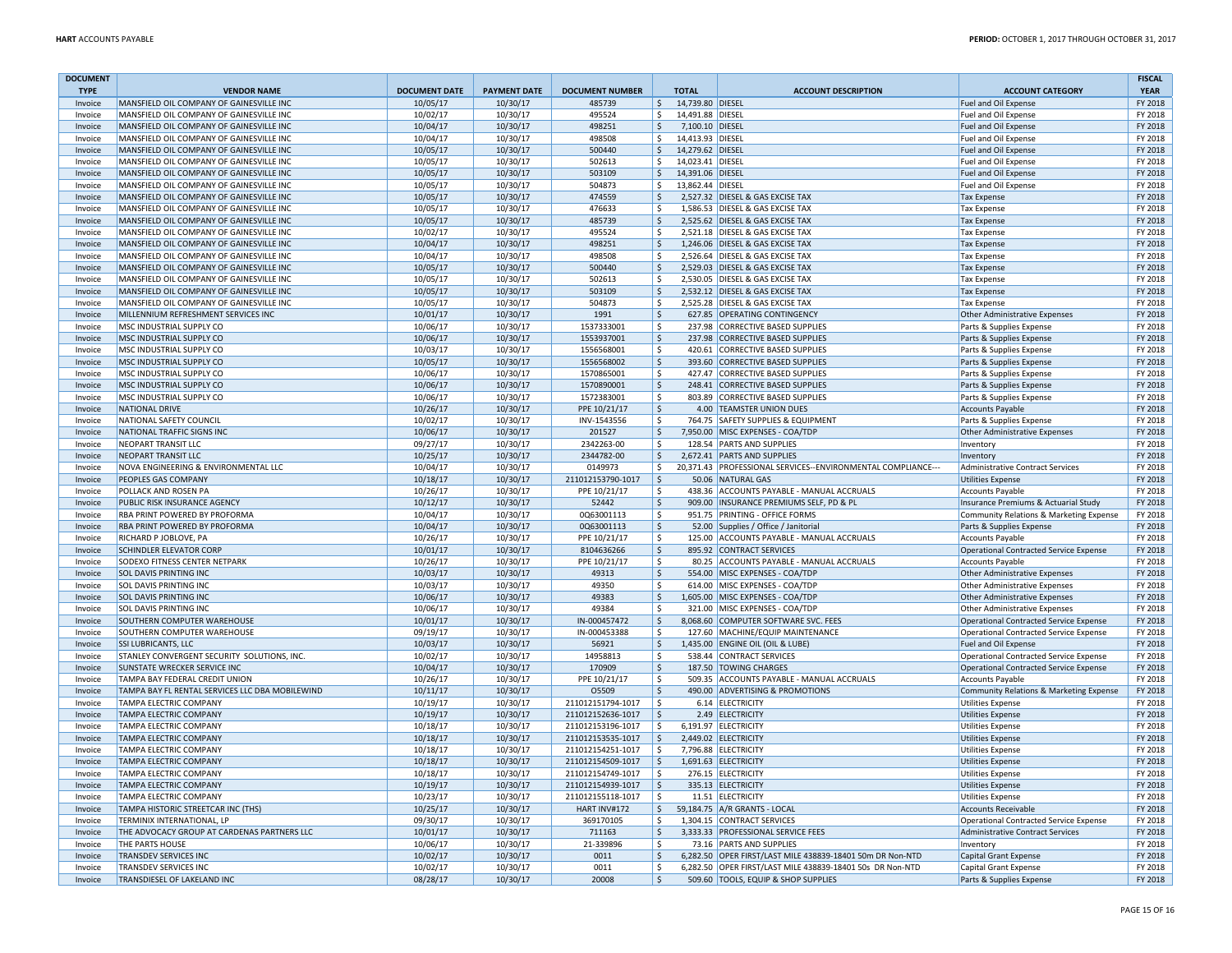| <b>DOCUMENT</b><br><b>TYPE</b> | <b>VENDOR NAME</b>                                          | <b>DOCUMENT DATE</b> | <b>PAYMENT DATE</b>  | <b>DOCUMENT NUMBER</b> | <b>TOTAL</b>                     | <b>ACCOUNT DESCRIPTION</b>                                                                       | <b>ACCOUNT CATEGORY</b>                            | <b>FISCAL</b><br><b>YEAR</b> |
|--------------------------------|-------------------------------------------------------------|----------------------|----------------------|------------------------|----------------------------------|--------------------------------------------------------------------------------------------------|----------------------------------------------------|------------------------------|
| Invoice                        | MANSFIELD OIL COMPANY OF GAINESVILLE INC                    | 10/05/17             | 10/30/17             | 485739                 | 14,739.80 DIESEL<br>Ŝ.           |                                                                                                  | Fuel and Oil Expense                               | FY 2018                      |
| Invoice                        | MANSFIELD OIL COMPANY OF GAINESVILLE INC                    | 10/02/17             | 10/30/17             | 495524                 | 14,491.88 DIESEL<br>$\mathsf{S}$ |                                                                                                  | Fuel and Oil Expense                               | FY 2018                      |
| Invoice                        | MANSFIELD OIL COMPANY OF GAINESVILLE INC                    | 10/04/17             | 10/30/17             | 498251                 | 7,100.10 DIESEL<br>Ŝ.            |                                                                                                  | Fuel and Oil Expense                               | FY 2018                      |
| Invoice                        | MANSFIELD OIL COMPANY OF GAINESVILLE INC                    | 10/04/17             | 10/30/17             | 498508                 | Ŝ.<br>14,413.93 DIESEL           |                                                                                                  | Fuel and Oil Expense                               | FY 2018                      |
| Invoice                        | MANSFIELD OIL COMPANY OF GAINESVILLE INC                    | 10/05/17             | 10/30/17             | 500440                 | $\mathsf{S}$<br>14,279.62 DIESEL |                                                                                                  | Fuel and Oil Expense                               | FY 2018                      |
| Invoice                        | MANSFIELD OIL COMPANY OF GAINESVILLE INC                    | 10/05/17             | 10/30/17             | 502613                 | \$<br>14,023.41 DIESEL           |                                                                                                  | Fuel and Oil Expense                               | FY 2018                      |
| Invoice                        | MANSFIELD OIL COMPANY OF GAINESVILLE INC                    | 10/05/17             | 10/30/17             | 503109                 | $\mathsf{S}$<br>14,391.06 DIESEL |                                                                                                  | Fuel and Oil Expense                               | FY 2018                      |
| Invoice                        | MANSFIELD OIL COMPANY OF GAINESVILLE INC                    | 10/05/17             | 10/30/17             | 504873                 | \$<br>13,862.44 DIESEL           |                                                                                                  | Fuel and Oil Expense                               | FY 2018                      |
| Invoice                        | MANSFIELD OIL COMPANY OF GAINESVILLE INC                    | 10/05/17             | 10/30/17             | 474559                 | \$                               | 2,527.32 DIESEL & GAS EXCISE TAX                                                                 | <b>Tax Expense</b>                                 | FY 2018                      |
| Invoice                        | MANSFIELD OIL COMPANY OF GAINESVILLE INC                    | 10/05/17             | 10/30/17             | 476633                 | \$                               | 1,586.53 DIESEL & GAS EXCISE TAX                                                                 | <b>Tax Expense</b>                                 | FY 2018                      |
| Invoice                        | MANSFIELD OIL COMPANY OF GAINESVILLE INC                    | 10/05/17             | 10/30/17             | 485739                 | \$                               | 2,525.62 DIESEL & GAS EXCISE TAX                                                                 | <b>Tax Expense</b>                                 | FY 2018                      |
| Invoice                        | MANSFIELD OIL COMPANY OF GAINESVILLE INC                    | 10/02/17             | 10/30/17             | 495524                 | Ŝ.                               | 2,521.18 DIESEL & GAS EXCISE TAX                                                                 | <b>Tax Expense</b>                                 | FY 2018                      |
| Invoice                        | MANSFIELD OIL COMPANY OF GAINESVILLE INC                    | 10/04/17             | 10/30/17             | 498251                 | $\mathsf{S}$                     | 1.246.06 DIESEL & GAS EXCISE TAX                                                                 | <b>Tax Expense</b>                                 | FY 2018                      |
| Invoice                        | MANSFIELD OIL COMPANY OF GAINESVILLE INC                    | 10/04/17             | 10/30/17             | 498508                 | Ŝ.                               | 2,526.64 DIESEL & GAS EXCISE TAX                                                                 | <b>Tax Expense</b>                                 | FY 2018                      |
| Invoice                        | MANSFIELD OIL COMPANY OF GAINESVILLE INC                    | 10/05/17             | 10/30/17             | 500440                 | \$                               | 2,529.03 DIESEL & GAS EXCISE TAX                                                                 | <b>Tax Expense</b>                                 | FY 2018                      |
| Invoice                        | MANSFIELD OIL COMPANY OF GAINESVILLE INC                    | 10/05/17             | 10/30/17             | 502613                 | \$                               | 2,530.05 DIESEL & GAS EXCISE TAX                                                                 | <b>Tax Expense</b>                                 | FY 2018                      |
| Invoice                        | MANSFIELD OIL COMPANY OF GAINESVILLE INC                    | 10/05/17             | 10/30/17             | 503109                 | \$                               | 2,532.12 DIESEL & GAS EXCISE TAX                                                                 | <b>Tax Expense</b>                                 | FY 2018                      |
| Invoice                        | MANSFIELD OIL COMPANY OF GAINESVILLE INC                    | 10/05/17             | 10/30/17             | 504873                 | \$                               | 2,525.28 DIESEL & GAS EXCISE TAX                                                                 | <b>Tax Expense</b>                                 | FY 2018                      |
| Invoice                        | MILLENNIUM REFRESHMENT SERVICES INC                         | 10/01/17             | 10/30/17             | 1991                   | $\mathsf{\hat{S}}$               | 627.85 OPERATING CONTINGENCY                                                                     | <b>Other Administrative Expenses</b>               | FY 2018                      |
| Invoice                        | MSC INDUSTRIAL SUPPLY CO                                    | 10/06/17             | 10/30/17             | 1537333001             | \$                               | 237.98 CORRECTIVE BASED SUPPLIES                                                                 | Parts & Supplies Expense                           | FY 2018                      |
| Invoice                        | MSC INDUSTRIAL SUPPLY CO                                    | 10/06/17             | 10/30/17             | 1553937001             | \$                               | 237.98 CORRECTIVE BASED SUPPLIES                                                                 | Parts & Supplies Expense                           | FY 2018                      |
| Invoice                        | <b>MSC INDUSTRIAL SUPPLY CO</b>                             | 10/03/17             | 10/30/17             | 1556568001             | Š.                               | 420.61 CORRECTIVE BASED SUPPLIES                                                                 | Parts & Supplies Expense                           | FY 2018                      |
| Invoice                        | MSC INDUSTRIAL SUPPLY CO                                    | 10/05/17             | 10/30/17             | 1556568002             | \$                               | 393.60 CORRECTIVE BASED SUPPLIES                                                                 | Parts & Supplies Expense                           | FY 2018                      |
| Invoice                        | MSC INDUSTRIAL SUPPLY CO                                    | 10/06/17             | 10/30/17             | 1570865001             | \$                               | 427.47 CORRECTIVE BASED SUPPLIES                                                                 | Parts & Supplies Expense                           | FY 2018                      |
| Invoice                        | MSC INDUSTRIAL SUPPLY CO                                    | 10/06/17             | 10/30/17             | 1570890001             | $\dot{\mathsf{S}}$               | 248.41 CORRECTIVE BASED SUPPLIES                                                                 | Parts & Supplies Expense                           | FY 2018                      |
| Invoice                        | <b>MSC INDUSTRIAL SUPPLY CO</b>                             | 10/06/17             | 10/30/17             | 1572383001             | \$                               | 803.89 CORRECTIVE BASED SUPPLIES                                                                 | Parts & Supplies Expense                           | FY 2018                      |
| Invoice                        | <b>NATIONAL DRIVE</b>                                       | 10/26/17             | 10/30/17             | PPE 10/21/17           | Ŝ.                               | 4.00 TEAMSTER UNION DUES                                                                         | <b>Accounts Payable</b>                            | FY 2018                      |
| Invoice                        | NATIONAL SAFETY COUNCIL                                     | 10/02/17             | 10/30/17             | INV-1543556            | \$                               | 764.75 SAFETY SUPPLIES & EQUIPMENT                                                               | Parts & Supplies Expense                           | FY 2018                      |
| Invoice                        | NATIONAL TRAFFIC SIGNS INC                                  | 10/06/17             | 10/30/17             | 201527                 | \$                               | 7,950.00 MISC EXPENSES - COA/TDP                                                                 | Other Administrative Expenses                      | FY 2018                      |
| Invoice                        | NEOPART TRANSIT LLC                                         | 09/27/17             | 10/30/17             | 2342263-00             | \$                               | 128.54 PARTS AND SUPPLIES                                                                        | Inventory                                          | FY 2018                      |
| Invoice                        | <b>NEOPART TRANSIT LLC</b>                                  | 10/25/17             | 10/30/17             | 2344782-00             | $\zeta$                          | 2,672.41 PARTS AND SUPPLIES                                                                      | Inventory                                          | FY 2018                      |
| Invoice                        | NOVA ENGINEERING & ENVIRONMENTAL LLC                        | 10/04/17             | 10/30/17             | 0149973                | \$                               | 20,371.43 PROFESSIONAL SERVICES--ENVIRONMENTAL COMPLIANCE---                                     | <b>Administrative Contract Services</b>            | FY 2018                      |
| Invoice                        | PEOPLES GAS COMPANY                                         | 10/18/17             | 10/30/17             | 211012153790-1017      | ۱Ś.                              | 50.06 NATURAL GAS                                                                                | <b>Utilities Expense</b>                           | FY 2018                      |
| Invoice                        | <b>POLLACK AND ROSEN PA</b>                                 | 10/26/17             | 10/30/17             | PPE 10/21/17           | \$.                              | 438.36 ACCOUNTS PAYABLE - MANUAL ACCRUALS                                                        | <b>Accounts Payable</b>                            | FY 2018                      |
| Invoice                        | PUBLIC RISK INSURANCE AGENCY                                | 10/12/17             | 10/30/17             | 52442                  | Ŝ.                               | 909.00 INSURANCE PREMIUMS SELF, PD & PL                                                          | Insurance Premiums & Actuarial Study               | FY 2018                      |
| Invoice                        | <b>RBA PRINT POWERED BY PROFORMA</b>                        | 10/04/17             | 10/30/17             | 0Q63001113             | \$                               | 951.75 PRINTING - OFFICE FORMS                                                                   | Community Relations & Marketing Expense            | FY 2018                      |
| Invoice                        | <b>RBA PRINT POWERED BY PROFORMA</b>                        | 10/04/17             | 10/30/17             | 0Q63001113             | $\frac{1}{2}$                    | 52.00 Supplies / Office / Janitorial                                                             | Parts & Supplies Expense                           | FY 2018                      |
| Invoice                        | RICHARD P JOBLOVE, PA                                       | 10/26/17             | 10/30/17             | PPE 10/21/17           | \$                               | 125.00 ACCOUNTS PAYABLE - MANUAL ACCRUALS                                                        | <b>Accounts Payable</b>                            | FY 2018                      |
| Invoice                        | <b>SCHINDLER ELEVATOR CORP</b>                              | 10/01/17             | 10/30/17             | 8104636266             | $\mathsf{\hat{S}}$               | 895.92 CONTRACT SERVICES                                                                         | <b>Operational Contracted Service Expense</b>      | FY 2018                      |
| Invoice                        | <b>SODEXO FITNESS CENTER NETPARK</b>                        | 10/26/17             | 10/30/17             | PPE 10/21/17           | \$                               | 80.25 ACCOUNTS PAYABLE - MANUAL ACCRUALS                                                         | <b>Accounts Payable</b>                            | FY 2018                      |
| Invoice                        | <b>SOL DAVIS PRINTING INC</b>                               | 10/03/17             | 10/30/17             | 49313                  | \$                               | 554.00 MISC EXPENSES - COA/TDP                                                                   | Other Administrative Expenses                      | FY 2018                      |
| Invoice                        | <b>SOL DAVIS PRINTING INC</b>                               | 10/03/17             | 10/30/17             | 49350                  | \$                               | 614.00 MISC EXPENSES - COA/TDP                                                                   | Other Administrative Expenses                      | FY 2018                      |
| Invoice                        | <b>SOL DAVIS PRINTING INC</b>                               | 10/06/17             | 10/30/17             | 49383                  | $\frac{1}{2}$                    | 1,605.00 MISC EXPENSES - COA/TDP                                                                 | Other Administrative Expenses                      | FY 2018                      |
| Invoice                        | SOL DAVIS PRINTING INC                                      | 10/06/17             | 10/30/17             | 49384                  | \$                               | 321.00 MISC EXPENSES - COA/TDP                                                                   | <b>Other Administrative Expenses</b>               | FY 2018                      |
| Invoice                        | <b>SOUTHERN COMPUTER WAREHOUSE</b>                          | 10/01/17             | 10/30/17             | IN-000457472           | \$                               | 8,068.60 COMPUTER SOFTWARE SVC. FEES                                                             | Operational Contracted Service Expense             | FY 2018                      |
| Invoice                        | <b>SOUTHERN COMPUTER WAREHOUSE</b>                          | 09/19/17             | 10/30/17             | IN-000453388           | -S                               | 127.60 MACHINE/EQUIP MAINTENANCE                                                                 | <b>Operational Contracted Service Expense</b>      | FY 2018                      |
| Invoice                        | <b>SSI LUBRICANTS, LLC</b>                                  | 10/03/17             | 10/30/17             | 56921                  | \$                               | 1,435.00 ENGINE OIL (OIL & LUBE)                                                                 | Fuel and Oil Expense                               | FY 2018                      |
| Invoice                        | STANLEY CONVERGENT SECURITY SOLUTIONS, INC.                 | 10/02/17             | 10/30/17             | 14958813               | Ŝ.                               | 538.44 CONTRACT SERVICES                                                                         | Operational Contracted Service Expense             | FY 2018                      |
| Invoice                        | <b>SUNSTATE WRECKER SERVICE INC</b>                         | 10/04/17             | 10/30/17             | 170909                 | \$                               | 187.50 TOWING CHARGES                                                                            | <b>Operational Contracted Service Expense</b>      | FY 2018                      |
| Invoice                        | TAMPA BAY FEDERAL CREDIT UNION                              | 10/26/17             | 10/30/17             | PPE 10/21/17           | Ŝ.                               | 509.35 ACCOUNTS PAYABLE - MANUAL ACCRUALS                                                        | <b>Accounts Payable</b>                            | FY 2018                      |
| Invoice                        | TAMPA BAY FL RENTAL SERVICES LLC DBA MOBILEWIND             | 10/11/17             | 10/30/17             | O5509                  | \$                               | 490.00 ADVERTISING & PROMOTIONS                                                                  | <b>Community Relations &amp; Marketing Expense</b> | FY 2018                      |
| Invoice                        | <b>TAMPA ELECTRIC COMPANY</b>                               | 10/19/17             | 10/30/17             | 211012151794-1017      | \$                               | 6.14 ELECTRICITY                                                                                 | <b>Utilities Expense</b>                           | FY 2018                      |
| Invoice                        | <b>TAMPA ELECTRIC COMPANY</b>                               | 10/19/17             | 10/30/17             | 211012152636-1017      | \$                               | 2.49 ELECTRICITY                                                                                 | <b>Utilities Expense</b>                           | FY 2018                      |
| Invoice                        | <b>TAMPA ELECTRIC COMPANY</b>                               | 10/18/17             | 10/30/17             | 211012153196-1017      | \$                               | 6,191.97 ELECTRICITY                                                                             | <b>Utilities Expense</b>                           | FY 2018                      |
| Invoice                        | <b>TAMPA ELECTRIC COMPANY</b>                               | 10/18/17             | 10/30/17             | 211012153535-1017      | \$                               | 2,449.02 ELECTRICITY                                                                             | <b>Utilities Expense</b>                           | FY 2018                      |
| Invoice                        | <b>TAMPA ELECTRIC COMPANY</b>                               | 10/18/17             | 10/30/17             | 211012154251-1017      | Ŝ.                               | 7,796.88 ELECTRICITY                                                                             | <b>Utilities Expense</b>                           | FY 2018                      |
| Invoice                        | <b>TAMPA ELECTRIC COMPANY</b>                               | 10/18/17             | 10/30/17             | 211012154509-1017      | \$                               | 1,691.63 ELECTRICITY                                                                             | <b>Utilities Expense</b>                           | FY 2018                      |
| Invoice                        | <b>TAMPA ELECTRIC COMPANY</b>                               | 10/18/17             | 10/30/17             | 211012154749-1017      | \$                               | 276.15 ELECTRICITY                                                                               | <b>Utilities Expense</b>                           | FY 2018                      |
| Invoice                        | <b>TAMPA ELECTRIC COMPANY</b>                               | 10/19/17             | 10/30/17             | 211012154939-1017      | \$                               | 335.13 ELECTRICITY                                                                               | <b>Utilities Expense</b>                           | FY 2018                      |
| Invoice                        | <b>TAMPA ELECTRIC COMPANY</b>                               | 10/23/17             | 10/30/17             | 211012155118-1017      | \$                               | 11.51 ELECTRICITY                                                                                | <b>Utilities Expense</b>                           | FY 2018                      |
| Invoice                        | TAMPA HISTORIC STREETCAR INC (THS)                          | 10/25/17             | 10/30/17             | HART INV#172           | \$                               | 59,184.75 A/R GRANTS - LOCAL                                                                     | <b>Accounts Receivable</b>                         | FY 2018                      |
| Invoice                        | <b>TERMINIX INTERNATIONAL, LP</b>                           | 09/30/17             | 10/30/17             | 369170105              | Ŝ.                               | 1,304.15 CONTRACT SERVICES                                                                       | Operational Contracted Service Expense             | FY 2018                      |
| Invoice                        | THE ADVOCACY GROUP AT CARDENAS PARTNERS LLC                 | 10/01/17             | 10/30/17             | 711163                 | S.                               | 3,333.33 PROFESSIONAL SERVICE FEES                                                               | Administrative Contract Services                   | FY 2018                      |
| Invoice                        | THE PARTS HOUSE                                             | 10/06/17             | 10/30/17             | 21-339896              | Ŝ.                               | 73.16 PARTS AND SUPPLIES                                                                         | Inventory                                          | FY 2018                      |
| Invoice                        | <b>TRANSDEV SERVICES INC</b>                                | 10/02/17             | 10/30/17             | 0011                   | \$                               | 6,282.50 OPER FIRST/LAST MILE 438839-18401 50m DR Non-NTD                                        | <b>Capital Grant Expense</b>                       | FY 2018                      |
| Invoice<br>Invoice             | <b>TRANSDEV SERVICES INC</b><br>TRANSDIESEL OF LAKELAND INC | 10/02/17<br>08/28/17 | 10/30/17<br>10/30/17 | 0011<br>20008          | \$<br>\$                         | 6,282.50 OPER FIRST/LAST MILE 438839-18401 50s DR Non-NTD<br>509.60 TOOLS, EQUIP & SHOP SUPPLIES | Capital Grant Expense                              | FY 2018<br>FY 2018           |
|                                |                                                             |                      |                      |                        |                                  |                                                                                                  | Parts & Supplies Expense                           |                              |